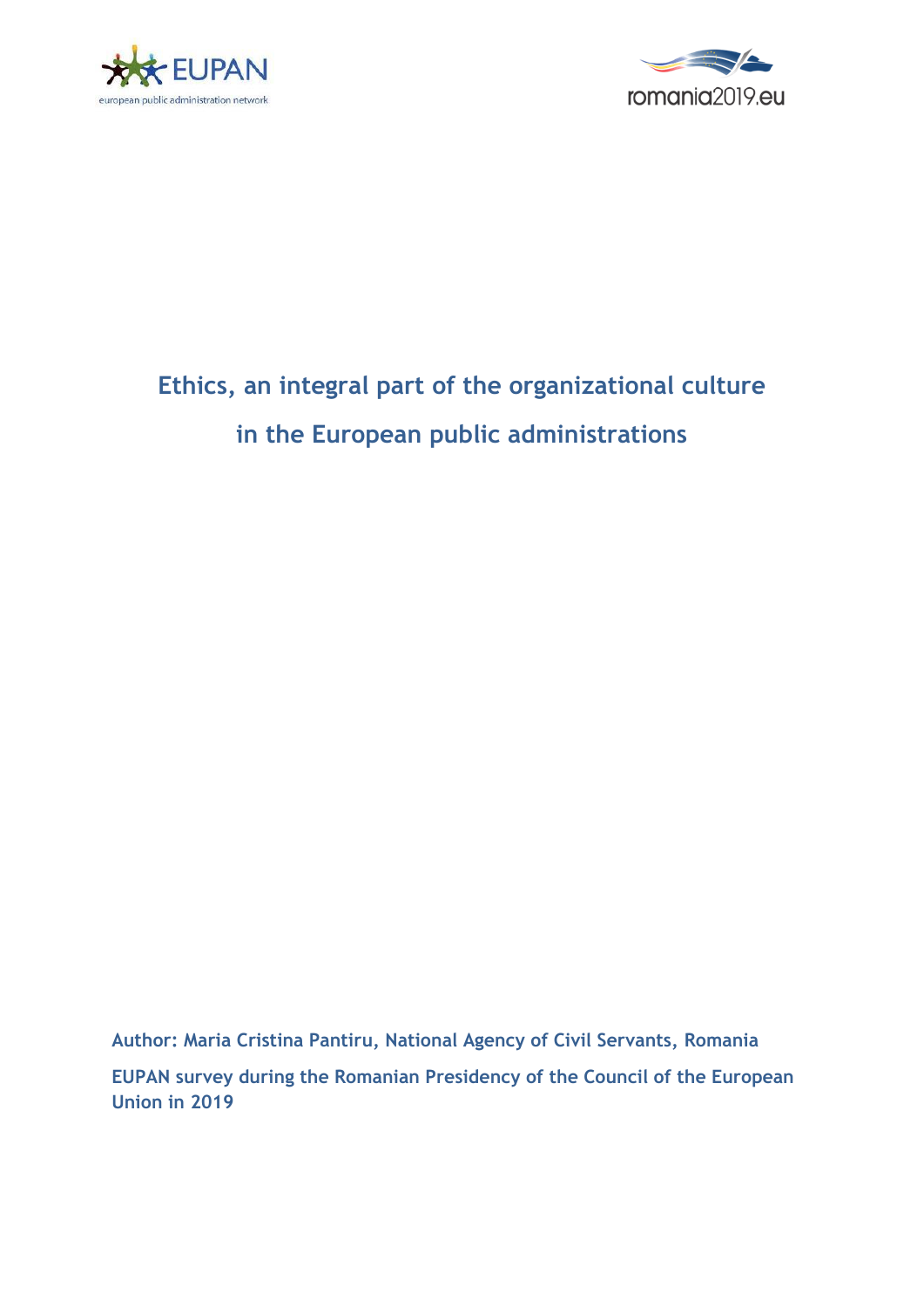



# **Ethics, an integral part of the organizational culture in the European public administrations**

**Author: Maria Cristina Pantiru, National Agency of Civil Servants, Romania EUPAN survey during the Romanian Presidency of the Council of the European Union in 2019**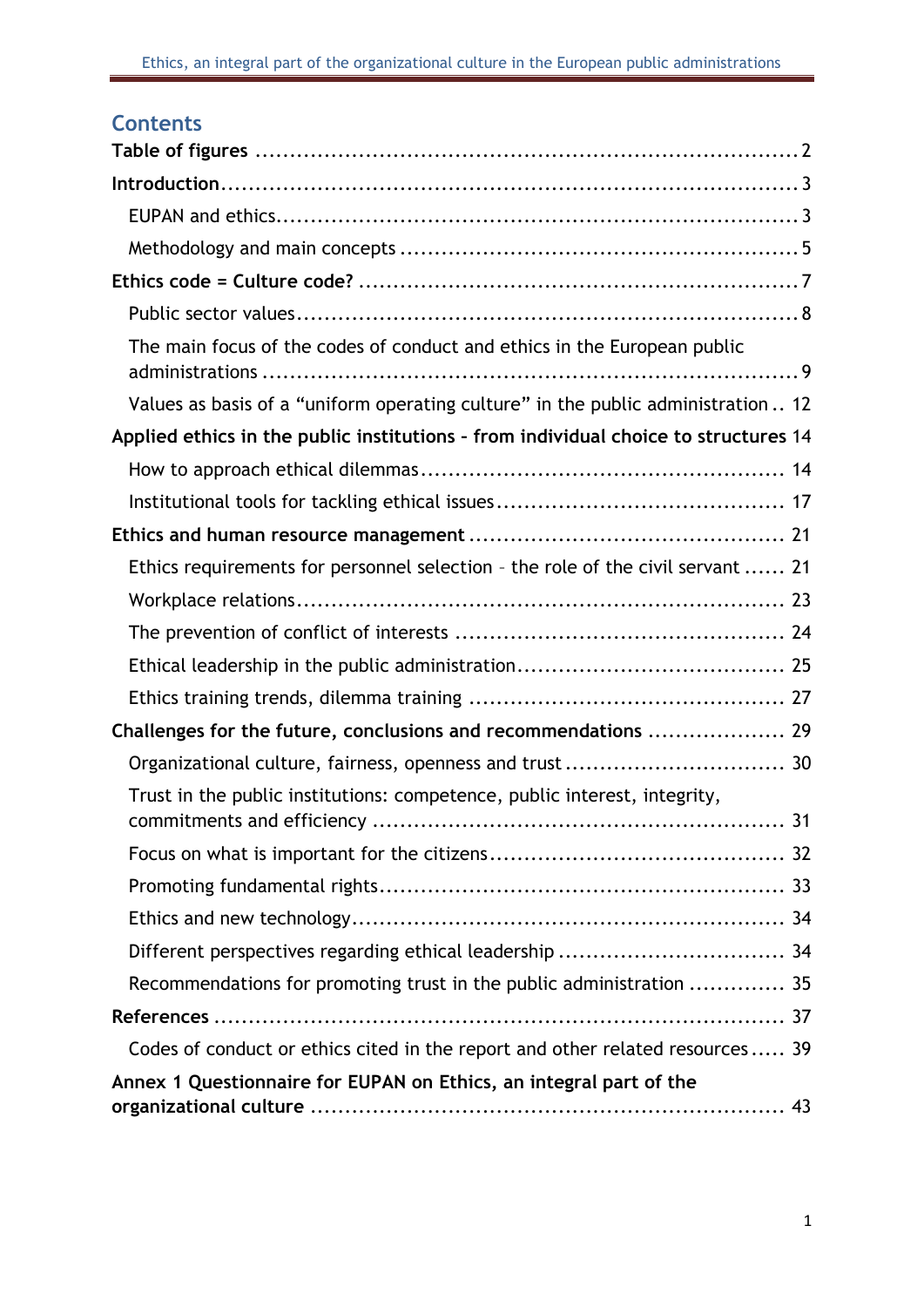# **Contents**

| The main focus of the codes of conduct and ethics in the European public            |
|-------------------------------------------------------------------------------------|
| Values as basis of a "uniform operating culture" in the public administration  12   |
| Applied ethics in the public institutions - from individual choice to structures 14 |
|                                                                                     |
|                                                                                     |
|                                                                                     |
| Ethics requirements for personnel selection - the role of the civil servant  21     |
|                                                                                     |
|                                                                                     |
|                                                                                     |
|                                                                                     |
| Challenges for the future, conclusions and recommendations  29                      |
| Organizational culture, fairness, openness and trust  30                            |
| Trust in the public institutions: competence, public interest, integrity,           |
|                                                                                     |
|                                                                                     |
|                                                                                     |
| Different perspectives regarding ethical leadership  34                             |
| Recommendations for promoting trust in the public administration  35                |
|                                                                                     |
| Codes of conduct or ethics cited in the report and other related resources 39       |
| Annex 1 Questionnaire for EUPAN on Ethics, an integral part of the                  |
|                                                                                     |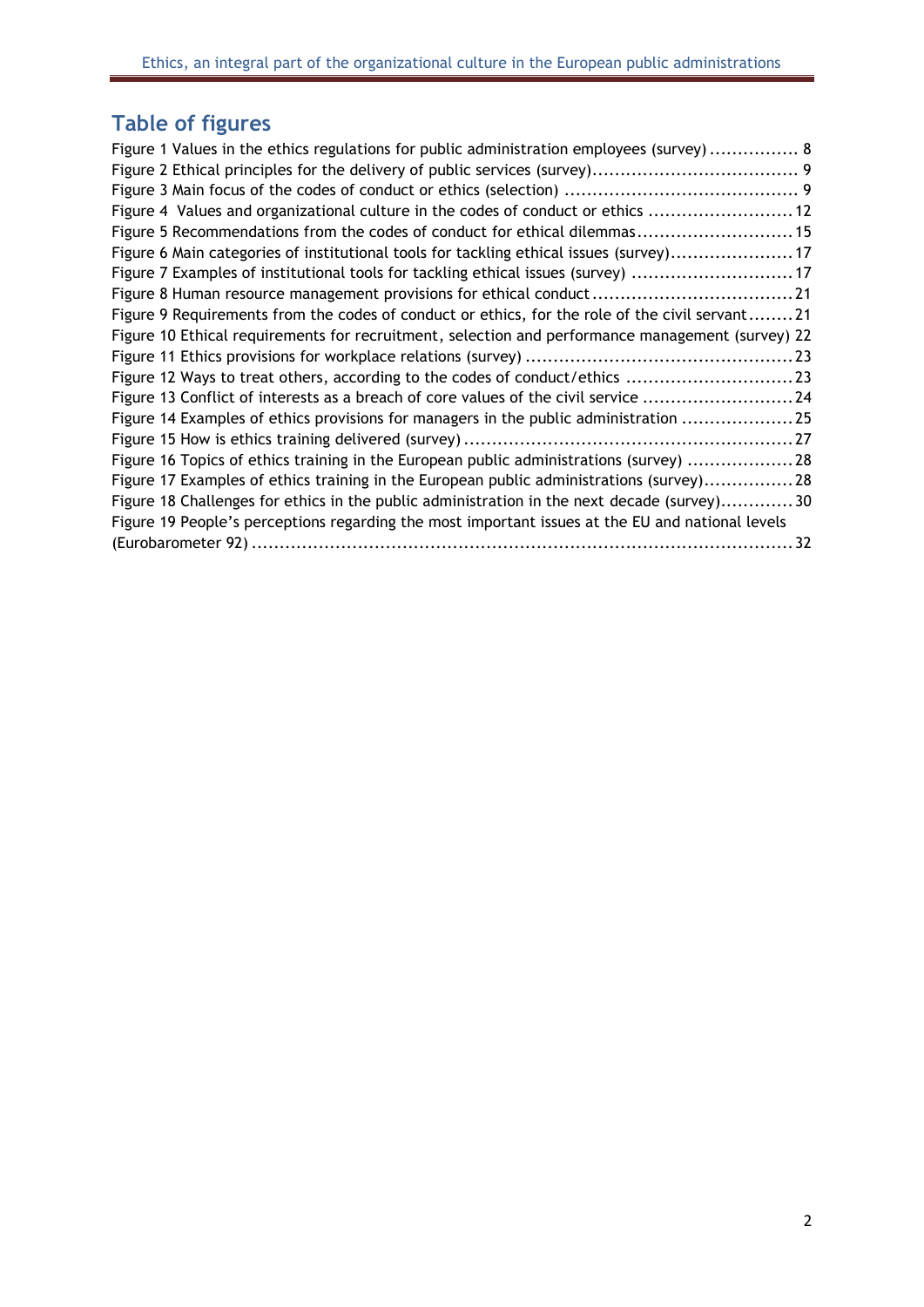# <span id="page-2-0"></span>**Table of figures**

| Figure 1 Values in the ethics regulations for public administration employees (survey)  8        |  |
|--------------------------------------------------------------------------------------------------|--|
|                                                                                                  |  |
|                                                                                                  |  |
| Figure 4 Values and organizational culture in the codes of conduct or ethics  12                 |  |
| Figure 5 Recommendations from the codes of conduct for ethical dilemmas 15                       |  |
| Figure 6 Main categories of institutional tools for tackling ethical issues (survey) 17          |  |
| Figure 7 Examples of institutional tools for tackling ethical issues (survey)  17                |  |
| Figure 8 Human resource management provisions for ethical conduct  21                            |  |
| Figure 9 Requirements from the codes of conduct or ethics, for the role of the civil servant21   |  |
| Figure 10 Ethical requirements for recruitment, selection and performance management (survey) 22 |  |
|                                                                                                  |  |
| Figure 12 Ways to treat others, according to the codes of conduct/ethics 23                      |  |
| Figure 13 Conflict of interests as a breach of core values of the civil service 24               |  |
| Figure 14 Examples of ethics provisions for managers in the public administration  25            |  |
|                                                                                                  |  |
| Figure 16 Topics of ethics training in the European public administrations (survey) 28           |  |
| Figure 17 Examples of ethics training in the European public administrations (survey) 28         |  |
| Figure 18 Challenges for ethics in the public administration in the next decade (survey) 30      |  |
| Figure 19 People's perceptions regarding the most important issues at the EU and national levels |  |
|                                                                                                  |  |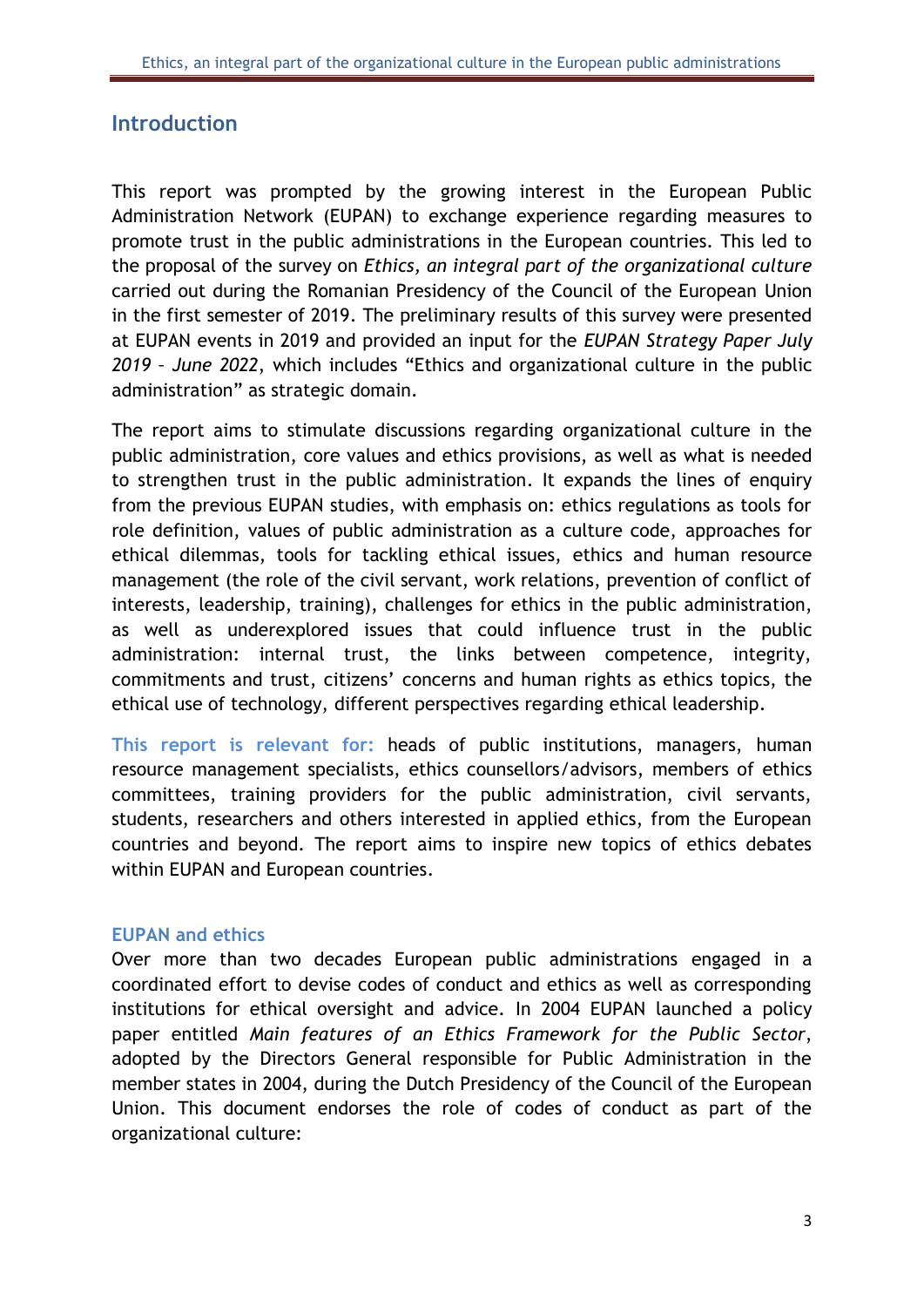# <span id="page-3-0"></span>**Introduction**

This report was prompted by the growing interest in the European Public Administration Network (EUPAN) to exchange experience regarding measures to promote trust in the public administrations in the European countries. This led to the proposal of the survey on *Ethics, an integral part of the organizational culture* carried out during the Romanian Presidency of the Council of the European Union in the first semester of 2019. The preliminary results of this survey were presented at EUPAN events in 2019 and provided an input for the *EUPAN Strategy Paper July 2019 – June 2022*, which includes "Ethics and organizational culture in the public administration" as strategic domain.

The report aims to stimulate discussions regarding organizational culture in the public administration, core values and ethics provisions, as well as what is needed to strengthen trust in the public administration. It expands the lines of enquiry from the previous EUPAN studies, with emphasis on: ethics regulations as tools for role definition, values of public administration as a culture code, approaches for ethical dilemmas, tools for tackling ethical issues, ethics and human resource management (the role of the civil servant, work relations, prevention of conflict of interests, leadership, training), challenges for ethics in the public administration, as well as underexplored issues that could influence trust in the public administration: internal trust, the links between competence, integrity, commitments and trust, citizens' concerns and human rights as ethics topics, the ethical use of technology, different perspectives regarding ethical leadership.

**This report is relevant for:** heads of public institutions, managers, human resource management specialists, ethics counsellors/advisors, members of ethics committees, training providers for the public administration, civil servants, students, researchers and others interested in applied ethics, from the European countries and beyond. The report aims to inspire new topics of ethics debates within EUPAN and European countries.

#### <span id="page-3-1"></span>**EUPAN and ethics**

Over more than two decades European public administrations engaged in a coordinated effort to devise codes of conduct and ethics as well as corresponding institutions for ethical oversight and advice. In 2004 EUPAN launched a policy paper entitled *Main features of an Ethics Framework for the Public Sector*, adopted by the Directors General responsible for Public Administration in the member states in 2004, during the Dutch Presidency of the Council of the European Union. This document endorses the role of codes of conduct as part of the organizational culture: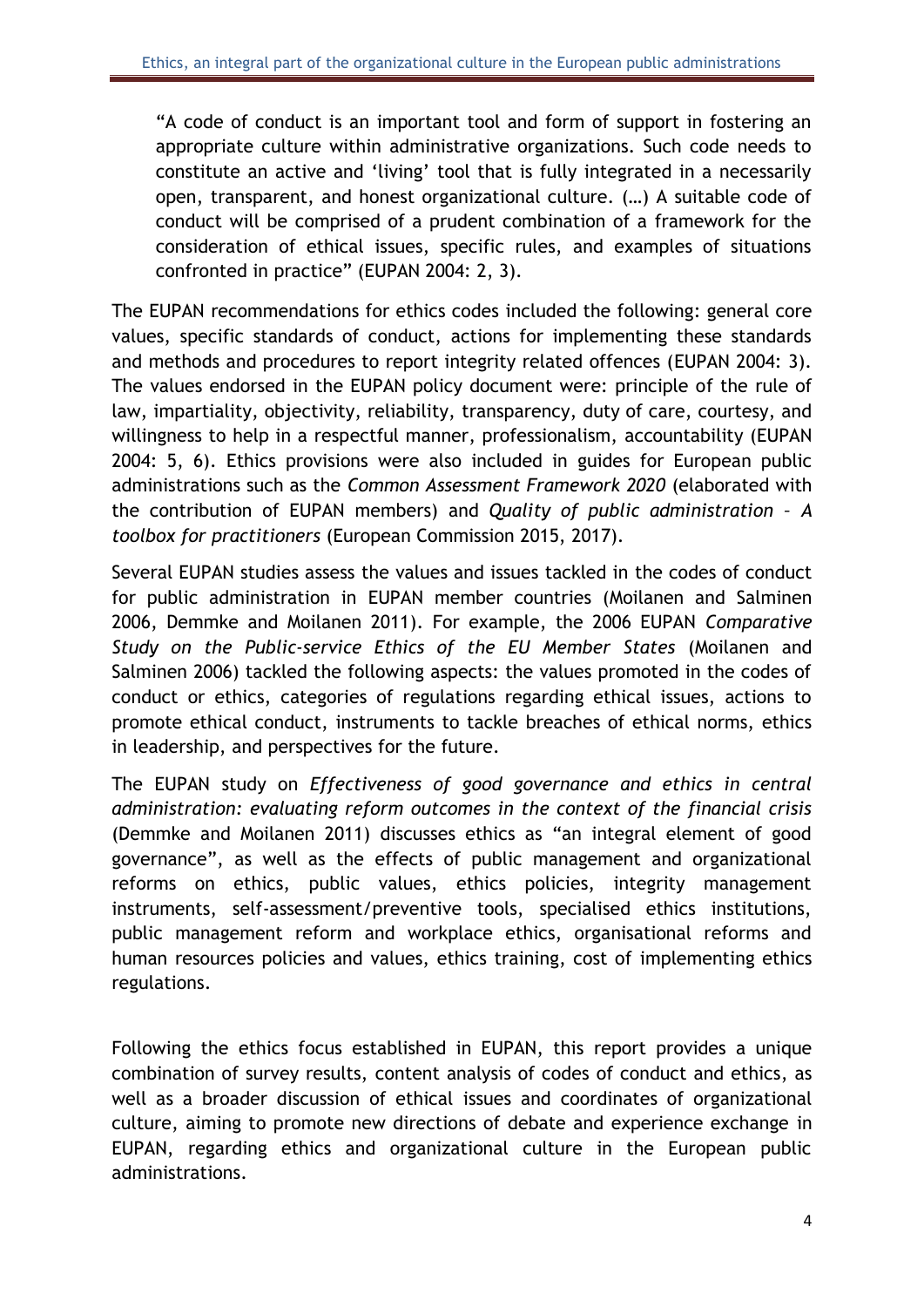"A code of conduct is an important tool and form of support in fostering an appropriate culture within administrative organizations. Such code needs to constitute an active and 'living' tool that is fully integrated in a necessarily open, transparent, and honest organizational culture. (…) A suitable code of conduct will be comprised of a prudent combination of a framework for the consideration of ethical issues, specific rules, and examples of situations confronted in practice" (EUPAN 2004: 2, 3).

The EUPAN recommendations for ethics codes included the following: general core values, specific standards of conduct, actions for implementing these standards and methods and procedures to report integrity related offences (EUPAN 2004: 3). The values endorsed in the EUPAN policy document were: principle of the rule of law, impartiality, objectivity, reliability, transparency, duty of care, courtesy, and willingness to help in a respectful manner, professionalism, accountability (EUPAN 2004: 5, 6). Ethics provisions were also included in guides for European public administrations such as the *Common Assessment Framework 2020* (elaborated with the contribution of EUPAN members) and *Quality of public administration – A toolbox for practitioners* (European Commission 2015, 2017).

Several EUPAN studies assess the values and issues tackled in the codes of conduct for public administration in EUPAN member countries (Moilanen and Salminen 2006, Demmke and Moilanen 2011). For example, the 2006 EUPAN *Comparative Study on the Public-service Ethics of the EU Member States* (Moilanen and Salminen 2006) tackled the following aspects: the values promoted in the codes of conduct or ethics, categories of regulations regarding ethical issues, actions to promote ethical conduct, instruments to tackle breaches of ethical norms, ethics in leadership, and perspectives for the future.

The EUPAN study on *Effectiveness of good governance and ethics in central administration: evaluating reform outcomes in the context of the financial crisis* (Demmke and Moilanen 2011) discusses ethics as "an integral element of good governance", as well as the effects of public management and organizational reforms on ethics, public values, ethics policies, integrity management instruments, self-assessment/preventive tools, specialised ethics institutions, public management reform and workplace ethics, organisational reforms and human resources policies and values, ethics training, cost of implementing ethics regulations.

Following the ethics focus established in EUPAN, this report provides a unique combination of survey results, content analysis of codes of conduct and ethics, as well as a broader discussion of ethical issues and coordinates of organizational culture, aiming to promote new directions of debate and experience exchange in EUPAN, regarding ethics and organizational culture in the European public administrations.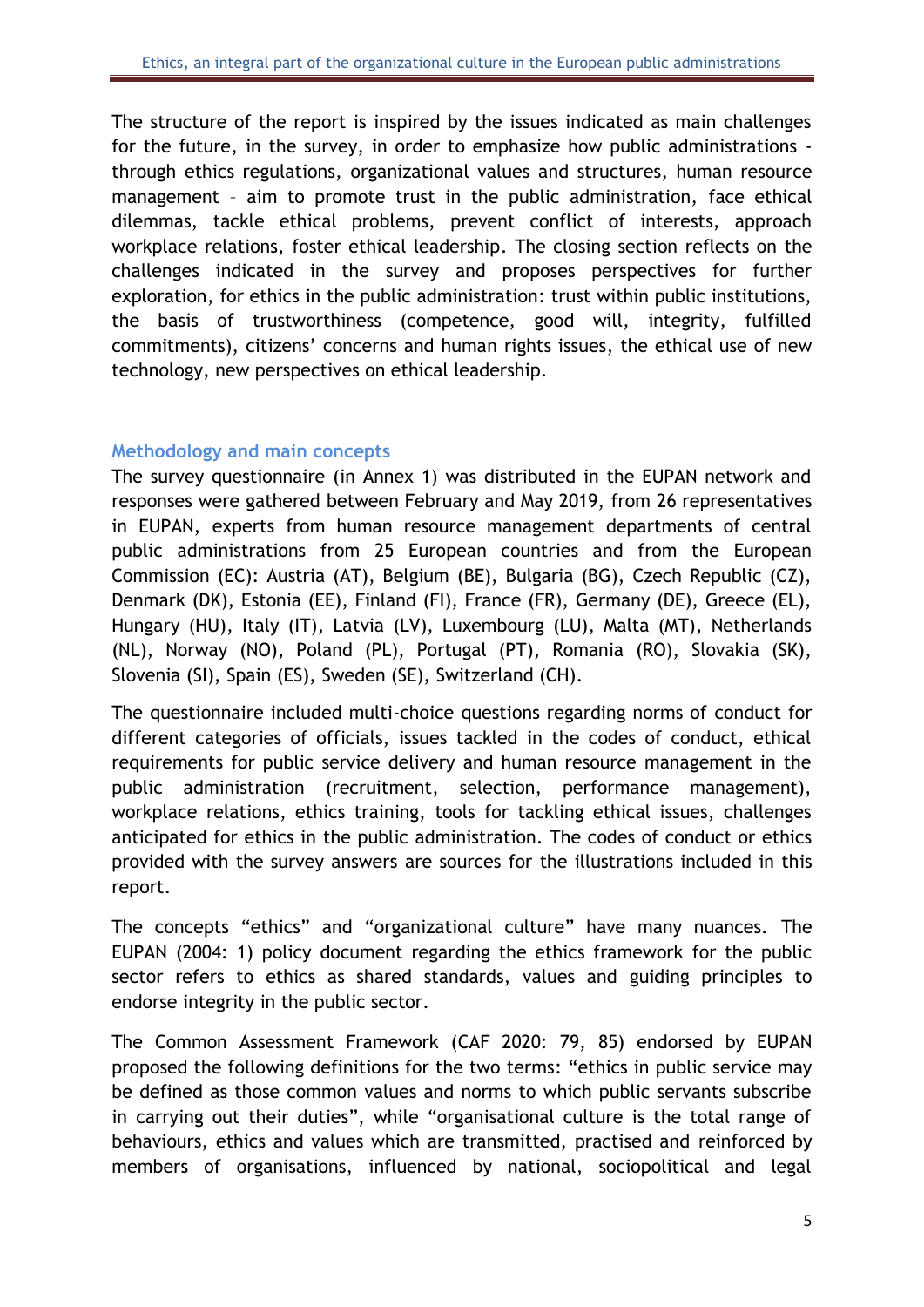The structure of the report is inspired by the issues indicated as main challenges for the future, in the survey, in order to emphasize how public administrations through ethics regulations, organizational values and structures, human resource management – aim to promote trust in the public administration, face ethical dilemmas, tackle ethical problems, prevent conflict of interests, approach workplace relations, foster ethical leadership. The closing section reflects on the challenges indicated in the survey and proposes perspectives for further exploration, for ethics in the public administration: trust within public institutions, the basis of trustworthiness (competence, good will, integrity, fulfilled commitments), citizens' concerns and human rights issues, the ethical use of new technology, new perspectives on ethical leadership.

#### <span id="page-5-0"></span>**Methodology and main concepts**

The survey questionnaire (in Annex 1) was distributed in the EUPAN network and responses were gathered between February and May 2019, from 26 representatives in EUPAN, experts from human resource management departments of central public administrations from 25 European countries and from the European Commission (EC): Austria (AT), Belgium (BE), Bulgaria (BG), Czech Republic (CZ), Denmark (DK), Estonia (EE), Finland (FI), France (FR), Germany (DE), Greece (EL), Hungary (HU), Italy (IT), Latvia (LV), Luxembourg (LU), Malta (MT), Netherlands (NL), Norway (NO), Poland (PL), Portugal (PT), Romania (RO), Slovakia (SK), Slovenia (SI), Spain (ES), Sweden (SE), Switzerland (CH).

The questionnaire included multi-choice questions regarding norms of conduct for different categories of officials, issues tackled in the codes of conduct, ethical requirements for public service delivery and human resource management in the public administration (recruitment, selection, performance management), workplace relations, ethics training, tools for tackling ethical issues, challenges anticipated for ethics in the public administration. The codes of conduct or ethics provided with the survey answers are sources for the illustrations included in this report.

The concepts "ethics" and "organizational culture" have many nuances. The EUPAN (2004: 1) policy document regarding the ethics framework for the public sector refers to ethics as shared standards, values and guiding principles to endorse integrity in the public sector.

The Common Assessment Framework (CAF 2020: 79, 85) endorsed by EUPAN proposed the following definitions for the two terms: "ethics in public service may be defined as those common values and norms to which public servants subscribe in carrying out their duties", while "organisational culture is the total range of behaviours, ethics and values which are transmitted, practised and reinforced by members of organisations, influenced by national, sociopolitical and legal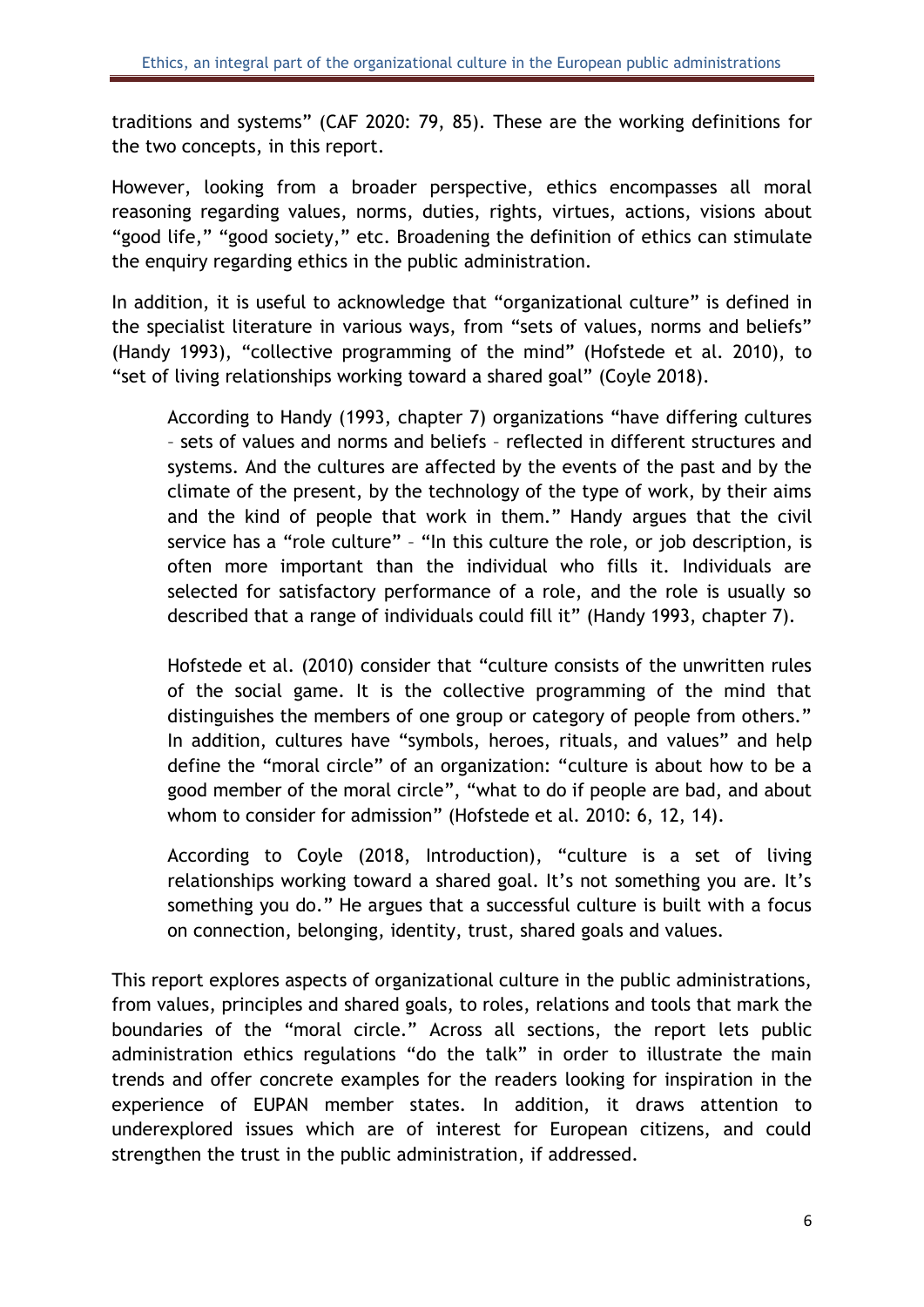traditions and systems" (CAF 2020: 79, 85). These are the working definitions for the two concepts, in this report.

However, looking from a broader perspective, ethics encompasses all moral reasoning regarding values, norms, duties, rights, virtues, actions, visions about "good life," "good society," etc. Broadening the definition of ethics can stimulate the enquiry regarding ethics in the public administration.

In addition, it is useful to acknowledge that "organizational culture" is defined in the specialist literature in various ways, from "sets of values, norms and beliefs" (Handy 1993), "collective programming of the mind" (Hofstede et al. 2010), to "set of living relationships working toward a shared goal" (Coyle 2018).

According to Handy (1993, chapter 7) organizations "have differing cultures – sets of values and norms and beliefs – reflected in different structures and systems. And the cultures are affected by the events of the past and by the climate of the present, by the technology of the type of work, by their aims and the kind of people that work in them." Handy argues that the civil service has a "role culture" – "In this culture the role, or job description, is often more important than the individual who fills it. Individuals are selected for satisfactory performance of a role, and the role is usually so described that a range of individuals could fill it" (Handy 1993, chapter 7).

Hofstede et al. (2010) consider that "culture consists of the unwritten rules of the social game. It is the collective programming of the mind that distinguishes the members of one group or category of people from others." In addition, cultures have "symbols, heroes, rituals, and values" and help define the "moral circle" of an organization: "culture is about how to be a good member of the moral circle", "what to do if people are bad, and about whom to consider for admission" (Hofstede et al. 2010: 6, 12, 14).

According to Coyle (2018, Introduction), "culture is a set of living relationships working toward a shared goal. It's not something you are. It's something you do." He argues that a successful culture is built with a focus on connection, belonging, identity, trust, shared goals and values.

This report explores aspects of organizational culture in the public administrations, from values, principles and shared goals, to roles, relations and tools that mark the boundaries of the "moral circle." Across all sections, the report lets public administration ethics regulations "do the talk" in order to illustrate the main trends and offer concrete examples for the readers looking for inspiration in the experience of EUPAN member states. In addition, it draws attention to underexplored issues which are of interest for European citizens, and could strengthen the trust in the public administration, if addressed.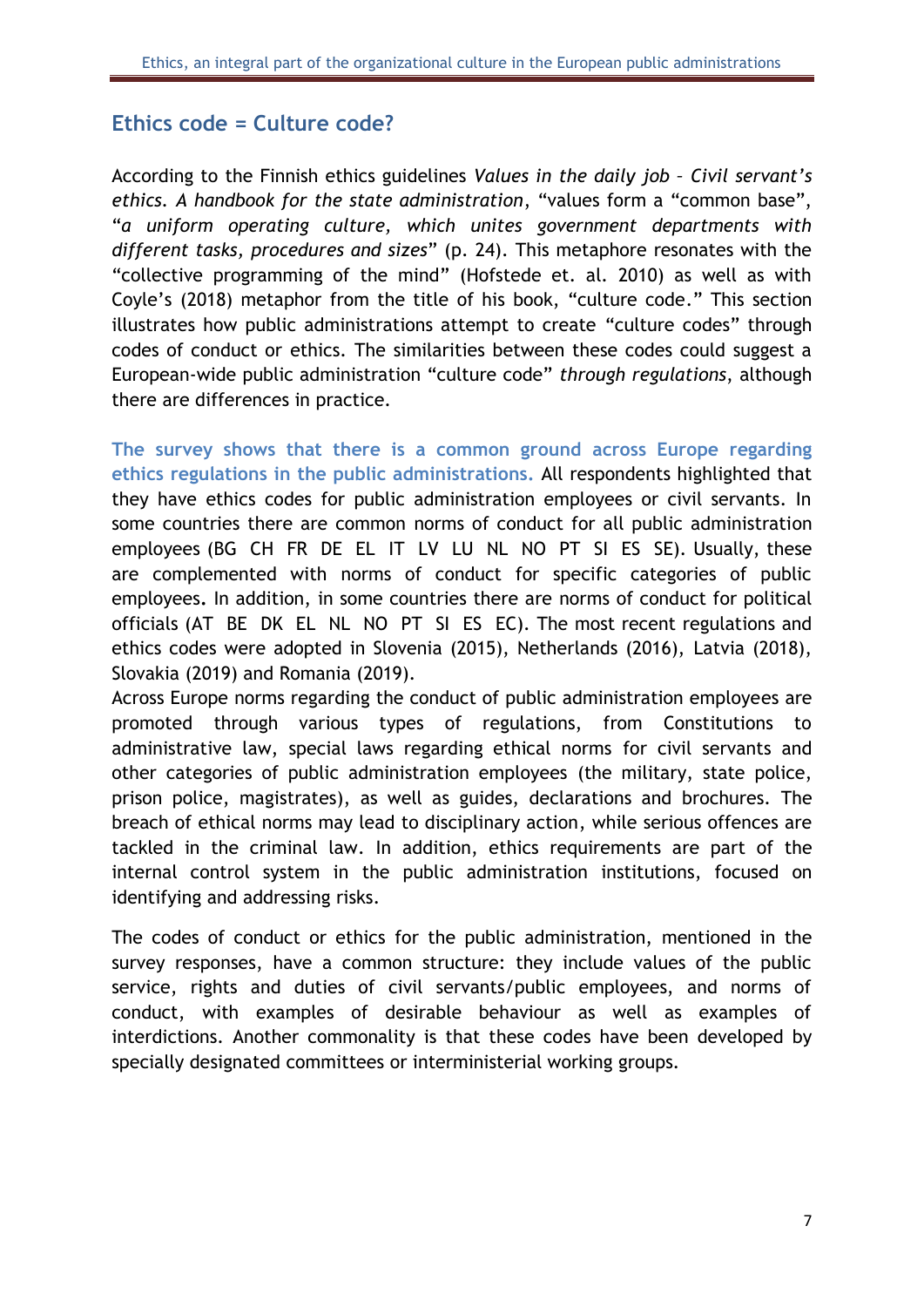# <span id="page-7-0"></span>**Ethics code = Culture code?**

According to the Finnish ethics guidelines *Values in the daily job – Civil servant's ethics. A handbook for the state administration*, "values form a "common base", "*a uniform operating culture, which unites government departments with different tasks, procedures and sizes*" (p. 24). This metaphore resonates with the "collective programming of the mind" (Hofstede et. al. 2010) as well as with Coyle's (2018) metaphor from the title of his book, "culture code." This section illustrates how public administrations attempt to create "culture codes" through codes of conduct or ethics. The similarities between these codes could suggest a European-wide public administration "culture code" *through regulations*, although there are differences in practice.

**The survey shows that there is a common ground across Europe regarding ethics regulations in the public administrations.** All respondents highlighted that they have ethics codes for public administration employees or civil servants. In some countries there are common norms of conduct for all public administration employees (BG CH FR DE EL IT LV LU NL NO PT SI ES SE). Usually, these are complemented with norms of conduct for specific categories of public employees**.** In addition, in some countries there are norms of conduct for political officials (AT BE DK EL NL NO PT SI ESEC). The most recent regulations and ethics codes were adopted in Slovenia (2015), Netherlands (2016), Latvia (2018), Slovakia (2019) and Romania (2019).

Across Europe norms regarding the conduct of public administration employees are promoted through various types of regulations, from Constitutions to administrative law, special laws regarding ethical norms for civil servants and other categories of public administration employees (the military, state police, prison police, magistrates), as well as guides, declarations and brochures. The breach of ethical norms may lead to disciplinary action, while serious offences are tackled in the criminal law. In addition, ethics requirements are part of the internal control system in the public administration institutions, focused on identifying and addressing risks.

The codes of conduct or ethics for the public administration, mentioned in the survey responses, have a common structure: they include values of the public service, rights and duties of civil servants/public employees, and norms of conduct, with examples of desirable behaviour as well as examples of interdictions. Another commonality is that these codes have been developed by specially designated committees or interministerial working groups.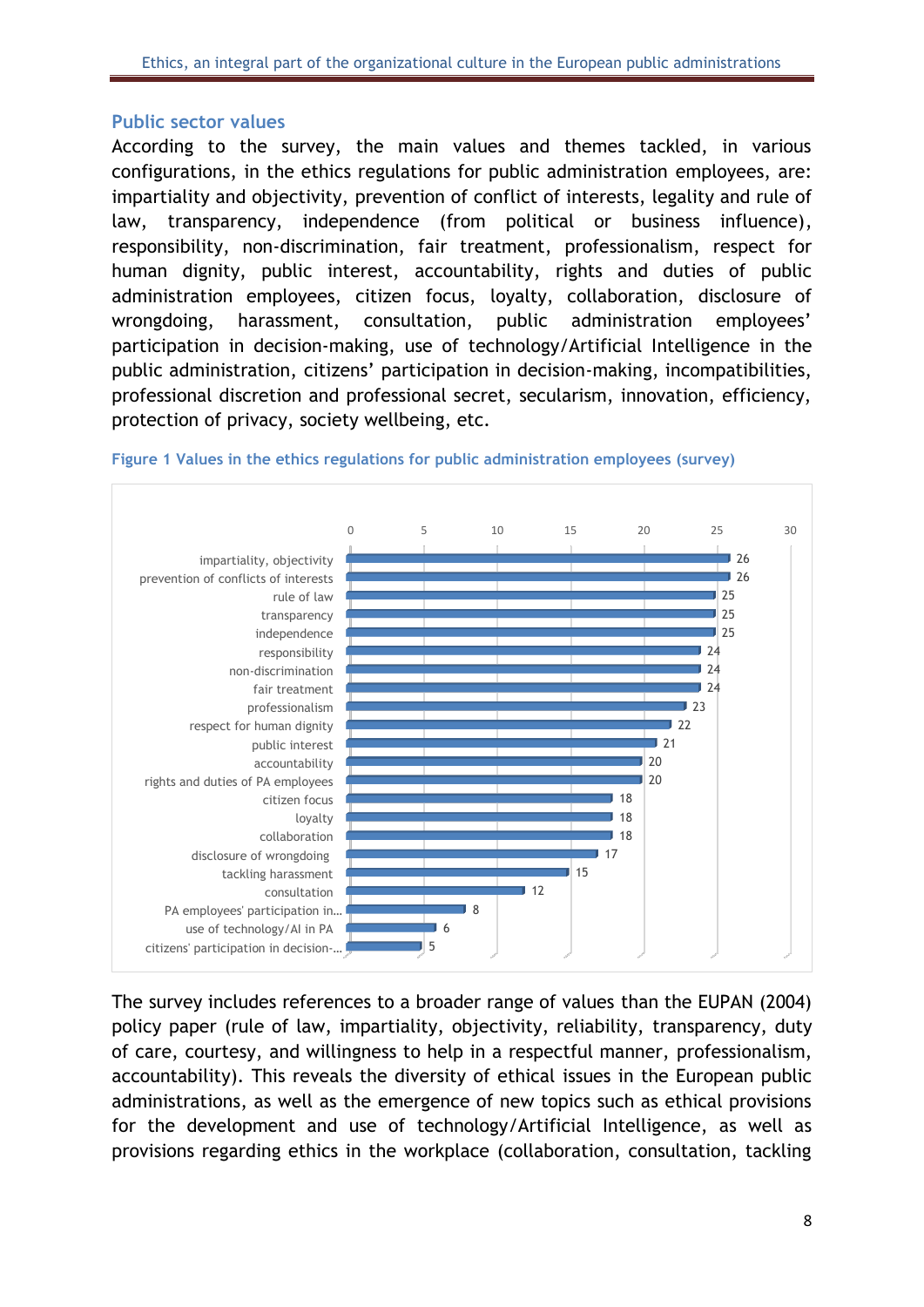#### <span id="page-8-0"></span>**Public sector values**

According to the survey, the main values and themes tackled, in various configurations, in the ethics regulations for public administration employees, are: impartiality and objectivity, prevention of conflict of interests, legality and rule of law, transparency, independence (from political or business influence), responsibility, non-discrimination, fair treatment, professionalism, respect for human dignity, public interest, accountability, rights and duties of public administration employees, citizen focus, loyalty, collaboration, disclosure of wrongdoing, harassment, consultation, public administration employees' participation in decision-making, use of technology/Artificial Intelligence in the public administration, citizens' participation in decision-making, incompatibilities, professional discretion and professional secret, secularism, innovation, efficiency, protection of privacy, society wellbeing, etc.



#### <span id="page-8-1"></span>**Figure 1 Values in the ethics regulations for public administration employees (survey)**

The survey includes references to a broader range of values than the EUPAN (2004) policy paper (rule of law, impartiality, objectivity, reliability, transparency, duty of care, courtesy, and willingness to help in a respectful manner, professionalism, accountability). This reveals the diversity of ethical issues in the European public administrations, as well as the emergence of new topics such as ethical provisions for the development and use of technology/Artificial Intelligence, as well as provisions regarding ethics in the workplace (collaboration, consultation, tackling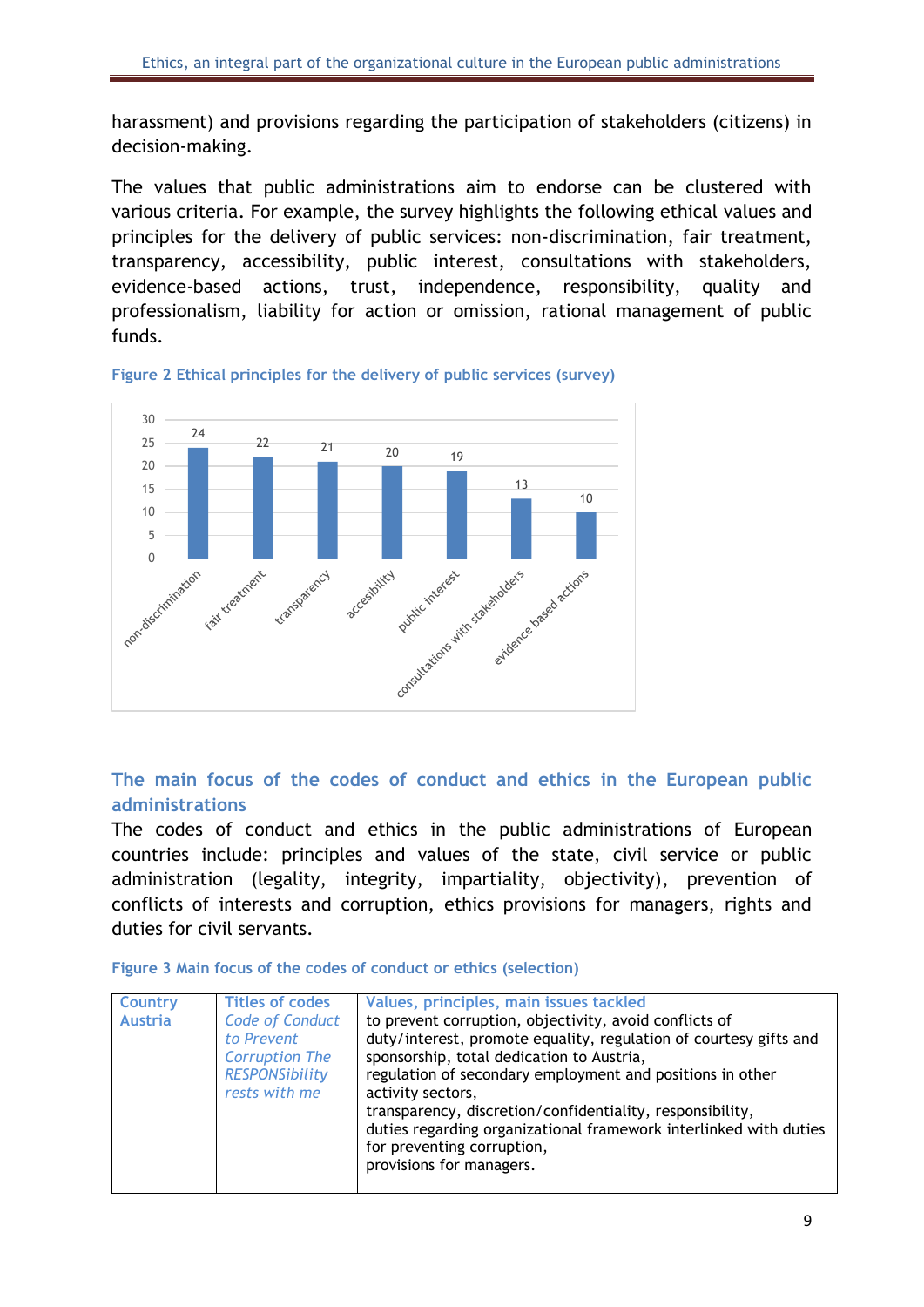harassment) and provisions regarding the participation of stakeholders (citizens) in decision-making.

The values that public administrations aim to endorse can be clustered with various criteria. For example, the survey highlights the following ethical values and principles for the delivery of public services: non-discrimination, fair treatment, transparency, accessibility, public interest, consultations with stakeholders, evidence-based actions, trust, independence, responsibility, quality and professionalism, liability for action or omission, rational management of public funds.



<span id="page-9-1"></span>**Figure 2 Ethical principles for the delivery of public services (survey)**

# <span id="page-9-0"></span>**The main focus of the codes of conduct and ethics in the European public administrations**

The codes of conduct and ethics in the public administrations of European countries include: principles and values of the state, civil service or public administration (legality, integrity, impartiality, objectivity), prevention of conflicts of interests and corruption, ethics provisions for managers, rights and duties for civil servants.

<span id="page-9-2"></span>

|  |  |  |  |  |  |  | Figure 3 Main focus of the codes of conduct or ethics (selection) |
|--|--|--|--|--|--|--|-------------------------------------------------------------------|
|--|--|--|--|--|--|--|-------------------------------------------------------------------|

| <b>Country</b> | <b>Titles of codes</b>                                                                                  | Values, principles, main issues tackled                                                                                                                                                                                                                                                                                                                                                                                                                |
|----------------|---------------------------------------------------------------------------------------------------------|--------------------------------------------------------------------------------------------------------------------------------------------------------------------------------------------------------------------------------------------------------------------------------------------------------------------------------------------------------------------------------------------------------------------------------------------------------|
| <b>Austria</b> | <b>Code of Conduct</b><br>to Prevent<br><b>Corruption The</b><br><b>RESPONSibility</b><br>rests with me | to prevent corruption, objectivity, avoid conflicts of<br>duty/interest, promote equality, regulation of courtesy gifts and<br>sponsorship, total dedication to Austria,<br>regulation of secondary employment and positions in other<br>activity sectors,<br>transparency, discretion/confidentiality, responsibility,<br>duties regarding organizational framework interlinked with duties<br>for preventing corruption,<br>provisions for managers. |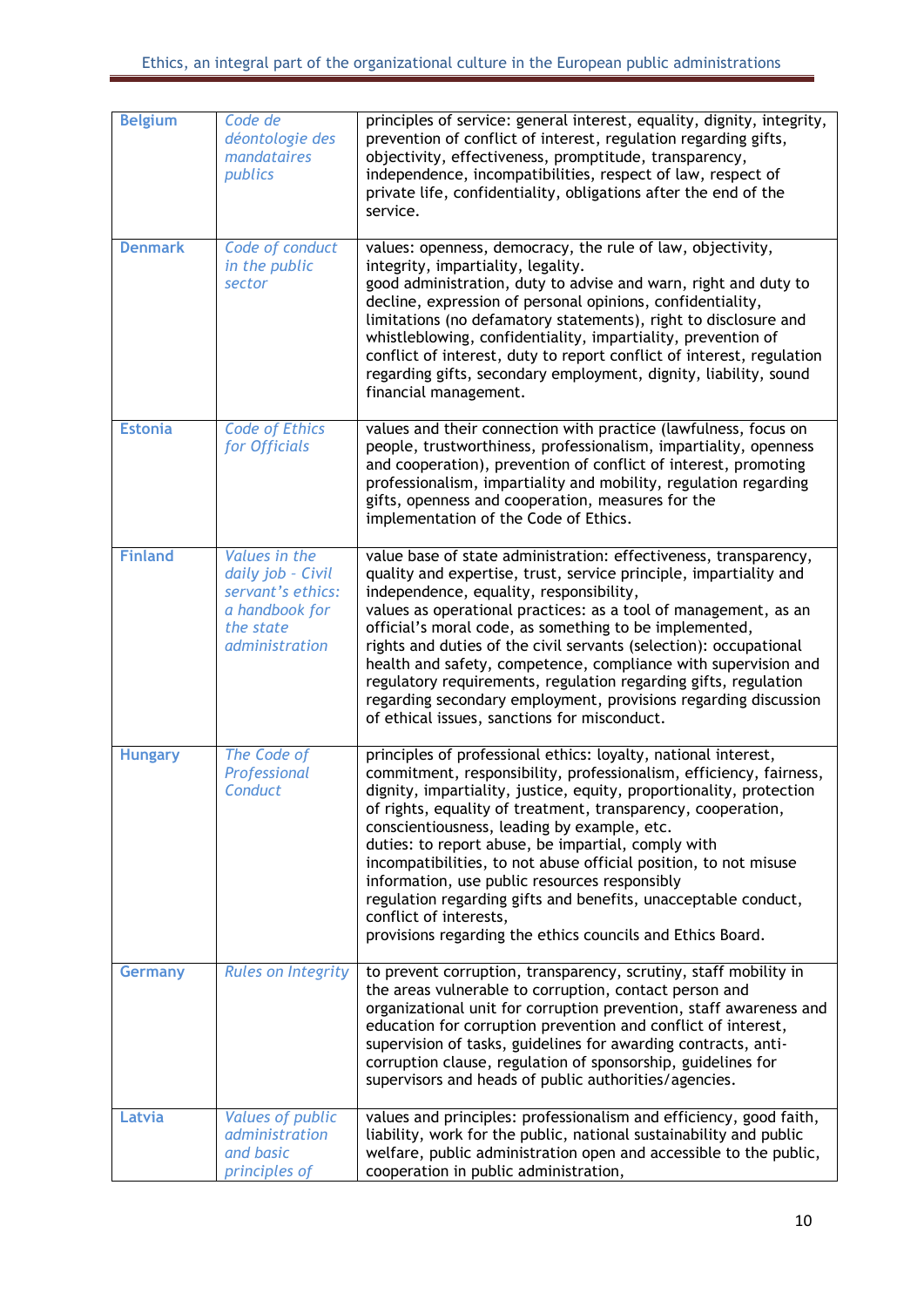| <b>Belgium</b> | Code de<br>déontologie des<br>mandataires<br>publics                                                     | principles of service: general interest, equality, dignity, integrity,<br>prevention of conflict of interest, regulation regarding gifts,<br>objectivity, effectiveness, promptitude, transparency,<br>independence, incompatibilities, respect of law, respect of<br>private life, confidentiality, obligations after the end of the<br>service.                                                                                                                                                                                                                                                                                                               |
|----------------|----------------------------------------------------------------------------------------------------------|-----------------------------------------------------------------------------------------------------------------------------------------------------------------------------------------------------------------------------------------------------------------------------------------------------------------------------------------------------------------------------------------------------------------------------------------------------------------------------------------------------------------------------------------------------------------------------------------------------------------------------------------------------------------|
| <b>Denmark</b> | Code of conduct<br>in the public<br>sector                                                               | values: openness, democracy, the rule of law, objectivity,<br>integrity, impartiality, legality.<br>good administration, duty to advise and warn, right and duty to<br>decline, expression of personal opinions, confidentiality,<br>limitations (no defamatory statements), right to disclosure and<br>whistleblowing, confidentiality, impartiality, prevention of<br>conflict of interest, duty to report conflict of interest, regulation<br>regarding gifts, secondary employment, dignity, liability, sound<br>financial management.                                                                                                                      |
| <b>Estonia</b> | <b>Code of Ethics</b><br>for Officials                                                                   | values and their connection with practice (lawfulness, focus on<br>people, trustworthiness, professionalism, impartiality, openness<br>and cooperation), prevention of conflict of interest, promoting<br>professionalism, impartiality and mobility, regulation regarding<br>gifts, openness and cooperation, measures for the<br>implementation of the Code of Ethics.                                                                                                                                                                                                                                                                                        |
| <b>Finland</b> | Values in the<br>daily job - Civil<br>servant's ethics:<br>a handbook for<br>the state<br>administration | value base of state administration: effectiveness, transparency,<br>quality and expertise, trust, service principle, impartiality and<br>independence, equality, responsibility,<br>values as operational practices: as a tool of management, as an<br>official's moral code, as something to be implemented,<br>rights and duties of the civil servants (selection): occupational<br>health and safety, competence, compliance with supervision and<br>regulatory requirements, regulation regarding gifts, regulation<br>regarding secondary employment, provisions regarding discussion<br>of ethical issues, sanctions for misconduct.                      |
| <b>Hungary</b> | The Code of<br>Professional<br>Conduct                                                                   | principles of professional ethics: loyalty, national interest,<br>commitment, responsibility, professionalism, efficiency, fairness,<br>dignity, impartiality, justice, equity, proportionality, protection<br>of rights, equality of treatment, transparency, cooperation,<br>conscientiousness, leading by example, etc.<br>duties: to report abuse, be impartial, comply with<br>incompatibilities, to not abuse official position, to not misuse<br>information, use public resources responsibly<br>regulation regarding gifts and benefits, unacceptable conduct,<br>conflict of interests,<br>provisions regarding the ethics councils and Ethics Board. |
| <b>Germany</b> | <b>Rules on Integrity</b>                                                                                | to prevent corruption, transparency, scrutiny, staff mobility in<br>the areas vulnerable to corruption, contact person and<br>organizational unit for corruption prevention, staff awareness and<br>education for corruption prevention and conflict of interest,<br>supervision of tasks, guidelines for awarding contracts, anti-<br>corruption clause, regulation of sponsorship, guidelines for<br>supervisors and heads of public authorities/agencies.                                                                                                                                                                                                    |
| Latvia         | <b>Values of public</b><br>administration<br>and basic<br>principles of                                  | values and principles: professionalism and efficiency, good faith,<br>liability, work for the public, national sustainability and public<br>welfare, public administration open and accessible to the public,<br>cooperation in public administration,                                                                                                                                                                                                                                                                                                                                                                                                          |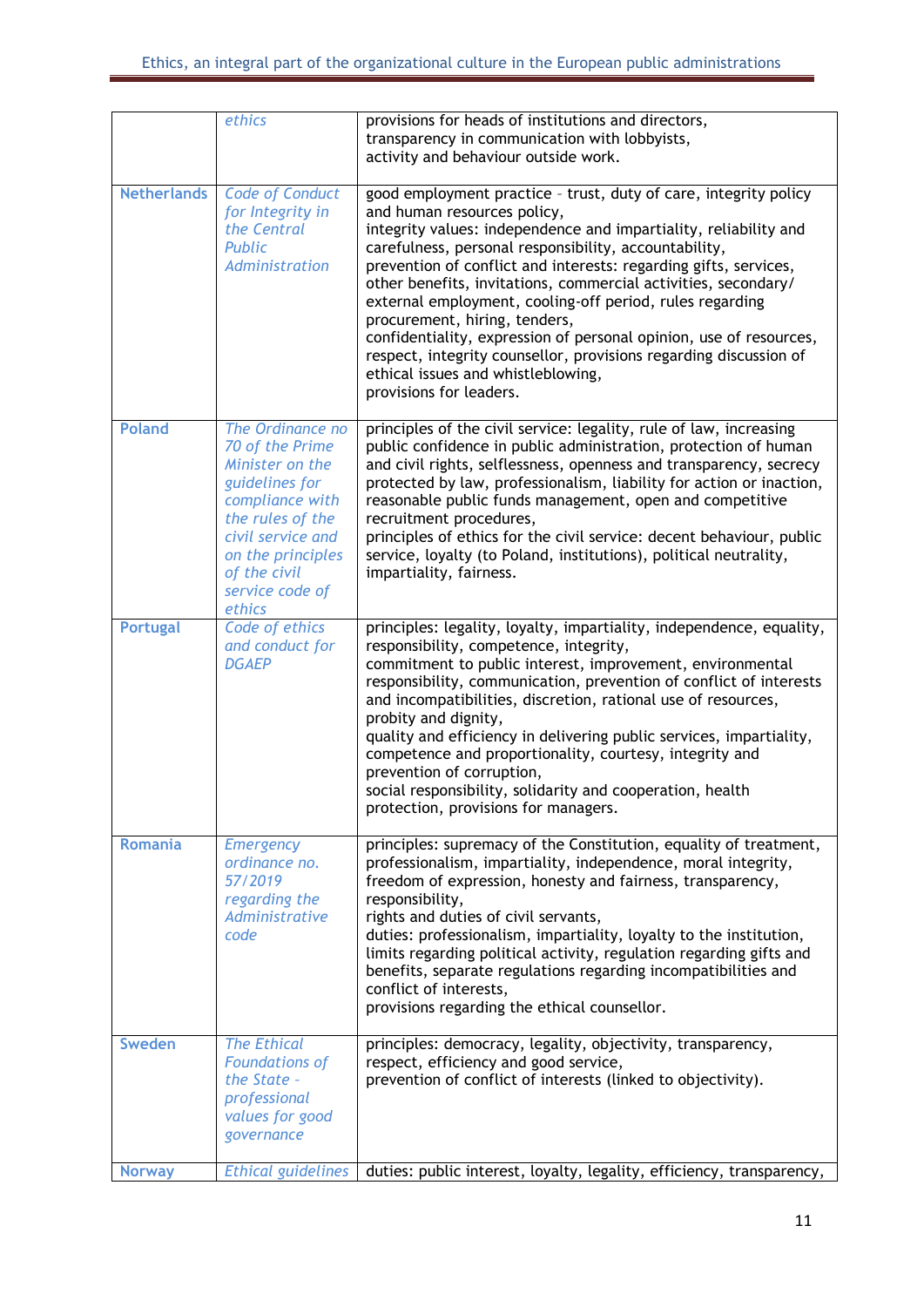|                    | ethics                                                                                                                                                                                                 | provisions for heads of institutions and directors,<br>transparency in communication with lobbyists,<br>activity and behaviour outside work.                                                                                                                                                                                                                                                                                                                                                                                                                                                                                                                                |
|--------------------|--------------------------------------------------------------------------------------------------------------------------------------------------------------------------------------------------------|-----------------------------------------------------------------------------------------------------------------------------------------------------------------------------------------------------------------------------------------------------------------------------------------------------------------------------------------------------------------------------------------------------------------------------------------------------------------------------------------------------------------------------------------------------------------------------------------------------------------------------------------------------------------------------|
| <b>Netherlands</b> | <b>Code of Conduct</b><br>for Integrity in<br>the Central<br>Public<br>Administration                                                                                                                  | good employment practice - trust, duty of care, integrity policy<br>and human resources policy,<br>integrity values: independence and impartiality, reliability and<br>carefulness, personal responsibility, accountability,<br>prevention of conflict and interests: regarding gifts, services,<br>other benefits, invitations, commercial activities, secondary/<br>external employment, cooling-off period, rules regarding<br>procurement, hiring, tenders,<br>confidentiality, expression of personal opinion, use of resources,<br>respect, integrity counsellor, provisions regarding discussion of<br>ethical issues and whistleblowing,<br>provisions for leaders. |
| <b>Poland</b>      | The Ordinance no<br>70 of the Prime<br>Minister on the<br>guidelines for<br>compliance with<br>the rules of the<br>civil service and<br>on the principles<br>of the civil<br>service code of<br>ethics | principles of the civil service: legality, rule of law, increasing<br>public confidence in public administration, protection of human<br>and civil rights, selflessness, openness and transparency, secrecy<br>protected by law, professionalism, liability for action or inaction,<br>reasonable public funds management, open and competitive<br>recruitment procedures,<br>principles of ethics for the civil service: decent behaviour, public<br>service, loyalty (to Poland, institutions), political neutrality,<br>impartiality, fairness.                                                                                                                          |
| <b>Portugal</b>    | Code of ethics<br>and conduct for<br><b>DGAEP</b>                                                                                                                                                      | principles: legality, loyalty, impartiality, independence, equality,<br>responsibility, competence, integrity,<br>commitment to public interest, improvement, environmental<br>responsibility, communication, prevention of conflict of interests<br>and incompatibilities, discretion, rational use of resources,<br>probity and dignity,<br>quality and efficiency in delivering public services, impartiality,<br>competence and proportionality, courtesy, integrity and<br>prevention of corruption,<br>social responsibility, solidarity and cooperation, health<br>protection, provisions for managers.                                                              |
| <b>Romania</b>     | <b>Emergency</b><br>ordinance no.<br>57/2019<br>regarding the<br>Administrative<br>code                                                                                                                | principles: supremacy of the Constitution, equality of treatment,<br>professionalism, impartiality, independence, moral integrity,<br>freedom of expression, honesty and fairness, transparency,<br>responsibility,<br>rights and duties of civil servants,<br>duties: professionalism, impartiality, loyalty to the institution,<br>limits regarding political activity, regulation regarding gifts and<br>benefits, separate regulations regarding incompatibilities and<br>conflict of interests,<br>provisions regarding the ethical counsellor.                                                                                                                        |
| <b>Sweden</b>      | <b>The Ethical</b><br><b>Foundations of</b><br>the State -<br>professional<br>values for good<br>governance                                                                                            | principles: democracy, legality, objectivity, transparency,<br>respect, efficiency and good service,<br>prevention of conflict of interests (linked to objectivity).                                                                                                                                                                                                                                                                                                                                                                                                                                                                                                        |
| <b>Norway</b>      | <b>Ethical guidelines</b>                                                                                                                                                                              | duties: public interest, loyalty, legality, efficiency, transparency,                                                                                                                                                                                                                                                                                                                                                                                                                                                                                                                                                                                                       |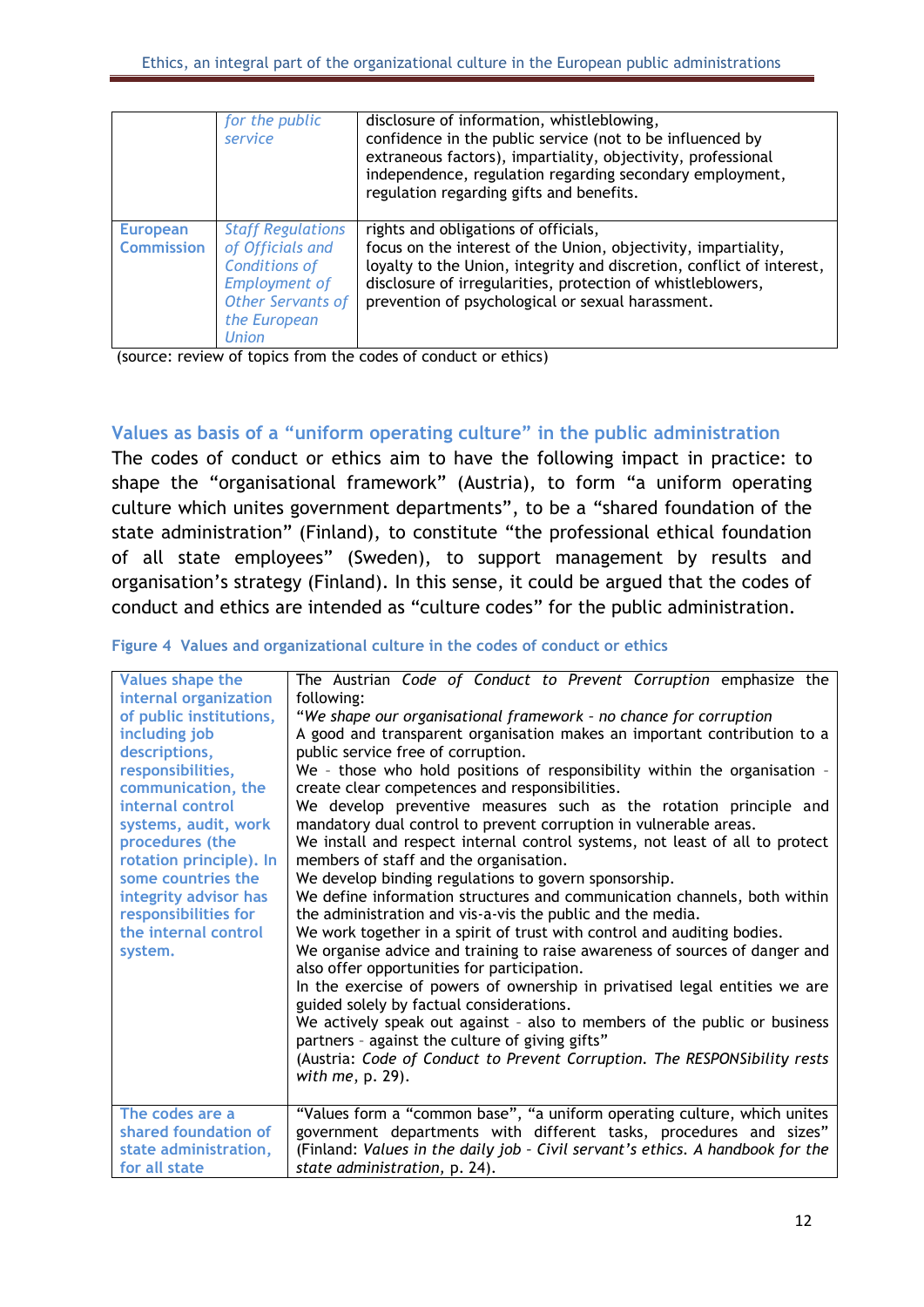|                                      | for the public<br>service                                                                                                                         | disclosure of information, whistleblowing,<br>confidence in the public service (not to be influenced by<br>extraneous factors), impartiality, objectivity, professional<br>independence, regulation regarding secondary employment,<br>regulation regarding gifts and benefits.                     |
|--------------------------------------|---------------------------------------------------------------------------------------------------------------------------------------------------|-----------------------------------------------------------------------------------------------------------------------------------------------------------------------------------------------------------------------------------------------------------------------------------------------------|
| <b>European</b><br><b>Commission</b> | <b>Staff Regulations</b><br>of Officials and<br><b>Conditions of</b><br><b>Employment of</b><br>Other Servants of<br>the European<br><b>Union</b> | rights and obligations of officials,<br>focus on the interest of the Union, objectivity, impartiality,<br>loyalty to the Union, integrity and discretion, conflict of interest,<br>disclosure of irregularities, protection of whistleblowers,<br>prevention of psychological or sexual harassment. |

(source: review of topics from the codes of conduct or ethics)

#### <span id="page-12-0"></span>**Values as basis of a "uniform operating culture" in the public administration**

The codes of conduct or ethics aim to have the following impact in practice: to shape the "organisational framework" (Austria), to form "a uniform operating culture which unites government departments", to be a "shared foundation of the state administration" (Finland), to constitute "the professional ethical foundation of all state employees" (Sweden), to support management by results and organisation's strategy (Finland). In this sense, it could be argued that the codes of conduct and ethics are intended as "culture codes" for the public administration.

| <b>Values shape the</b> | The Austrian Code of Conduct to Prevent Corruption emphasize the                                                       |
|-------------------------|------------------------------------------------------------------------------------------------------------------------|
| internal organization   | following:                                                                                                             |
| of public institutions, | "We shape our organisational framework - no chance for corruption                                                      |
| including job           | A good and transparent organisation makes an important contribution to a                                               |
| descriptions,           | public service free of corruption.                                                                                     |
| responsibilities,       | We - those who hold positions of responsibility within the organisation -                                              |
| communication, the      | create clear competences and responsibilities.                                                                         |
| internal control        | We develop preventive measures such as the rotation principle and                                                      |
| systems, audit, work    | mandatory dual control to prevent corruption in vulnerable areas.                                                      |
| procedures (the         | We install and respect internal control systems, not least of all to protect                                           |
| rotation principle). In | members of staff and the organisation.                                                                                 |
| some countries the      | We develop binding regulations to govern sponsorship.                                                                  |
| integrity advisor has   | We define information structures and communication channels, both within                                               |
| responsibilities for    | the administration and vis-a-vis the public and the media.                                                             |
| the internal control    | We work together in a spirit of trust with control and auditing bodies.                                                |
| system.                 | We organise advice and training to raise awareness of sources of danger and                                            |
|                         | also offer opportunities for participation.                                                                            |
|                         | In the exercise of powers of ownership in privatised legal entities we are<br>guided solely by factual considerations. |
|                         | We actively speak out against - also to members of the public or business                                              |
|                         | partners - against the culture of giving gifts"                                                                        |
|                         | (Austria: Code of Conduct to Prevent Corruption. The RESPONSibility rests                                              |
|                         | with $me$ , p. 29).                                                                                                    |
|                         |                                                                                                                        |
| The codes are a         | "Values form a "common base", "a uniform operating culture, which unites                                               |
| shared foundation of    | government departments with different tasks, procedures and sizes"                                                     |
| state administration,   | (Finland: Values in the daily job - Civil servant's ethics. A handbook for the                                         |
| for all state           | state administration, p. 24).                                                                                          |

<span id="page-12-1"></span>

|  | Figure 4 Values and organizational culture in the codes of conduct or ethics |
|--|------------------------------------------------------------------------------|
|--|------------------------------------------------------------------------------|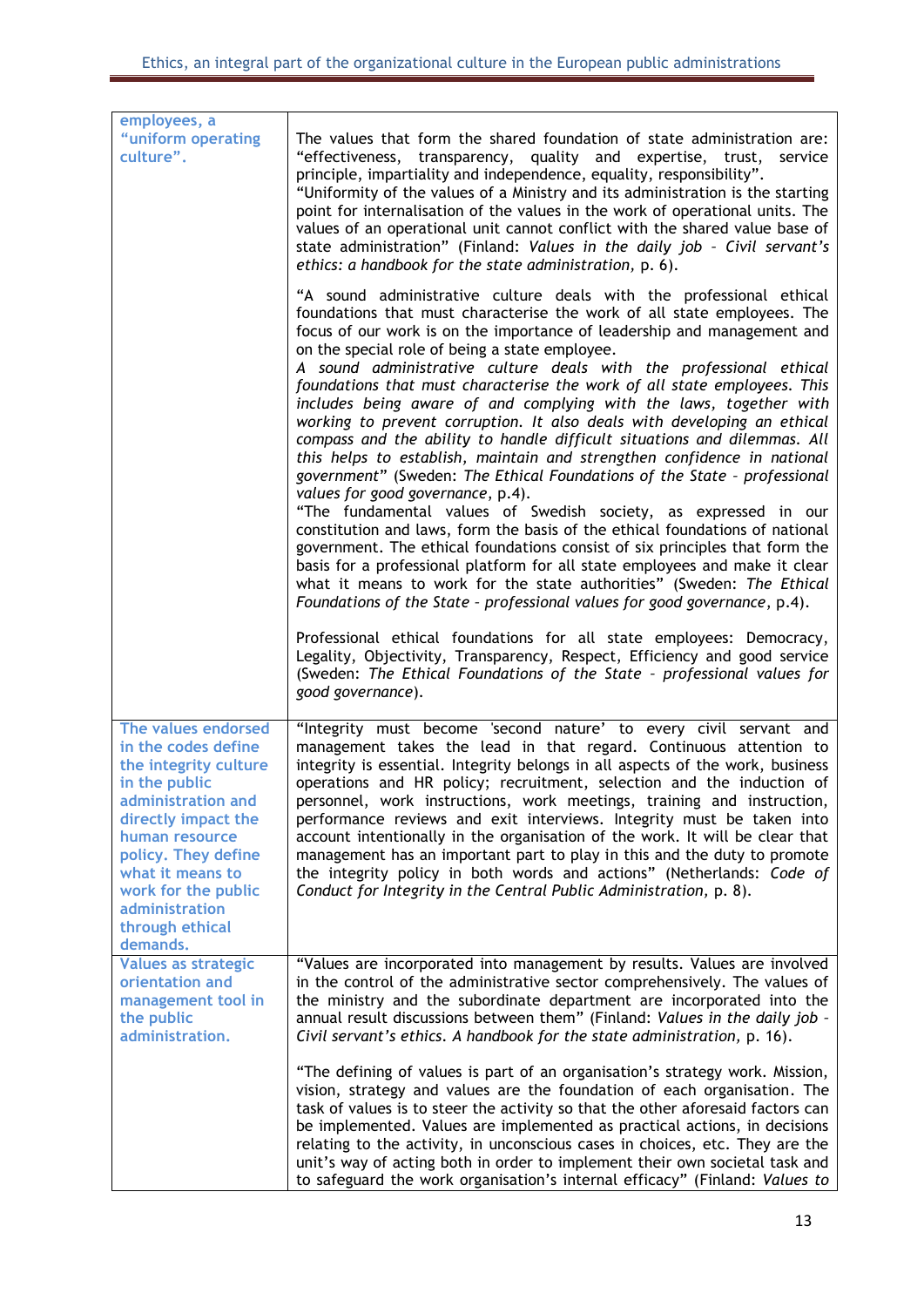| employees, a<br>"uniform operating<br>culture".                                                                                                                                                                                                                        | The values that form the shared foundation of state administration are:<br>"effectiveness, transparency, quality and expertise, trust,<br>service<br>principle, impartiality and independence, equality, responsibility".<br>"Uniformity of the values of a Ministry and its administration is the starting<br>point for internalisation of the values in the work of operational units. The<br>values of an operational unit cannot conflict with the shared value base of<br>state administration" (Finland: Values in the daily job - Civil servant's<br>ethics: a handbook for the state administration, p. 6).<br>"A sound administrative culture deals with the professional ethical<br>foundations that must characterise the work of all state employees. The<br>focus of our work is on the importance of leadership and management and<br>on the special role of being a state employee.<br>A sound administrative culture deals with the professional ethical<br>foundations that must characterise the work of all state employees. This<br>includes being aware of and complying with the laws, together with<br>working to prevent corruption. It also deals with developing an ethical<br>compass and the ability to handle difficult situations and dilemmas. All |
|------------------------------------------------------------------------------------------------------------------------------------------------------------------------------------------------------------------------------------------------------------------------|-----------------------------------------------------------------------------------------------------------------------------------------------------------------------------------------------------------------------------------------------------------------------------------------------------------------------------------------------------------------------------------------------------------------------------------------------------------------------------------------------------------------------------------------------------------------------------------------------------------------------------------------------------------------------------------------------------------------------------------------------------------------------------------------------------------------------------------------------------------------------------------------------------------------------------------------------------------------------------------------------------------------------------------------------------------------------------------------------------------------------------------------------------------------------------------------------------------------------------------------------------------------------------------|
|                                                                                                                                                                                                                                                                        | this helps to establish, maintain and strengthen confidence in national<br>government" (Sweden: The Ethical Foundations of the State - professional<br>values for good governance, p.4).<br>"The fundamental values of Swedish society, as expressed in our<br>constitution and laws, form the basis of the ethical foundations of national<br>government. The ethical foundations consist of six principles that form the<br>basis for a professional platform for all state employees and make it clear<br>what it means to work for the state authorities" (Sweden: The Ethical<br>Foundations of the State - professional values for good governance, p.4).                                                                                                                                                                                                                                                                                                                                                                                                                                                                                                                                                                                                                   |
|                                                                                                                                                                                                                                                                        | Professional ethical foundations for all state employees: Democracy,<br>Legality, Objectivity, Transparency, Respect, Efficiency and good service<br>(Sweden: The Ethical Foundations of the State - professional values for<br>good governance).                                                                                                                                                                                                                                                                                                                                                                                                                                                                                                                                                                                                                                                                                                                                                                                                                                                                                                                                                                                                                                 |
| The values endorsed<br>in the codes define<br>the integrity culture<br>in the public<br>administration and<br>directly impact the<br>human resource<br>policy. They define<br>what it means to<br>work for the public<br>administration<br>through ethical<br>demands. | "Integrity must become 'second nature' to every civil servant and<br>management takes the lead in that regard. Continuous attention to<br>integrity is essential. Integrity belongs in all aspects of the work, business<br>operations and HR policy; recruitment, selection and the induction of<br>personnel, work instructions, work meetings, training and instruction,<br>performance reviews and exit interviews. Integrity must be taken into<br>account intentionally in the organisation of the work. It will be clear that<br>management has an important part to play in this and the duty to promote<br>the integrity policy in both words and actions" (Netherlands: Code of<br>Conduct for Integrity in the Central Public Administration, p. 8).                                                                                                                                                                                                                                                                                                                                                                                                                                                                                                                   |
| <b>Values as strategic</b><br>orientation and<br>management tool in<br>the public<br>administration.                                                                                                                                                                   | "Values are incorporated into management by results. Values are involved<br>in the control of the administrative sector comprehensively. The values of<br>the ministry and the subordinate department are incorporated into the<br>annual result discussions between them" (Finland: Values in the daily job -<br>Civil servant's ethics. A handbook for the state administration, p. 16).                                                                                                                                                                                                                                                                                                                                                                                                                                                                                                                                                                                                                                                                                                                                                                                                                                                                                        |
|                                                                                                                                                                                                                                                                        | "The defining of values is part of an organisation's strategy work. Mission,<br>vision, strategy and values are the foundation of each organisation. The<br>task of values is to steer the activity so that the other aforesaid factors can<br>be implemented. Values are implemented as practical actions, in decisions<br>relating to the activity, in unconscious cases in choices, etc. They are the<br>unit's way of acting both in order to implement their own societal task and<br>to safeguard the work organisation's internal efficacy" (Finland: Values to                                                                                                                                                                                                                                                                                                                                                                                                                                                                                                                                                                                                                                                                                                            |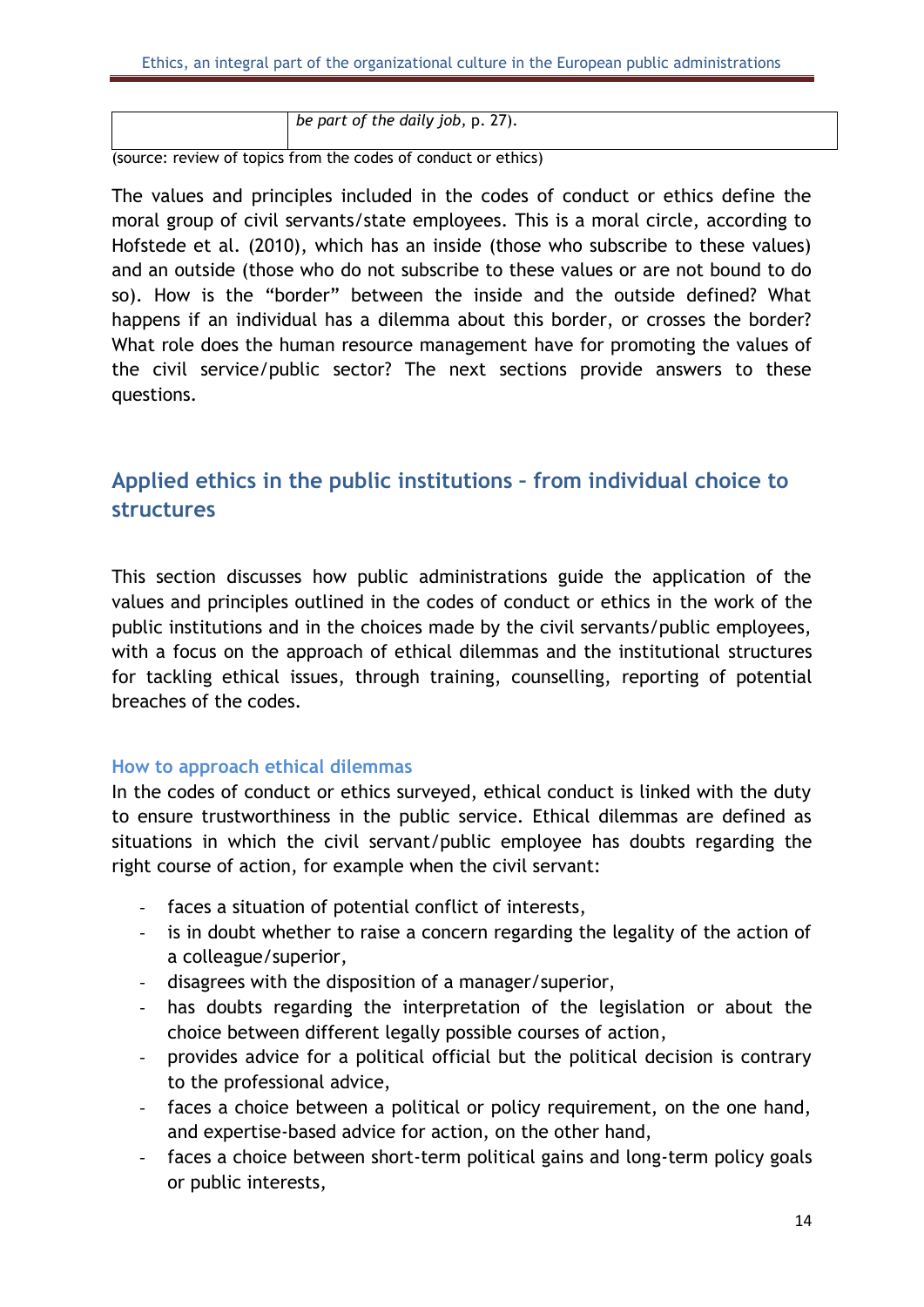```
be part of the daily job, p. 27).
```
(source: review of topics from the codes of conduct or ethics)

The values and principles included in the codes of conduct or ethics define the moral group of civil servants/state employees. This is a moral circle, according to Hofstede et al. (2010), which has an inside (those who subscribe to these values) and an outside (those who do not subscribe to these values or are not bound to do so). How is the "border" between the inside and the outside defined? What happens if an individual has a dilemma about this border, or crosses the border? What role does the human resource management have for promoting the values of the civil service/public sector? The next sections provide answers to these questions.

# <span id="page-14-0"></span>**Applied ethics in the public institutions – from individual choice to structures**

This section discusses how public administrations guide the application of the values and principles outlined in the codes of conduct or ethics in the work of the public institutions and in the choices made by the civil servants/public employees, with a focus on the approach of ethical dilemmas and the institutional structures for tackling ethical issues, through training, counselling, reporting of potential breaches of the codes.

#### <span id="page-14-1"></span>**How to approach ethical dilemmas**

In the codes of conduct or ethics surveyed, ethical conduct is linked with the duty to ensure trustworthiness in the public service. Ethical dilemmas are defined as situations in which the civil servant/public employee has doubts regarding the right course of action, for example when the civil servant:

- faces a situation of potential conflict of interests,
- is in doubt whether to raise a concern regarding the legality of the action of a colleague/superior,
- disagrees with the disposition of a manager/superior,
- has doubts regarding the interpretation of the legislation or about the choice between different legally possible courses of action,
- provides advice for a political official but the political decision is contrary to the professional advice,
- faces a choice between a political or policy requirement, on the one hand, and expertise-based advice for action, on the other hand,
- faces a choice between short-term political gains and long-term policy goals or public interests,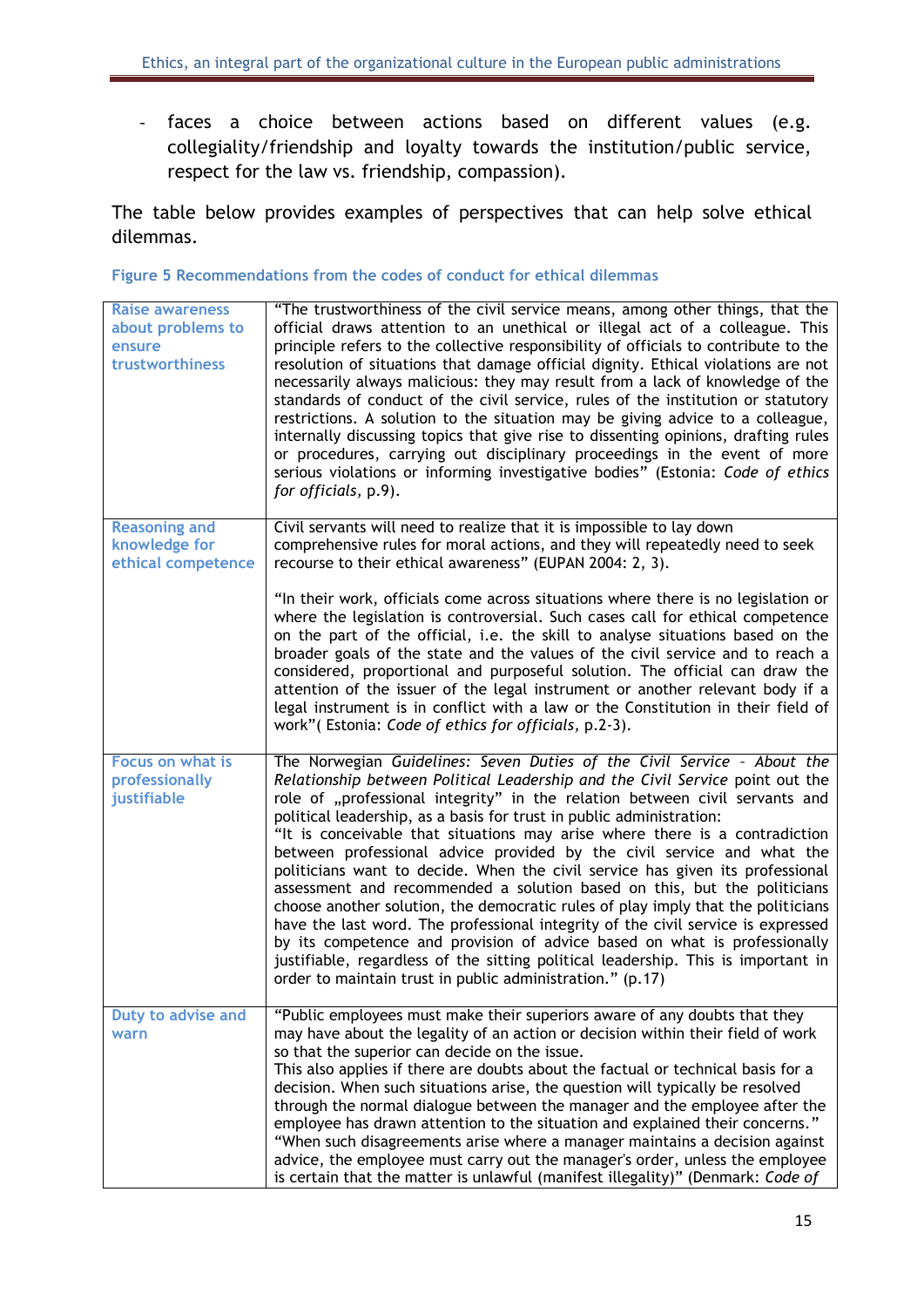- faces a choice between actions based on different values (e.g. collegiality/friendship and loyalty towards the institution/public service, respect for the law vs. friendship, compassion).

The table below provides examples of perspectives that can help solve ethical dilemmas.

<span id="page-15-0"></span>**Figure 5 Recommendations from the codes of conduct for ethical dilemmas**

| <b>Raise awareness</b><br>about problems to<br>ensure<br>trustworthiness | "The trustworthiness of the civil service means, among other things, that the<br>official draws attention to an unethical or illegal act of a colleague. This<br>principle refers to the collective responsibility of officials to contribute to the<br>resolution of situations that damage official dignity. Ethical violations are not<br>necessarily always malicious: they may result from a lack of knowledge of the<br>standards of conduct of the civil service, rules of the institution or statutory<br>restrictions. A solution to the situation may be giving advice to a colleague,<br>internally discussing topics that give rise to dissenting opinions, drafting rules<br>or procedures, carrying out disciplinary proceedings in the event of more<br>serious violations or informing investigative bodies" (Estonia: Code of ethics<br>for officials, p.9).                                                                                                                                                                |
|--------------------------------------------------------------------------|----------------------------------------------------------------------------------------------------------------------------------------------------------------------------------------------------------------------------------------------------------------------------------------------------------------------------------------------------------------------------------------------------------------------------------------------------------------------------------------------------------------------------------------------------------------------------------------------------------------------------------------------------------------------------------------------------------------------------------------------------------------------------------------------------------------------------------------------------------------------------------------------------------------------------------------------------------------------------------------------------------------------------------------------|
| <b>Reasoning and</b><br>knowledge for<br>ethical competence              | Civil servants will need to realize that it is impossible to lay down<br>comprehensive rules for moral actions, and they will repeatedly need to seek<br>recourse to their ethical awareness" (EUPAN 2004: 2, 3).                                                                                                                                                                                                                                                                                                                                                                                                                                                                                                                                                                                                                                                                                                                                                                                                                            |
|                                                                          | "In their work, officials come across situations where there is no legislation or<br>where the legislation is controversial. Such cases call for ethical competence<br>on the part of the official, i.e. the skill to analyse situations based on the<br>broader goals of the state and the values of the civil service and to reach a<br>considered, proportional and purposeful solution. The official can draw the<br>attention of the issuer of the legal instrument or another relevant body if a<br>legal instrument is in conflict with a law or the Constitution in their field of<br>work" (Estonia: Code of ethics for officials, p.2-3).                                                                                                                                                                                                                                                                                                                                                                                          |
| Focus on what is<br>professionally<br>justifiable                        | The Norwegian Guidelines: Seven Duties of the Civil Service - About the<br>Relationship between Political Leadership and the Civil Service point out the<br>role of "professional integrity" in the relation between civil servants and<br>political leadership, as a basis for trust in public administration:<br>"It is conceivable that situations may arise where there is a contradiction<br>between professional advice provided by the civil service and what the<br>politicians want to decide. When the civil service has given its professional<br>assessment and recommended a solution based on this, but the politicians<br>choose another solution, the democratic rules of play imply that the politicians<br>have the last word. The professional integrity of the civil service is expressed<br>by its competence and provision of advice based on what is professionally<br>justifiable, regardless of the sitting political leadership. This is important in<br>order to maintain trust in public administration." (p.17) |
| Duty to advise and<br>warn                                               | "Public employees must make their superiors aware of any doubts that they<br>may have about the legality of an action or decision within their field of work<br>so that the superior can decide on the issue.<br>This also applies if there are doubts about the factual or technical basis for a<br>decision. When such situations arise, the question will typically be resolved<br>through the normal dialogue between the manager and the employee after the<br>employee has drawn attention to the situation and explained their concerns."<br>"When such disagreements arise where a manager maintains a decision against<br>advice, the employee must carry out the manager's order, unless the employee<br>is certain that the matter is unlawful (manifest illegality)" (Denmark: Code of                                                                                                                                                                                                                                           |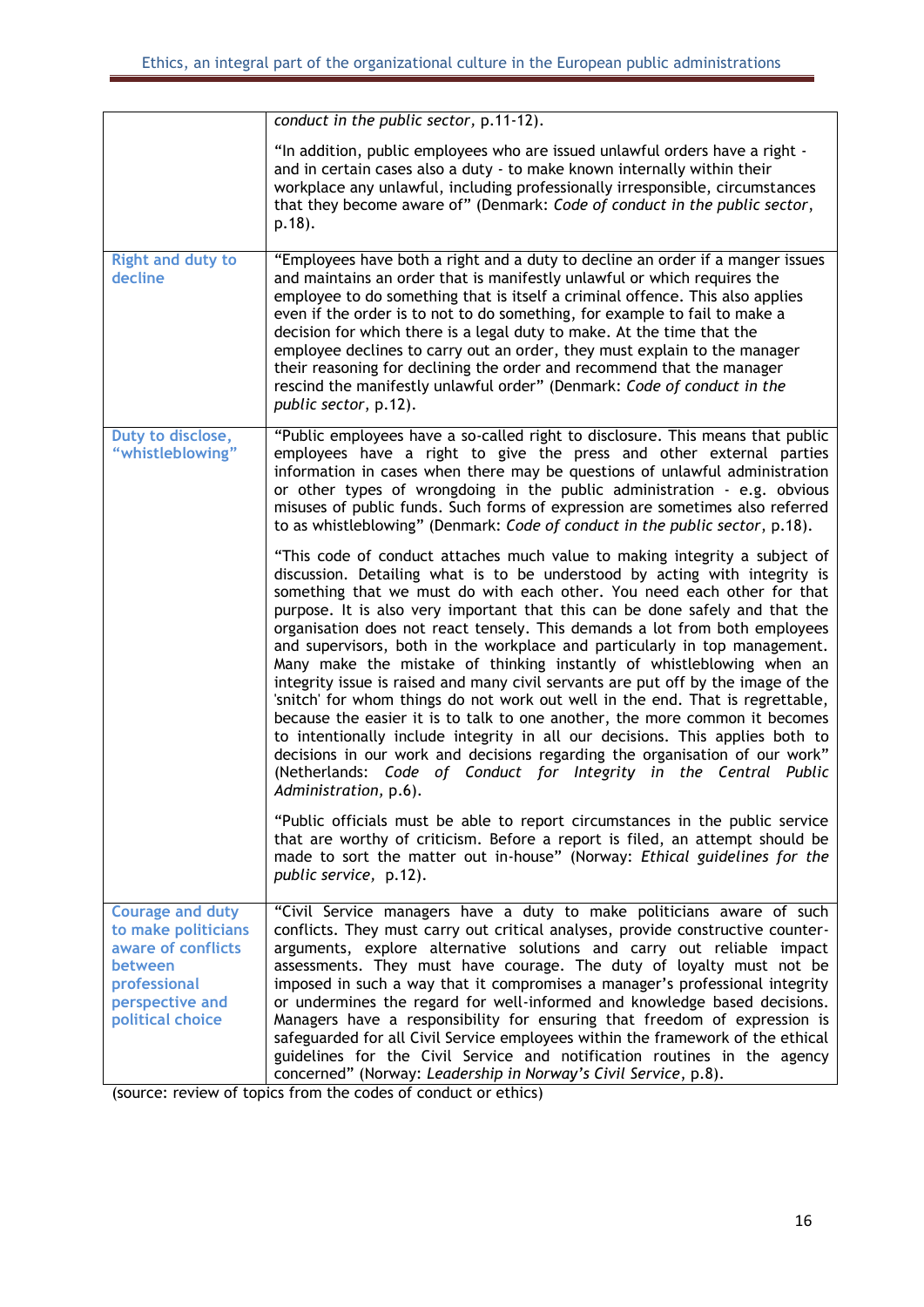|                                                                                                                                        | conduct in the public sector, p.11-12).                                                                                                                                                                                                                                                                                                                                                                                                                                                                                                                                                                                                                                                                                                                                                                                                                                                                                                                                                                                                                                       |
|----------------------------------------------------------------------------------------------------------------------------------------|-------------------------------------------------------------------------------------------------------------------------------------------------------------------------------------------------------------------------------------------------------------------------------------------------------------------------------------------------------------------------------------------------------------------------------------------------------------------------------------------------------------------------------------------------------------------------------------------------------------------------------------------------------------------------------------------------------------------------------------------------------------------------------------------------------------------------------------------------------------------------------------------------------------------------------------------------------------------------------------------------------------------------------------------------------------------------------|
|                                                                                                                                        | "In addition, public employees who are issued unlawful orders have a right -<br>and in certain cases also a duty - to make known internally within their<br>workplace any unlawful, including professionally irresponsible, circumstances<br>that they become aware of" (Denmark: Code of conduct in the public sector,<br>$p.18$ ).                                                                                                                                                                                                                                                                                                                                                                                                                                                                                                                                                                                                                                                                                                                                          |
| <b>Right and duty to</b><br>decline                                                                                                    | "Employees have both a right and a duty to decline an order if a manger issues<br>and maintains an order that is manifestly unlawful or which requires the<br>employee to do something that is itself a criminal offence. This also applies<br>even if the order is to not to do something, for example to fail to make a<br>decision for which there is a legal duty to make. At the time that the<br>employee declines to carry out an order, they must explain to the manager<br>their reasoning for declining the order and recommend that the manager<br>rescind the manifestly unlawful order" (Denmark: Code of conduct in the<br>public sector, p.12).                                                                                                                                                                                                                                                                                                                                                                                                                |
| Duty to disclose,<br>"whistleblowing"                                                                                                  | "Public employees have a so-called right to disclosure. This means that public<br>employees have a right to give the press and other external parties<br>information in cases when there may be questions of unlawful administration<br>or other types of wrongdoing in the public administration - e.g. obvious<br>misuses of public funds. Such forms of expression are sometimes also referred<br>to as whistleblowing" (Denmark: Code of conduct in the public sector, p.18).                                                                                                                                                                                                                                                                                                                                                                                                                                                                                                                                                                                             |
|                                                                                                                                        | "This code of conduct attaches much value to making integrity a subject of<br>discussion. Detailing what is to be understood by acting with integrity is<br>something that we must do with each other. You need each other for that<br>purpose. It is also very important that this can be done safely and that the<br>organisation does not react tensely. This demands a lot from both employees<br>and supervisors, both in the workplace and particularly in top management.<br>Many make the mistake of thinking instantly of whistleblowing when an<br>integrity issue is raised and many civil servants are put off by the image of the<br>'snitch' for whom things do not work out well in the end. That is regrettable,<br>because the easier it is to talk to one another, the more common it becomes<br>to intentionally include integrity in all our decisions. This applies both to<br>decisions in our work and decisions regarding the organisation of our work"<br>(Netherlands: Code of Conduct for Integrity in the Central Public<br>Administration, p.6). |
|                                                                                                                                        | "Public officials must be able to report circumstances in the public service<br>that are worthy of criticism. Before a report is filed, an attempt should be<br>made to sort the matter out in-house" (Norway: Ethical guidelines for the<br>public service, p.12).                                                                                                                                                                                                                                                                                                                                                                                                                                                                                                                                                                                                                                                                                                                                                                                                           |
| <b>Courage and duty</b><br>to make politicians<br>aware of conflicts<br>between<br>professional<br>perspective and<br>political choice | "Civil Service managers have a duty to make politicians aware of such<br>conflicts. They must carry out critical analyses, provide constructive counter-<br>arguments, explore alternative solutions and carry out reliable impact<br>assessments. They must have courage. The duty of loyalty must not be<br>imposed in such a way that it compromises a manager's professional integrity<br>or undermines the regard for well-informed and knowledge based decisions.<br>Managers have a responsibility for ensuring that freedom of expression is<br>safeguarded for all Civil Service employees within the framework of the ethical<br>guidelines for the Civil Service and notification routines in the agency<br>concerned" (Norway: Leadership in Norway's Civil Service, p.8).<br>(source: rowing of topics from the codes of conduct or othics)                                                                                                                                                                                                                      |

(source: review of topics from the codes of conduct or ethics)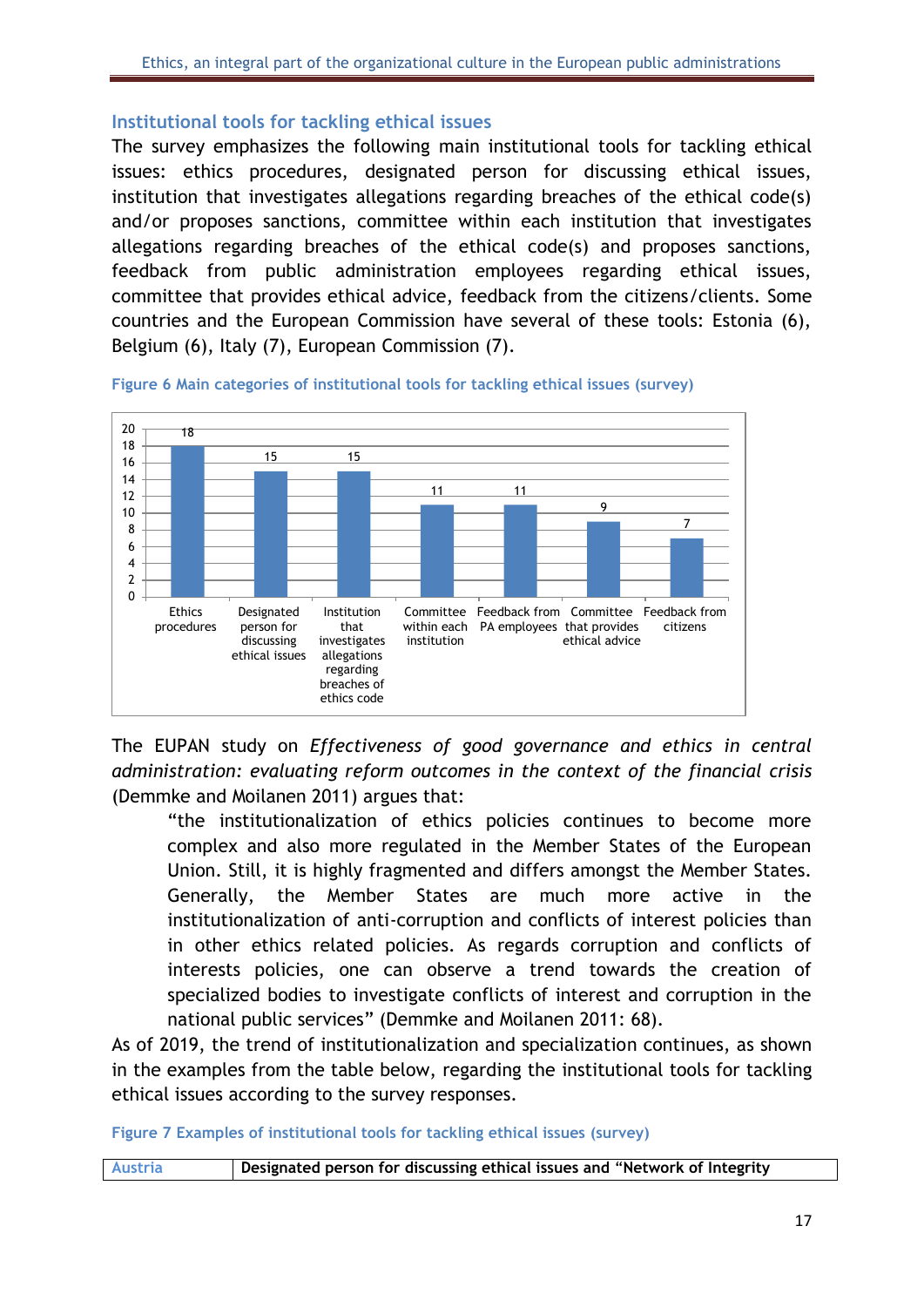#### <span id="page-17-0"></span>**Institutional tools for tackling ethical issues**

The survey emphasizes the following main institutional tools for tackling ethical issues: ethics procedures, designated person for discussing ethical issues, institution that investigates allegations regarding breaches of the ethical code(s) and/or proposes sanctions, committee within each institution that investigates allegations regarding breaches of the ethical code(s) and proposes sanctions, feedback from public administration employees regarding ethical issues, committee that provides ethical advice, feedback from the citizens/clients. Some countries and the European Commission have several of these tools: Estonia (6), Belgium (6), Italy (7), European Commission (7).



<span id="page-17-1"></span>**Figure 6 Main categories of institutional tools for tackling ethical issues (survey)**

The EUPAN study on *Effectiveness of good governance and ethics in central administration: evaluating reform outcomes in the context of the financial crisis* (Demmke and Moilanen 2011) argues that:

"the institutionalization of ethics policies continues to become more complex and also more regulated in the Member States of the European Union. Still, it is highly fragmented and differs amongst the Member States. Generally, the Member States are much more active in the institutionalization of anti-corruption and conflicts of interest policies than in other ethics related policies. As regards corruption and conflicts of interests policies, one can observe a trend towards the creation of specialized bodies to investigate conflicts of interest and corruption in the national public services" (Demmke and Moilanen 2011: 68).

As of 2019, the trend of institutionalization and specialization continues, as shown in the examples from the table below, regarding the institutional tools for tackling ethical issues according to the survey responses.

<span id="page-17-2"></span>**Figure 7 Examples of institutional tools for tackling ethical issues (survey)**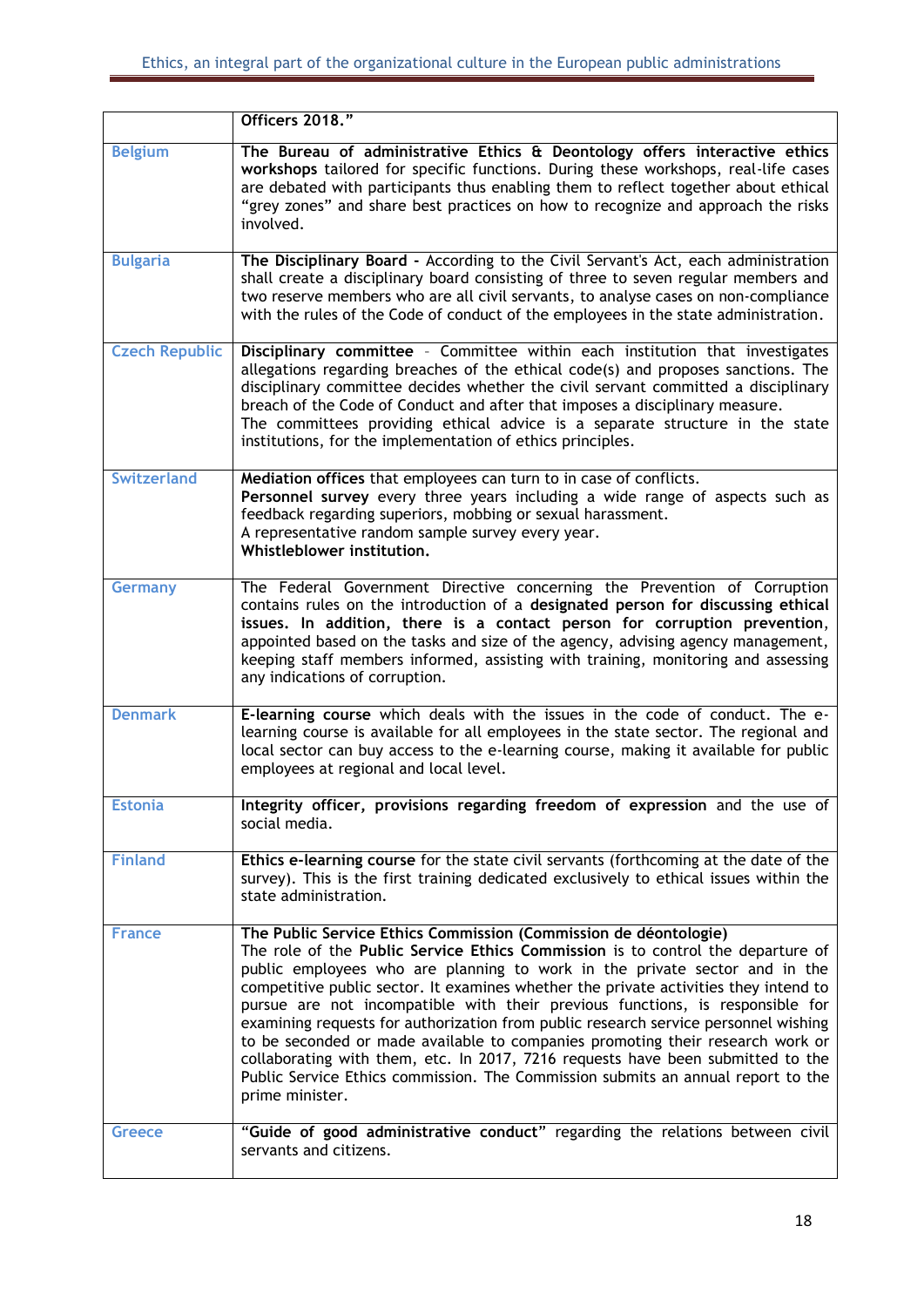|                       | Officers 2018."                                                                                                                                                                                                                                                                                                                                                                                                                                                                                                                                                                                                                                                                                                                                                               |
|-----------------------|-------------------------------------------------------------------------------------------------------------------------------------------------------------------------------------------------------------------------------------------------------------------------------------------------------------------------------------------------------------------------------------------------------------------------------------------------------------------------------------------------------------------------------------------------------------------------------------------------------------------------------------------------------------------------------------------------------------------------------------------------------------------------------|
| <b>Belgium</b>        | The Bureau of administrative Ethics & Deontology offers interactive ethics<br>workshops tailored for specific functions. During these workshops, real-life cases<br>are debated with participants thus enabling them to reflect together about ethical<br>"grey zones" and share best practices on how to recognize and approach the risks<br>involved.                                                                                                                                                                                                                                                                                                                                                                                                                       |
| <b>Bulgaria</b>       | The Disciplinary Board - According to the Civil Servant's Act, each administration<br>shall create a disciplinary board consisting of three to seven regular members and<br>two reserve members who are all civil servants, to analyse cases on non-compliance<br>with the rules of the Code of conduct of the employees in the state administration.                                                                                                                                                                                                                                                                                                                                                                                                                         |
| <b>Czech Republic</b> | Disciplinary committee - Committee within each institution that investigates<br>allegations regarding breaches of the ethical code(s) and proposes sanctions. The<br>disciplinary committee decides whether the civil servant committed a disciplinary<br>breach of the Code of Conduct and after that imposes a disciplinary measure.<br>The committees providing ethical advice is a separate structure in the state<br>institutions, for the implementation of ethics principles.                                                                                                                                                                                                                                                                                          |
| <b>Switzerland</b>    | Mediation offices that employees can turn to in case of conflicts.<br>Personnel survey every three years including a wide range of aspects such as<br>feedback regarding superiors, mobbing or sexual harassment.<br>A representative random sample survey every year.<br>Whistleblower institution.                                                                                                                                                                                                                                                                                                                                                                                                                                                                          |
| <b>Germany</b>        | The Federal Government Directive concerning the Prevention of Corruption<br>contains rules on the introduction of a designated person for discussing ethical<br>issues. In addition, there is a contact person for corruption prevention,<br>appointed based on the tasks and size of the agency, advising agency management,<br>keeping staff members informed, assisting with training, monitoring and assessing<br>any indications of corruption.                                                                                                                                                                                                                                                                                                                          |
| <b>Denmark</b>        | E-learning course which deals with the issues in the code of conduct. The e-<br>learning course is available for all employees in the state sector. The regional and<br>local sector can buy access to the e-learning course, making it available for public<br>employees at regional and local level.                                                                                                                                                                                                                                                                                                                                                                                                                                                                        |
| <b>Estonia</b>        | Integrity officer, provisions regarding freedom of expression and the use of<br>social media.                                                                                                                                                                                                                                                                                                                                                                                                                                                                                                                                                                                                                                                                                 |
| <b>Finland</b>        | Ethics e-learning course for the state civil servants (forthcoming at the date of the<br>survey). This is the first training dedicated exclusively to ethical issues within the<br>state administration.                                                                                                                                                                                                                                                                                                                                                                                                                                                                                                                                                                      |
| <b>France</b>         | The Public Service Ethics Commission (Commission de déontologie)<br>The role of the Public Service Ethics Commission is to control the departure of<br>public employees who are planning to work in the private sector and in the<br>competitive public sector. It examines whether the private activities they intend to<br>pursue are not incompatible with their previous functions, is responsible for<br>examining requests for authorization from public research service personnel wishing<br>to be seconded or made available to companies promoting their research work or<br>collaborating with them, etc. In 2017, 7216 requests have been submitted to the<br>Public Service Ethics commission. The Commission submits an annual report to the<br>prime minister. |
| <b>Greece</b>         | "Guide of good administrative conduct" regarding the relations between civil<br>servants and citizens.                                                                                                                                                                                                                                                                                                                                                                                                                                                                                                                                                                                                                                                                        |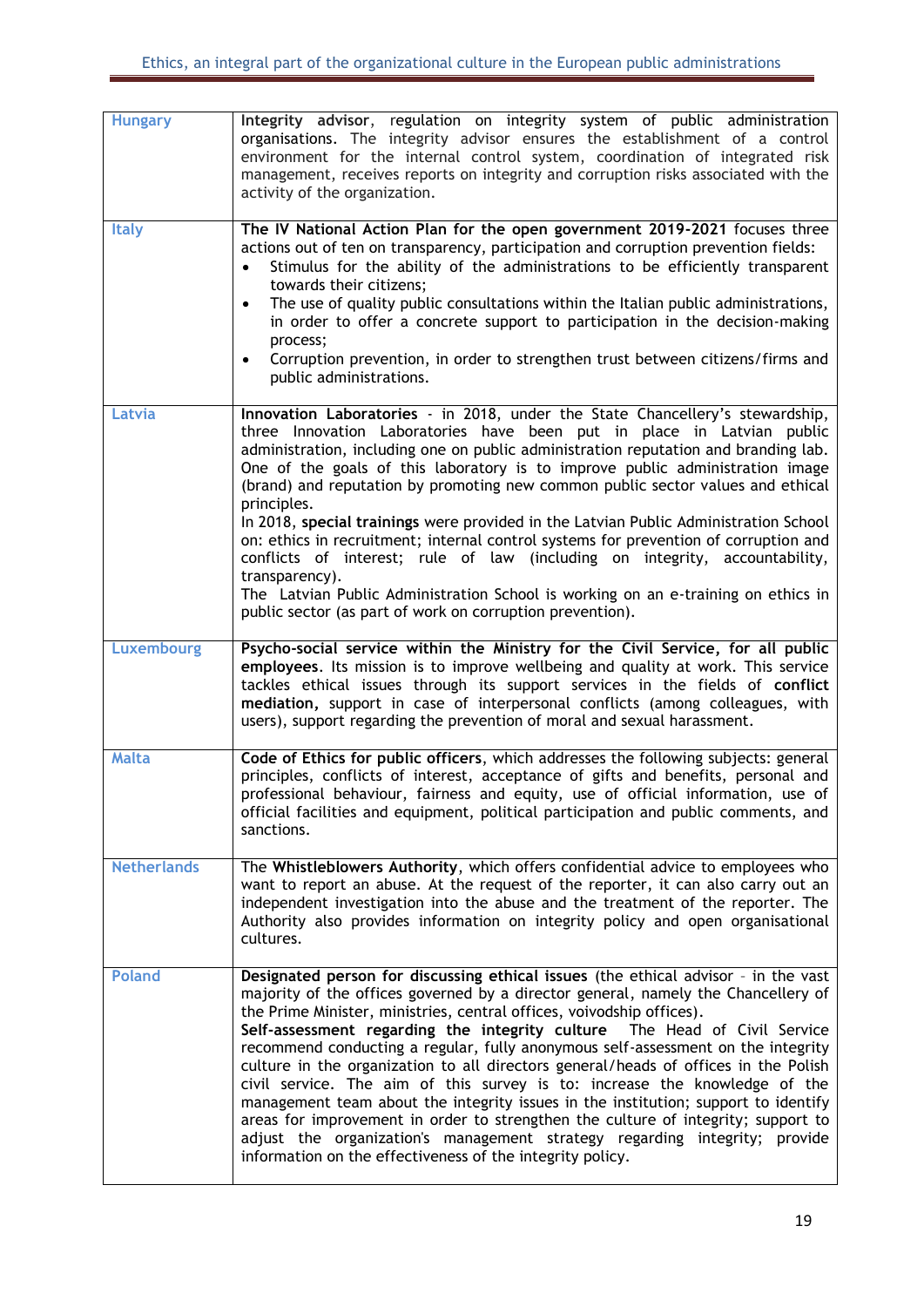| <b>Hungary</b>     | Integrity advisor, regulation on integrity system of public administration<br>organisations. The integrity advisor ensures the establishment of a control<br>environment for the internal control system, coordination of integrated risk<br>management, receives reports on integrity and corruption risks associated with the<br>activity of the organization.                                                                                                                                                                                                                                                                                                                                                                                                                                                                                                                                             |
|--------------------|--------------------------------------------------------------------------------------------------------------------------------------------------------------------------------------------------------------------------------------------------------------------------------------------------------------------------------------------------------------------------------------------------------------------------------------------------------------------------------------------------------------------------------------------------------------------------------------------------------------------------------------------------------------------------------------------------------------------------------------------------------------------------------------------------------------------------------------------------------------------------------------------------------------|
| <b>Italy</b>       | The IV National Action Plan for the open government 2019-2021 focuses three<br>actions out of ten on transparency, participation and corruption prevention fields:<br>Stimulus for the ability of the administrations to be efficiently transparent<br>$\bullet$<br>towards their citizens;<br>The use of quality public consultations within the Italian public administrations,<br>$\bullet$<br>in order to offer a concrete support to participation in the decision-making<br>process;<br>Corruption prevention, in order to strengthen trust between citizens/firms and<br>$\bullet$<br>public administrations.                                                                                                                                                                                                                                                                                         |
| Latvia             | Innovation Laboratories - in 2018, under the State Chancellery's stewardship,<br>three Innovation Laboratories have been put in place in Latvian public<br>administration, including one on public administration reputation and branding lab.<br>One of the goals of this laboratory is to improve public administration image<br>(brand) and reputation by promoting new common public sector values and ethical<br>principles.<br>In 2018, special trainings were provided in the Latvian Public Administration School<br>on: ethics in recruitment; internal control systems for prevention of corruption and<br>conflicts of interest; rule of law (including on integrity, accountability,<br>transparency).<br>The Latvian Public Administration School is working on an e-training on ethics in<br>public sector (as part of work on corruption prevention).                                         |
| <b>Luxembourg</b>  | Psycho-social service within the Ministry for the Civil Service, for all public<br>employees. Its mission is to improve wellbeing and quality at work. This service<br>tackles ethical issues through its support services in the fields of conflict<br>mediation, support in case of interpersonal conflicts (among colleagues, with<br>users), support regarding the prevention of moral and sexual harassment.                                                                                                                                                                                                                                                                                                                                                                                                                                                                                            |
| <b>Malta</b>       | Code of Ethics for public officers, which addresses the following subjects: general<br>principles, conflicts of interest, acceptance of gifts and benefits, personal and<br>professional behaviour, fairness and equity, use of official information, use of<br>official facilities and equipment, political participation and public comments, and<br>sanctions.                                                                                                                                                                                                                                                                                                                                                                                                                                                                                                                                            |
| <b>Netherlands</b> | The Whistleblowers Authority, which offers confidential advice to employees who<br>want to report an abuse. At the request of the reporter, it can also carry out an<br>independent investigation into the abuse and the treatment of the reporter. The<br>Authority also provides information on integrity policy and open organisational<br>cultures.                                                                                                                                                                                                                                                                                                                                                                                                                                                                                                                                                      |
| <b>Poland</b>      | Designated person for discussing ethical issues (the ethical advisor - in the vast<br>majority of the offices governed by a director general, namely the Chancellery of<br>the Prime Minister, ministries, central offices, voivodship offices).<br>Self-assessment regarding the integrity culture The Head of Civil Service<br>recommend conducting a regular, fully anonymous self-assessment on the integrity<br>culture in the organization to all directors general/heads of offices in the Polish<br>civil service. The aim of this survey is to: increase the knowledge of the<br>management team about the integrity issues in the institution; support to identify<br>areas for improvement in order to strengthen the culture of integrity; support to<br>adjust the organization's management strategy regarding integrity; provide<br>information on the effectiveness of the integrity policy. |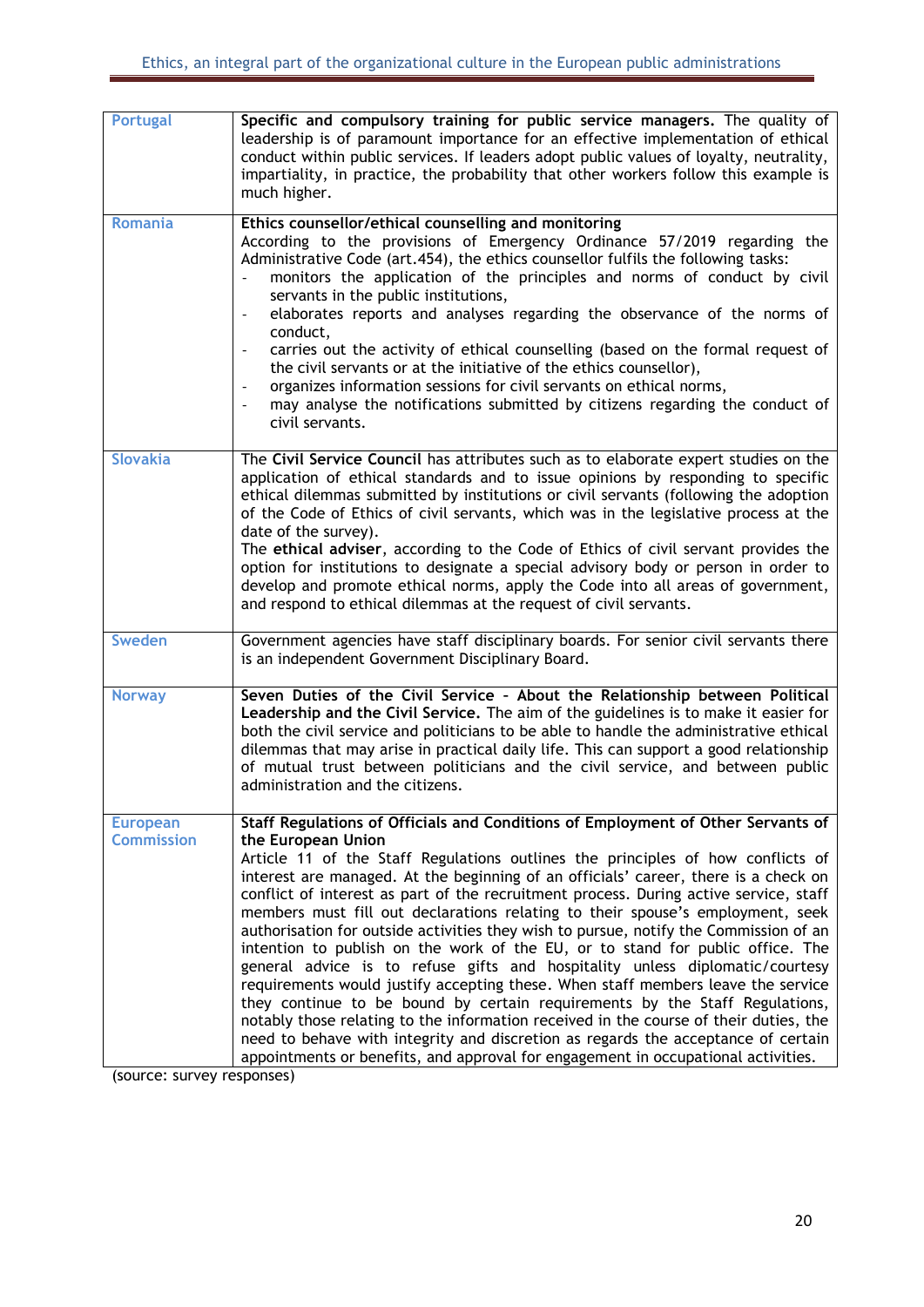| <b>Portugal</b>                      | Specific and compulsory training for public service managers. The quality of<br>leadership is of paramount importance for an effective implementation of ethical<br>conduct within public services. If leaders adopt public values of loyalty, neutrality,<br>impartiality, in practice, the probability that other workers follow this example is<br>much higher.                                                                                                                                                                                                                                                                                                                                                                                                                                                                                                                                                                                                                                                                                                                                                                                           |
|--------------------------------------|--------------------------------------------------------------------------------------------------------------------------------------------------------------------------------------------------------------------------------------------------------------------------------------------------------------------------------------------------------------------------------------------------------------------------------------------------------------------------------------------------------------------------------------------------------------------------------------------------------------------------------------------------------------------------------------------------------------------------------------------------------------------------------------------------------------------------------------------------------------------------------------------------------------------------------------------------------------------------------------------------------------------------------------------------------------------------------------------------------------------------------------------------------------|
| <b>Romania</b>                       | Ethics counsellor/ethical counselling and monitoring<br>According to the provisions of Emergency Ordinance 57/2019 regarding the<br>Administrative Code (art.454), the ethics counsellor fulfils the following tasks:<br>monitors the application of the principles and norms of conduct by civil<br>servants in the public institutions,<br>elaborates reports and analyses regarding the observance of the norms of<br>$\qquad \qquad -$<br>conduct,<br>carries out the activity of ethical counselling (based on the formal request of<br>$\overline{\phantom{a}}$<br>the civil servants or at the initiative of the ethics counsellor),<br>organizes information sessions for civil servants on ethical norms,<br>$\qquad \qquad \blacksquare$<br>may analyse the notifications submitted by citizens regarding the conduct of<br>civil servants.                                                                                                                                                                                                                                                                                                        |
| <b>Slovakia</b>                      | The Civil Service Council has attributes such as to elaborate expert studies on the<br>application of ethical standards and to issue opinions by responding to specific<br>ethical dilemmas submitted by institutions or civil servants (following the adoption<br>of the Code of Ethics of civil servants, which was in the legislative process at the<br>date of the survey).<br>The ethical adviser, according to the Code of Ethics of civil servant provides the<br>option for institutions to designate a special advisory body or person in order to<br>develop and promote ethical norms, apply the Code into all areas of government,<br>and respond to ethical dilemmas at the request of civil servants.                                                                                                                                                                                                                                                                                                                                                                                                                                          |
| Sweden                               | Government agencies have staff disciplinary boards. For senior civil servants there<br>is an independent Government Disciplinary Board.                                                                                                                                                                                                                                                                                                                                                                                                                                                                                                                                                                                                                                                                                                                                                                                                                                                                                                                                                                                                                      |
| <b>Norway</b>                        | Seven Duties of the Civil Service - About the Relationship between Political<br>Leadership and the Civil Service. The aim of the guidelines is to make it easier for<br>both the civil service and politicians to be able to handle the administrative ethical<br>dilemmas that may arise in practical daily life. This can support a good relationship<br>of mutual trust between politicians and the civil service, and between public<br>administration and the citizens.                                                                                                                                                                                                                                                                                                                                                                                                                                                                                                                                                                                                                                                                                 |
| <b>European</b><br><b>Commission</b> | Staff Regulations of Officials and Conditions of Employment of Other Servants of<br>the European Union<br>Article 11 of the Staff Regulations outlines the principles of how conflicts of<br>interest are managed. At the beginning of an officials' career, there is a check on<br>conflict of interest as part of the recruitment process. During active service, staff<br>members must fill out declarations relating to their spouse's employment, seek<br>authorisation for outside activities they wish to pursue, notify the Commission of an<br>intention to publish on the work of the EU, or to stand for public office. The<br>general advice is to refuse gifts and hospitality unless diplomatic/courtesy<br>requirements would justify accepting these. When staff members leave the service<br>they continue to be bound by certain requirements by the Staff Regulations,<br>notably those relating to the information received in the course of their duties, the<br>need to behave with integrity and discretion as regards the acceptance of certain<br>appointments or benefits, and approval for engagement in occupational activities. |

(source: survey responses)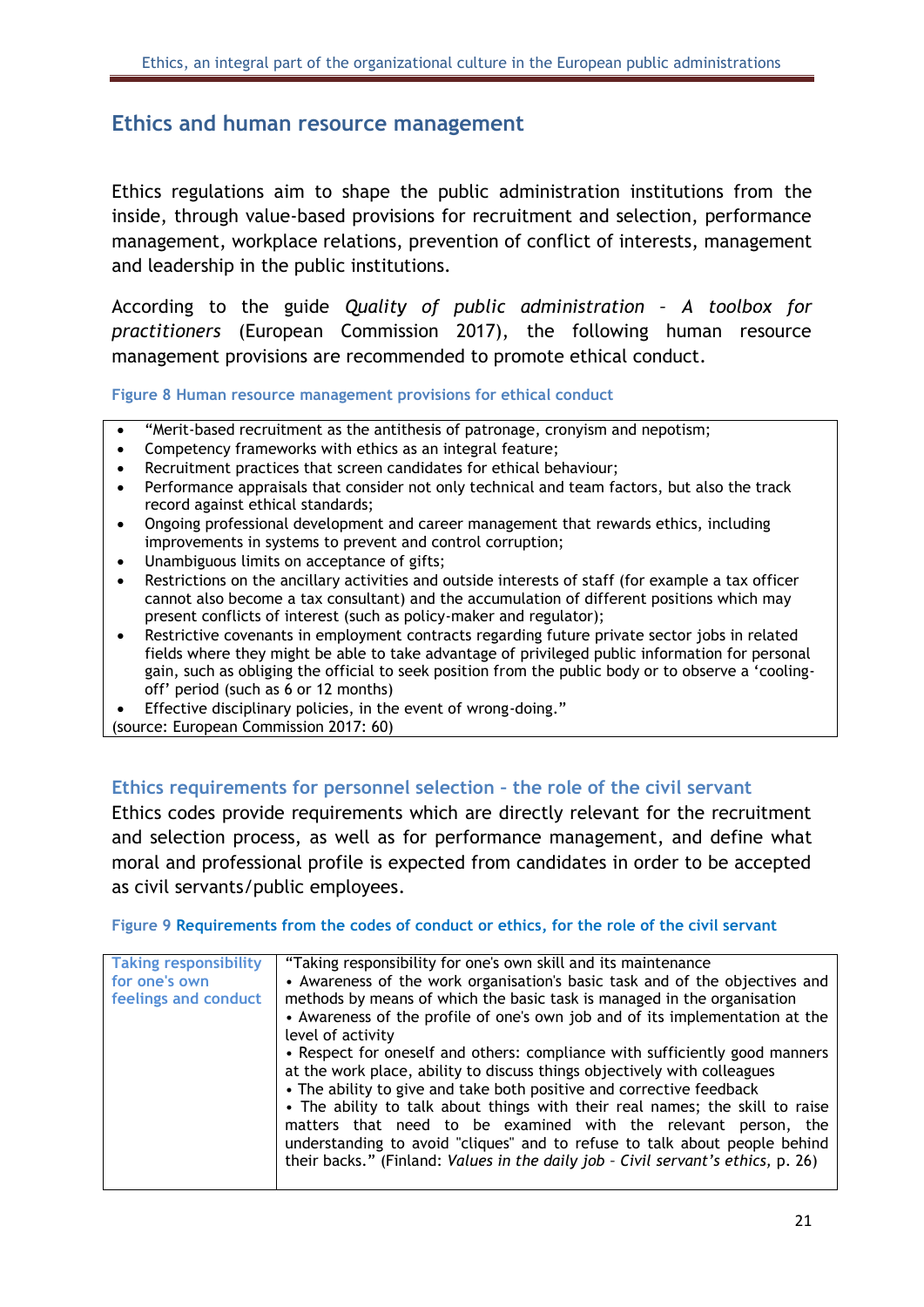### <span id="page-21-0"></span>**Ethics and human resource management**

Ethics regulations aim to shape the public administration institutions from the inside, through value-based provisions for recruitment and selection, performance management, workplace relations, prevention of conflict of interests, management and leadership in the public institutions.

According to the guide *Quality of public administration – A toolbox for practitioners* (European Commission 2017), the following human resource management provisions are recommended to promote ethical conduct.

<span id="page-21-2"></span>**Figure 8 Human resource management provisions for ethical conduct**

- "Merit-based recruitment as the antithesis of patronage, cronyism and nepotism;
- Competency frameworks with ethics as an integral feature;
- Recruitment practices that screen candidates for ethical behaviour;
- Performance appraisals that consider not only technical and team factors, but also the track record against ethical standards;
- Ongoing professional development and career management that rewards ethics, including improvements in systems to prevent and control corruption;
- Unambiguous limits on acceptance of gifts;
- Restrictions on the ancillary activities and outside interests of staff (for example a tax officer cannot also become a tax consultant) and the accumulation of different positions which may present conflicts of interest (such as policy-maker and regulator);
- Restrictive covenants in employment contracts regarding future private sector jobs in related fields where they might be able to take advantage of privileged public information for personal gain, such as obliging the official to seek position from the public body or to observe a 'coolingoff' period (such as 6 or 12 months)
- Effective disciplinary policies, in the event of wrong-doing."

(source: European Commission 2017: 60)

#### <span id="page-21-1"></span>**Ethics requirements for personnel selection – the role of the civil servant**

Ethics codes provide requirements which are directly relevant for the recruitment and selection process, as well as for performance management, and define what moral and professional profile is expected from candidates in order to be accepted as civil servants/public employees.

#### <span id="page-21-3"></span>**Figure 9 Requirements from the codes of conduct or ethics, for the role of the civil servant**

| <b>Taking responsibility</b> | "Taking responsibility for one's own skill and its maintenance                   |
|------------------------------|----------------------------------------------------------------------------------|
|                              |                                                                                  |
| for one's own                | • Awareness of the work organisation's basic task and of the objectives and      |
| feelings and conduct         | methods by means of which the basic task is managed in the organisation          |
|                              |                                                                                  |
|                              | • Awareness of the profile of one's own job and of its implementation at the     |
|                              | level of activity                                                                |
|                              | • Respect for oneself and others: compliance with sufficiently good manners      |
|                              | at the work place, ability to discuss things objectively with colleagues         |
|                              | • The ability to give and take both positive and corrective feedback             |
|                              |                                                                                  |
|                              | • The ability to talk about things with their real names; the skill to raise     |
|                              | matters that need to be examined with the relevant person, the                   |
|                              |                                                                                  |
|                              | understanding to avoid "cliques" and to refuse to talk about people behind       |
|                              | their backs." (Finland: Values in the daily job - Civil servant's ethics, p. 26) |
|                              |                                                                                  |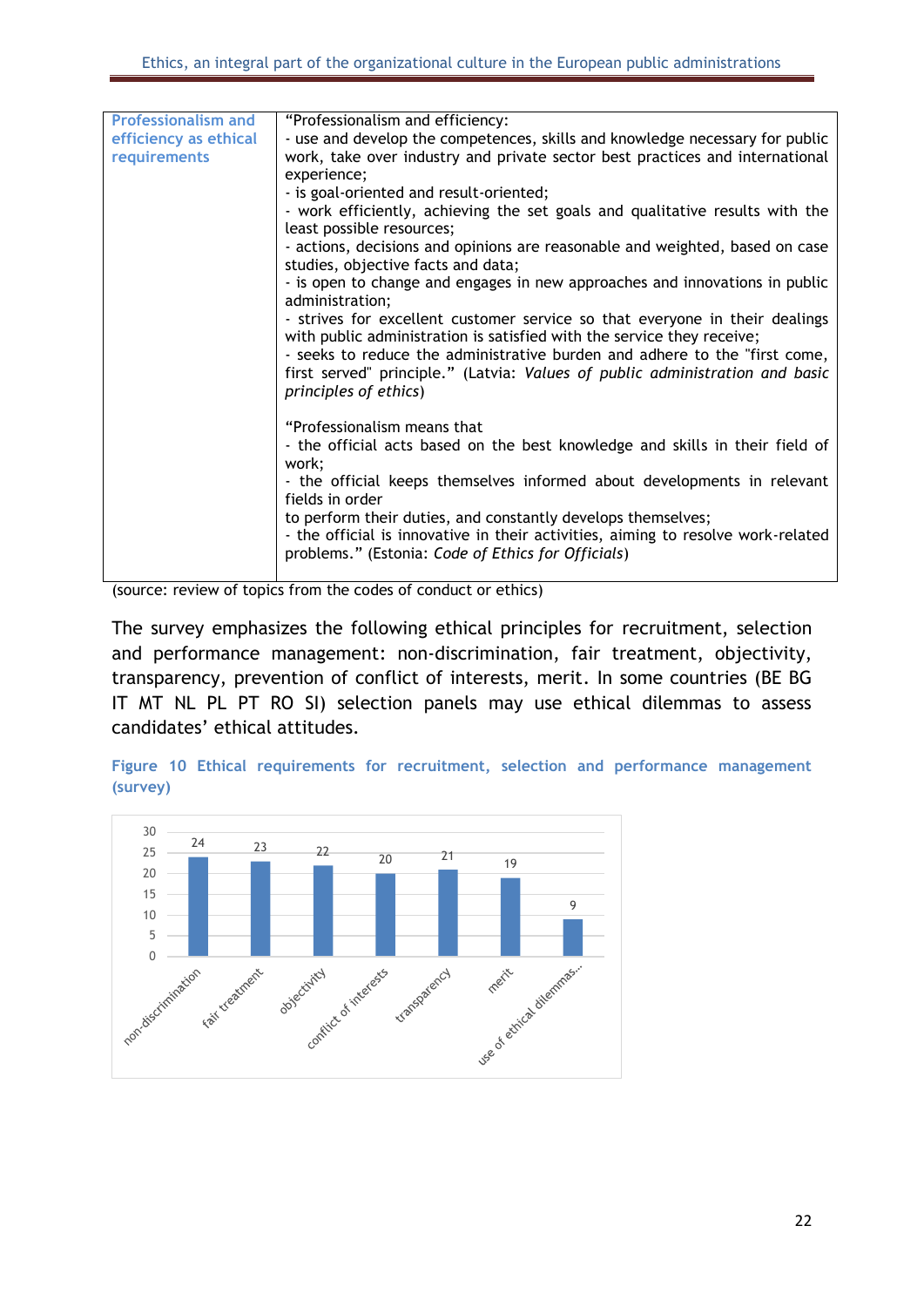| <b>Professionalism and</b> | "Professionalism and efficiency:                                                                          |
|----------------------------|-----------------------------------------------------------------------------------------------------------|
| efficiency as ethical      | - use and develop the competences, skills and knowledge necessary for public                              |
| requirements               | work, take over industry and private sector best practices and international                              |
|                            | experience;                                                                                               |
|                            | - is goal-oriented and result-oriented;                                                                   |
|                            | - work efficiently, achieving the set goals and qualitative results with the<br>least possible resources; |
|                            | - actions, decisions and opinions are reasonable and weighted, based on case                              |
|                            | studies, objective facts and data;                                                                        |
|                            | - is open to change and engages in new approaches and innovations in public<br>administration;            |
|                            | - strives for excellent customer service so that everyone in their dealings                               |
|                            | with public administration is satisfied with the service they receive;                                    |
|                            | - seeks to reduce the administrative burden and adhere to the "first come,                                |
|                            | first served" principle." (Latvia: Values of public administration and basic<br>principles of ethics)     |
|                            |                                                                                                           |
|                            | "Professionalism means that                                                                               |
|                            | - the official acts based on the best knowledge and skills in their field of<br>work;                     |
|                            | - the official keeps themselves informed about developments in relevant                                   |
|                            | fields in order                                                                                           |
|                            | to perform their duties, and constantly develops themselves;                                              |
|                            | - the official is innovative in their activities, aiming to resolve work-related                          |
|                            | problems." (Estonia: Code of Ethics for Officials)                                                        |
|                            |                                                                                                           |

(source: review of topics from the codes of conduct or ethics)

The survey emphasizes the following ethical principles for recruitment, selection and performance management: non-discrimination, fair treatment, objectivity, transparency, prevention of conflict of interests, merit. In some countries (BE BG IT MT NL PL PT RO SI) selection panels may use ethical dilemmas to assess candidates' ethical attitudes.

<span id="page-22-0"></span>**Figure 10 Ethical requirements for recruitment, selection and performance management (survey)**

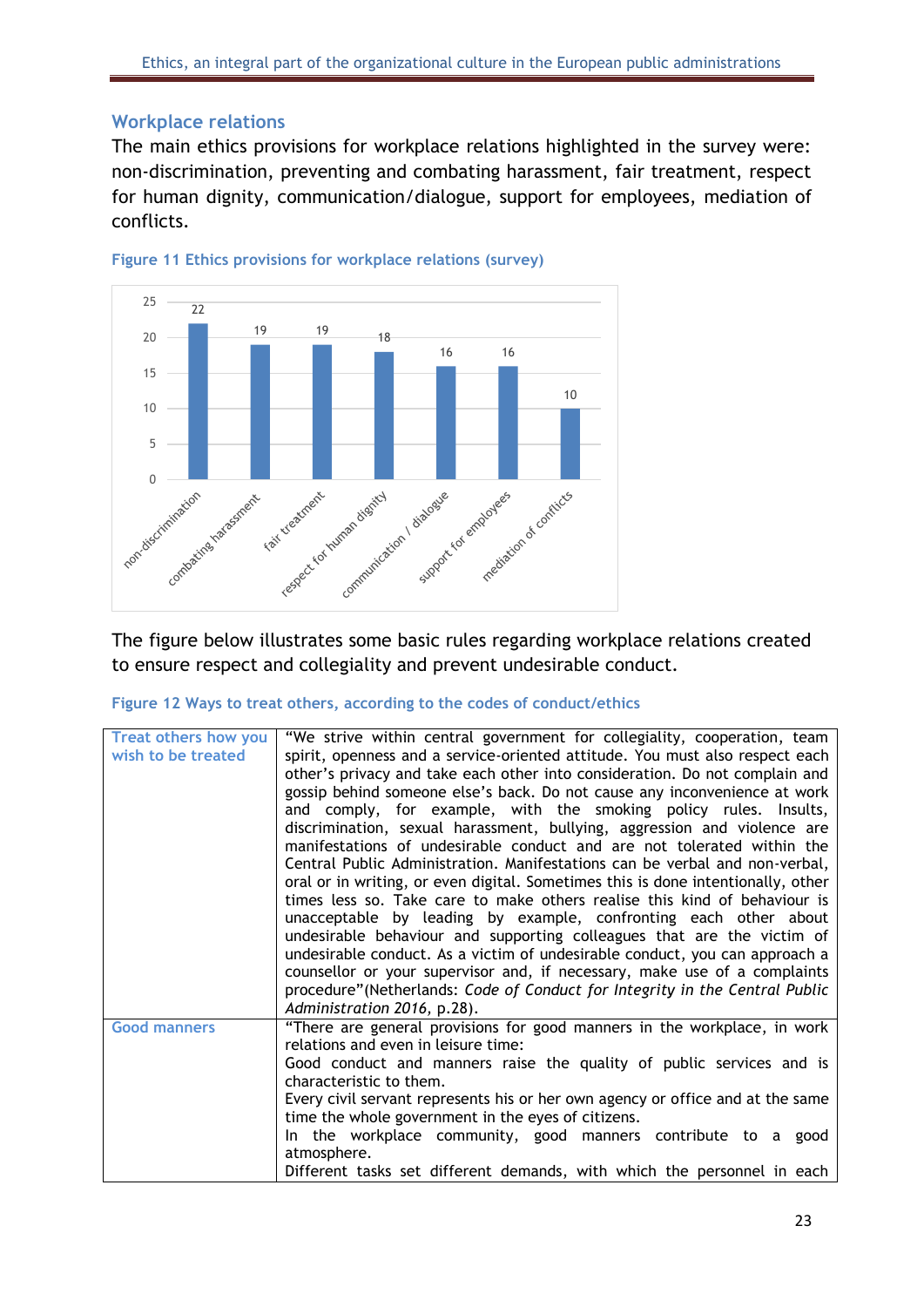#### <span id="page-23-0"></span>**Workplace relations**

The main ethics provisions for workplace relations highlighted in the survey were: non-discrimination, preventing and combating harassment, fair treatment, respect for human dignity, communication/dialogue, support for employees, mediation of conflicts.



<span id="page-23-1"></span>

to ensure respect and collegiality and prevent undesirable conduct.

#### <span id="page-23-2"></span>**Figure 12 Ways to treat others, according to the codes of conduct/ethics**

| <b>Treat others how you</b> | "We strive within central government for collegiality, cooperation, team         |
|-----------------------------|----------------------------------------------------------------------------------|
| wish to be treated          | spirit, openness and a service-oriented attitude. You must also respect each     |
|                             | other's privacy and take each other into consideration. Do not complain and      |
|                             | gossip behind someone else's back. Do not cause any inconvenience at work        |
|                             | and comply, for example, with the smoking policy rules. Insults,                 |
|                             | discrimination, sexual harassment, bullying, aggression and violence are         |
|                             | manifestations of undesirable conduct and are not tolerated within the           |
|                             | Central Public Administration. Manifestations can be verbal and non-verbal,      |
|                             | oral or in writing, or even digital. Sometimes this is done intentionally, other |
|                             | times less so. Take care to make others realise this kind of behaviour is        |
|                             | unacceptable by leading by example, confronting each other about                 |
|                             | undesirable behaviour and supporting colleagues that are the victim of           |
|                             | undesirable conduct. As a victim of undesirable conduct, you can approach a      |
|                             | counsellor or your supervisor and, if necessary, make use of a complaints        |
|                             | procedure" (Netherlands: Code of Conduct for Integrity in the Central Public     |
|                             | Administration 2016, p.28).                                                      |
| <b>Good manners</b>         | "There are general provisions for good manners in the workplace, in work         |
|                             | relations and even in leisure time:                                              |
|                             | Good conduct and manners raise the quality of public services and is             |
|                             | characteristic to them.                                                          |
|                             | Every civil servant represents his or her own agency or office and at the same   |
|                             | time the whole government in the eyes of citizens.                               |
|                             | In the workplace community, good manners contribute to a good                    |
|                             | atmosphere.                                                                      |
|                             | Different tasks set different demands, with which the personnel in each          |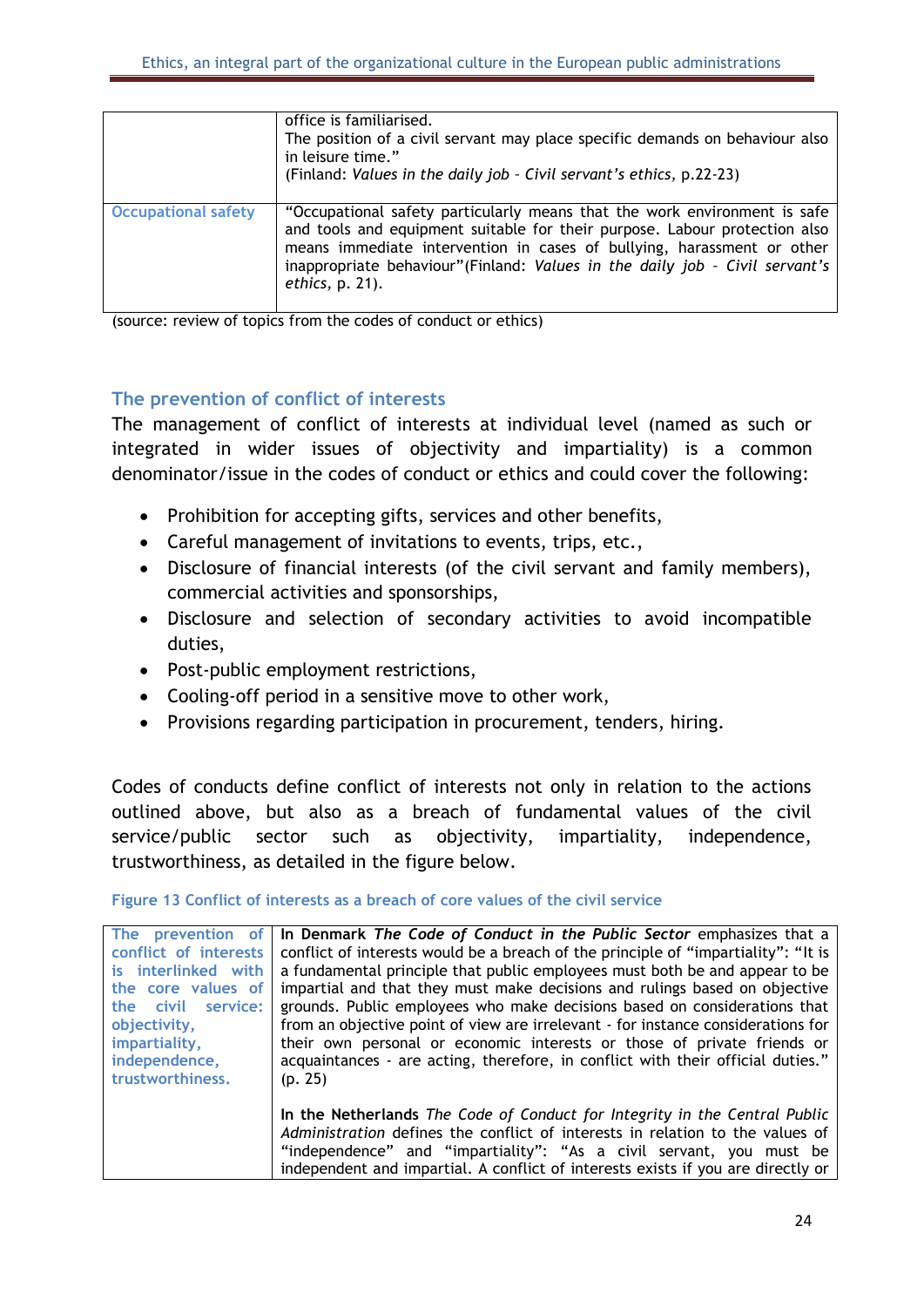|                            | office is familiarised.<br>The position of a civil servant may place specific demands on behaviour also<br>in leisure time."<br>(Finland: Values in the daily job - Civil servant's ethics, p.22-23)                                                                                                                                   |
|----------------------------|----------------------------------------------------------------------------------------------------------------------------------------------------------------------------------------------------------------------------------------------------------------------------------------------------------------------------------------|
| <b>Occupational safety</b> | "Occupational safety particularly means that the work environment is safe<br>and tools and equipment suitable for their purpose. Labour protection also<br>means immediate intervention in cases of bullying, harassment or other<br>inappropriate behaviour"(Finland: Values in the daily job - Civil servant's<br>$ethics$ , p. 21). |

(source: review of topics from the codes of conduct or ethics)

#### <span id="page-24-0"></span>**The prevention of conflict of interests**

The management of conflict of interests at individual level (named as such or integrated in wider issues of objectivity and impartiality) is a common denominator/issue in the codes of conduct or ethics and could cover the following:

- Prohibition for accepting gifts, services and other benefits,
- Careful management of invitations to events, trips, etc.,
- Disclosure of financial interests (of the civil servant and family members), commercial activities and sponsorships,
- Disclosure and selection of secondary activities to avoid incompatible duties,
- Post-public employment restrictions,
- Cooling-off period in a sensitive move to other work,
- Provisions regarding participation in procurement, tenders, hiring.

Codes of conducts define conflict of interests not only in relation to the actions outlined above, but also as a breach of fundamental values of the civil service/public sector such as objectivity, impartiality, independence, trustworthiness, as detailed in the figure below.

<span id="page-24-1"></span>**Figure 13 Conflict of interests as a breach of core values of the civil service**

| The prevention of     | In Denmark The Code of Conduct in the Public Sector emphasizes that a              |
|-----------------------|------------------------------------------------------------------------------------|
| conflict of interests | conflict of interests would be a breach of the principle of "impartiality": "It is |
| is interlinked with   | a fundamental principle that public employees must both be and appear to be        |
| the core values of    | impartial and that they must make decisions and rulings based on objective         |
| the civil service:    | grounds. Public employees who make decisions based on considerations that          |
| objectivity,          | from an objective point of view are irrelevant - for instance considerations for   |
| impartiality,         | their own personal or economic interests or those of private friends or            |
| independence,         | acquaintances - are acting, therefore, in conflict with their official duties."    |
| trustworthiness.      | (p. 25)                                                                            |
|                       |                                                                                    |
|                       | In the Netherlands The Code of Conduct for Integrity in the Central Public         |
|                       | Administration defines the conflict of interests in relation to the values of      |
|                       | "independence" and "impartiality": "As a civil servant, you must be                |
|                       | independent and impartial. A conflict of interests exists if you are directly or   |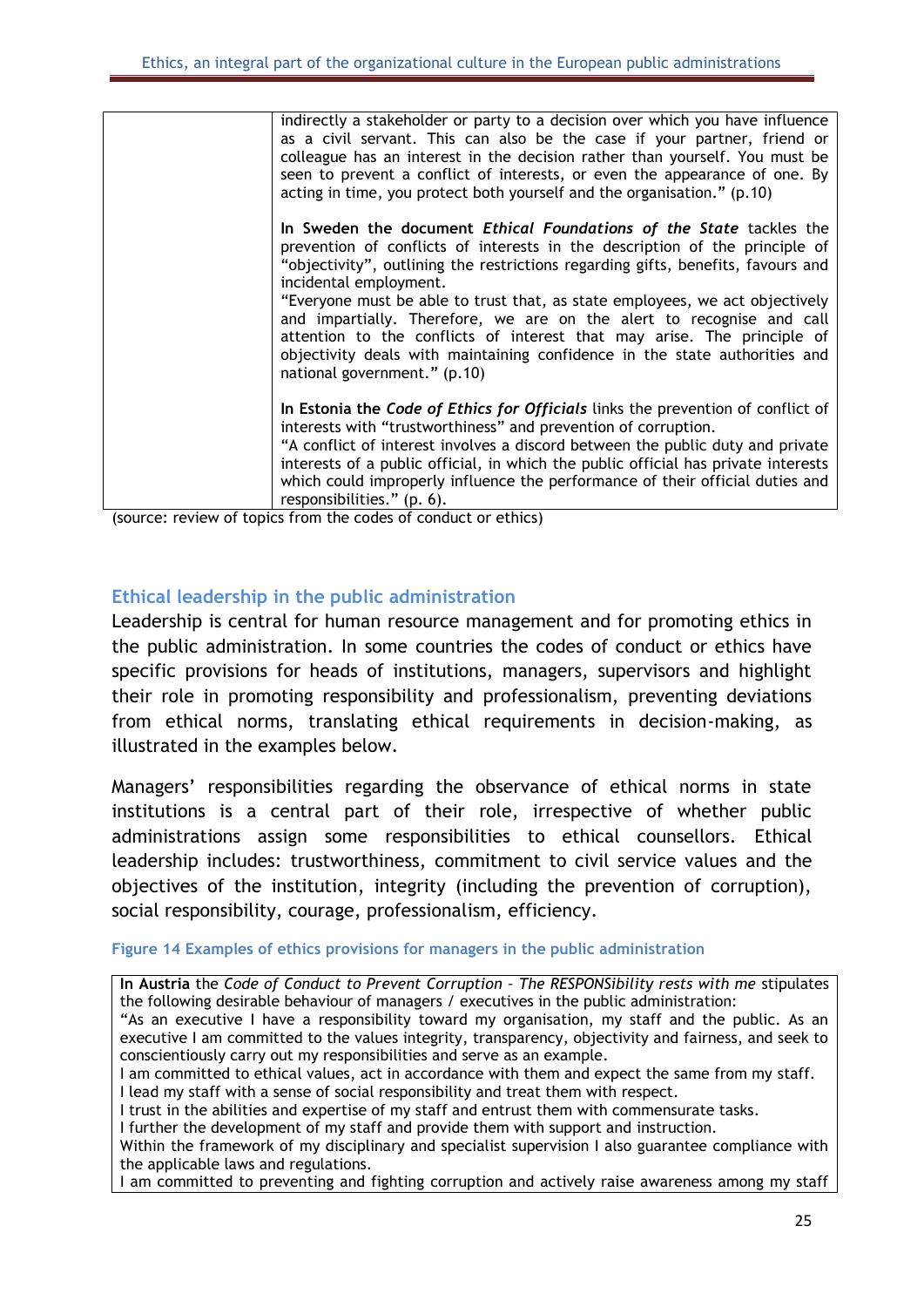| indirectly a stakeholder or party to a decision over which you have influence<br>as a civil servant. This can also be the case if your partner, friend or<br>colleague has an interest in the decision rather than yourself. You must be<br>seen to prevent a conflict of interests, or even the appearance of one. By<br>acting in time, you protect both yourself and the organisation." (p.10)                                                                                                                                                                                                                         |
|---------------------------------------------------------------------------------------------------------------------------------------------------------------------------------------------------------------------------------------------------------------------------------------------------------------------------------------------------------------------------------------------------------------------------------------------------------------------------------------------------------------------------------------------------------------------------------------------------------------------------|
| In Sweden the document <i>Ethical Foundations of the State</i> tackles the<br>prevention of conflicts of interests in the description of the principle of<br>"objectivity", outlining the restrictions regarding gifts, benefits, favours and<br>incidental employment.<br>"Everyone must be able to trust that, as state employees, we act objectively<br>and impartially. Therefore, we are on the alert to recognise and call<br>attention to the conflicts of interest that may arise. The principle of<br>objectivity deals with maintaining confidence in the state authorities and<br>national government." (p.10) |
| In Estonia the Code of Ethics for Officials links the prevention of conflict of<br>interests with "trustworthiness" and prevention of corruption.<br>"A conflict of interest involves a discord between the public duty and private<br>interests of a public official, in which the public official has private interests<br>which could improperly influence the performance of their official duties and<br>responsibilities." (p. 6).                                                                                                                                                                                  |

(source: review of topics from the codes of conduct or ethics)

#### <span id="page-25-0"></span>**Ethical leadership in the public administration**

Leadership is central for human resource management and for promoting ethics in the public administration. In some countries the codes of conduct or ethics have specific provisions for heads of institutions, managers, supervisors and highlight their role in promoting responsibility and professionalism, preventing deviations from ethical norms, translating ethical requirements in decision-making, as illustrated in the examples below.

Managers' responsibilities regarding the observance of ethical norms in state institutions is a central part of their role, irrespective of whether public administrations assign some responsibilities to ethical counsellors. Ethical leadership includes: trustworthiness, commitment to civil service values and the objectives of the institution, integrity (including the prevention of corruption), social responsibility, courage, professionalism, efficiency.

#### <span id="page-25-1"></span>**Figure 14 Examples of ethics provisions for managers in the public administration**

**In Austria** the *Code of Conduct to Prevent Corruption – The RESPONSibility rests with me* stipulates the following desirable behaviour of managers / executives in the public administration:

"As an executive I have a responsibility toward my organisation, my staff and the public. As an executive I am committed to the values integrity, transparency, objectivity and fairness, and seek to conscientiously carry out my responsibilities and serve as an example.

I am committed to ethical values, act in accordance with them and expect the same from my staff. I lead my staff with a sense of social responsibility and treat them with respect.

I trust in the abilities and expertise of my staff and entrust them with commensurate tasks.

I further the development of my staff and provide them with support and instruction.

Within the framework of my disciplinary and specialist supervision I also guarantee compliance with the applicable laws and regulations.

I am committed to preventing and fighting corruption and actively raise awareness among my staff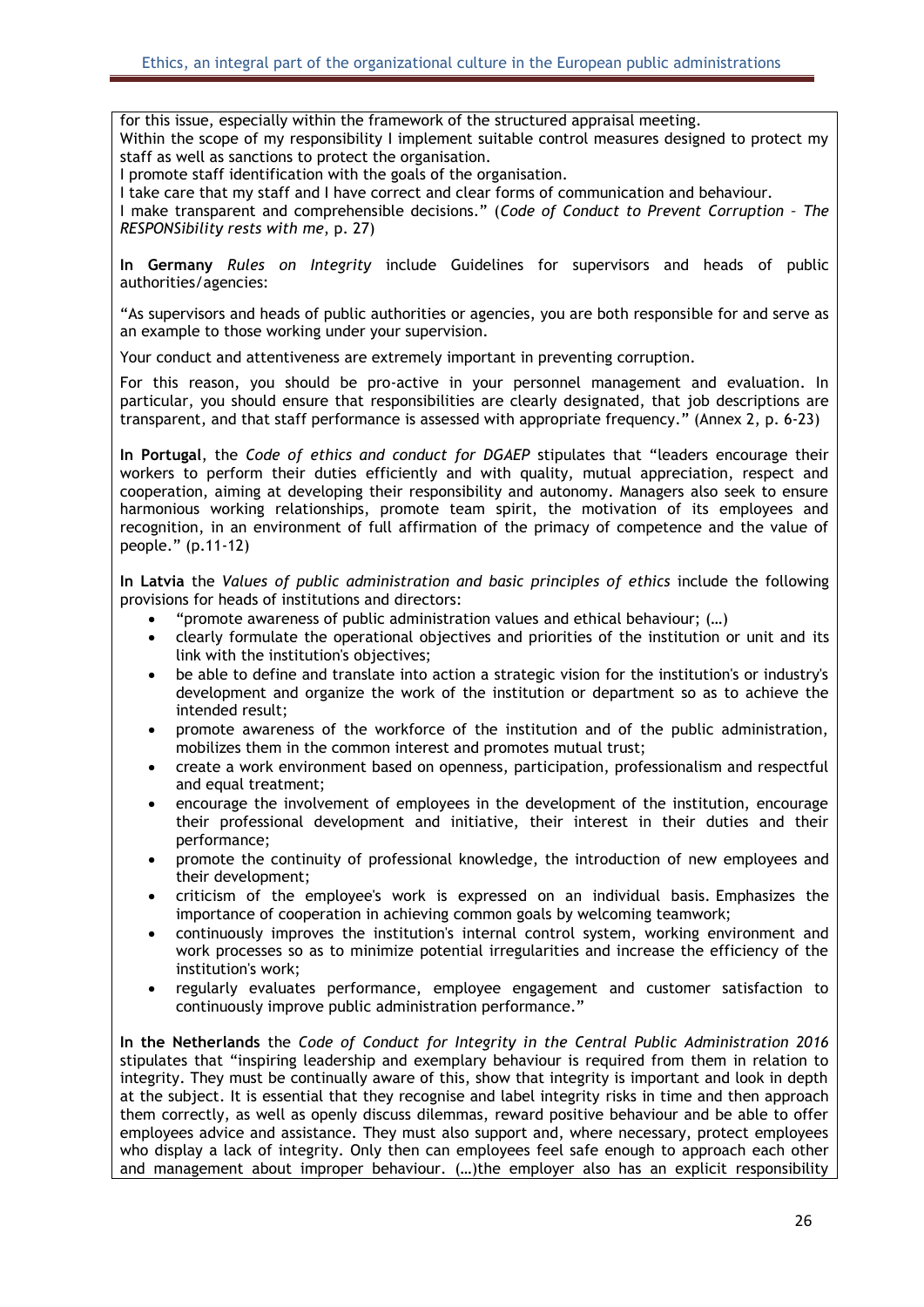for this issue, especially within the framework of the structured appraisal meeting. Within the scope of my responsibility I implement suitable control measures designed to protect my staff as well as sanctions to protect the organisation.

I promote staff identification with the goals of the organisation.

I take care that my staff and I have correct and clear forms of communication and behaviour.

I make transparent and comprehensible decisions." (*Code of Conduct to Prevent Corruption – The RESPONSibility rests with me*, p. 27)

**In Germany** *Rules on Integrity* include Guidelines for supervisors and heads of public authorities/agencies:

"As supervisors and heads of public authorities or agencies, you are both responsible for and serve as an example to those working under your supervision.

Your conduct and attentiveness are extremely important in preventing corruption.

For this reason, you should be pro-active in your personnel management and evaluation. In particular, you should ensure that responsibilities are clearly designated, that job descriptions are transparent, and that staff performance is assessed with appropriate frequency." (Annex 2, p. 6-23)

**In Portugal**, the *Code of ethics and conduct for DGAEP* stipulates that "leaders encourage their workers to perform their duties efficiently and with quality, mutual appreciation, respect and cooperation, aiming at developing their responsibility and autonomy. Managers also seek to ensure harmonious working relationships, promote team spirit, the motivation of its employees and recognition, in an environment of full affirmation of the primacy of competence and the value of people." (p.11-12)

**In Latvia** the *Values of public administration and basic principles of ethics* include the following provisions for heads of institutions and directors:

- "promote awareness of public administration values and ethical behaviour; (…)
- clearly formulate the operational objectives and priorities of the institution or unit and its link with the institution's objectives;
- be able to define and translate into action a strategic vision for the institution's or industry's development and organize the work of the institution or department so as to achieve the intended result;
- promote awareness of the workforce of the institution and of the public administration, mobilizes them in the common interest and promotes mutual trust;
- create a work environment based on openness, participation, professionalism and respectful and equal treatment;
- encourage the involvement of employees in the development of the institution, encourage their professional development and initiative, their interest in their duties and their performance;
- promote the continuity of professional knowledge, the introduction of new employees and their development;
- criticism of the employee's work is expressed on an individual basis. Emphasizes the importance of cooperation in achieving common goals by welcoming teamwork;
- continuously improves the institution's internal control system, working environment and work processes so as to minimize potential irregularities and increase the efficiency of the institution's work;
- regularly evaluates performance, employee engagement and customer satisfaction to continuously improve public administration performance."

**In the Netherlands** the *Code of Conduct for Integrity in the Central Public Administration 2016*  stipulates that "inspiring leadership and exemplary behaviour is required from them in relation to integrity. They must be continually aware of this, show that integrity is important and look in depth at the subject. It is essential that they recognise and label integrity risks in time and then approach them correctly, as well as openly discuss dilemmas, reward positive behaviour and be able to offer employees advice and assistance. They must also support and, where necessary, protect employees who display a lack of integrity. Only then can employees feel safe enough to approach each other and management about improper behaviour. (…)the employer also has an explicit responsibility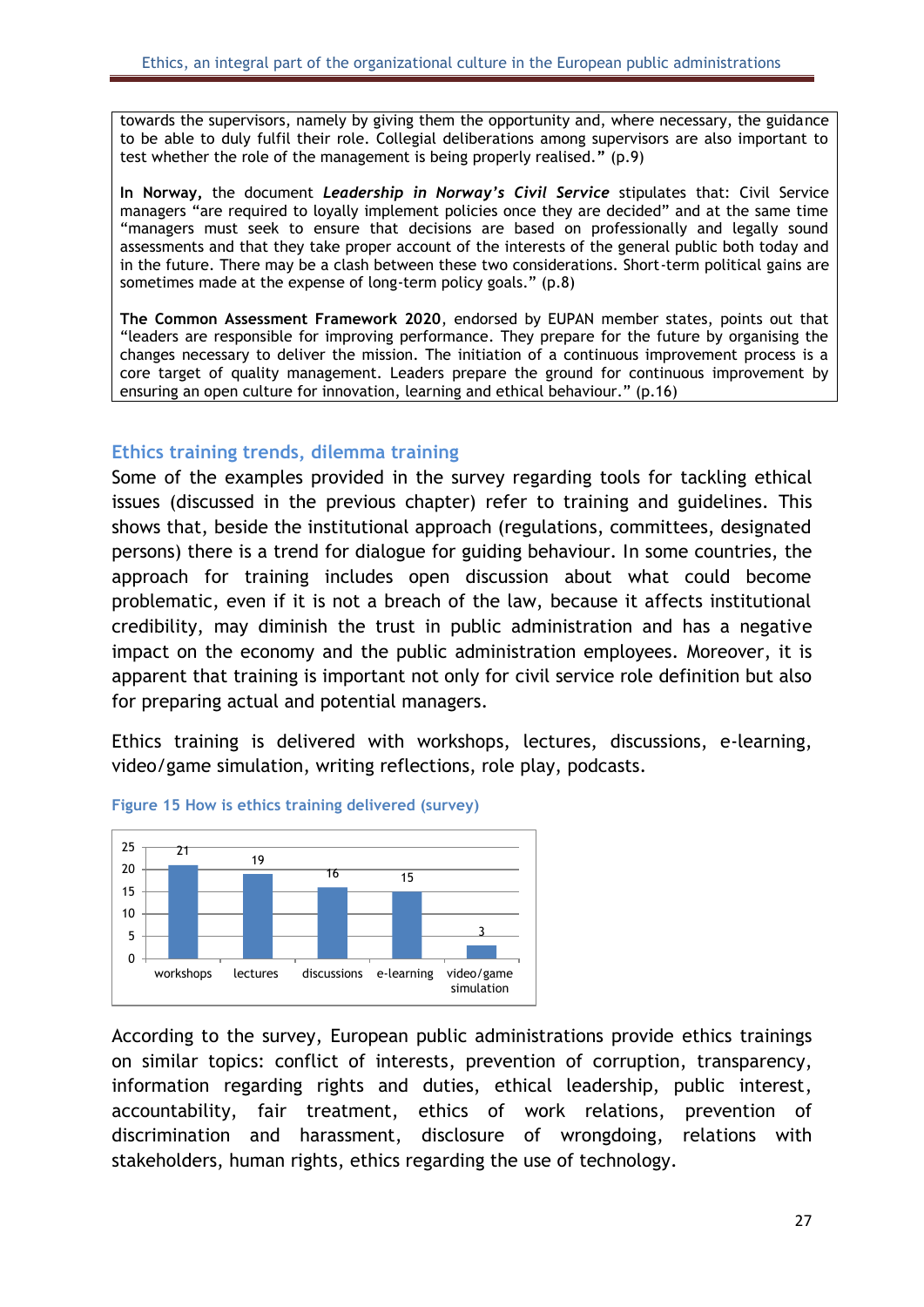towards the supervisors, namely by giving them the opportunity and, where necessary, the guidance to be able to duly fulfil their role. Collegial deliberations among supervisors are also important to test whether the role of the management is being properly realised.**"** (p.9)

**In Norway,** the document *Leadership in Norway's Civil Service* stipulates that: Civil Service managers "are required to loyally implement policies once they are decided" and at the same time "managers must seek to ensure that decisions are based on professionally and legally sound assessments and that they take proper account of the interests of the general public both today and in the future. There may be a clash between these two considerations. Short-term political gains are sometimes made at the expense of long-term policy goals." (p.8)

**The Common Assessment Framework 2020**, endorsed by EUPAN member states, points out that "leaders are responsible for improving performance. They prepare for the future by organising the changes necessary to deliver the mission. The initiation of a continuous improvement process is a core target of quality management. Leaders prepare the ground for continuous improvement by ensuring an open culture for innovation, learning and ethical behaviour." (p.16)

#### <span id="page-27-0"></span>**Ethics training trends, dilemma training**

Some of the examples provided in the survey regarding tools for tackling ethical issues (discussed in the previous chapter) refer to training and guidelines. This shows that, beside the institutional approach (regulations, committees, designated persons) there is a trend for dialogue for guiding behaviour. In some countries, the approach for training includes open discussion about what could become problematic, even if it is not a breach of the law, because it affects institutional credibility, may diminish the trust in public administration and has a negative impact on the economy and the public administration employees. Moreover, it is apparent that training is important not only for civil service role definition but also for preparing actual and potential managers.

Ethics training is delivered with workshops, lectures, discussions, e-learning, video/game simulation, writing reflections, role play, podcasts.



#### <span id="page-27-1"></span>**Figure 15 How is ethics training delivered (survey)**

According to the survey, European public administrations provide ethics trainings on similar topics: conflict of interests, prevention of corruption, transparency, information regarding rights and duties, ethical leadership, public interest, accountability, fair treatment, ethics of work relations, prevention of discrimination and harassment, disclosure of wrongdoing, relations with stakeholders, human rights, ethics regarding the use of technology.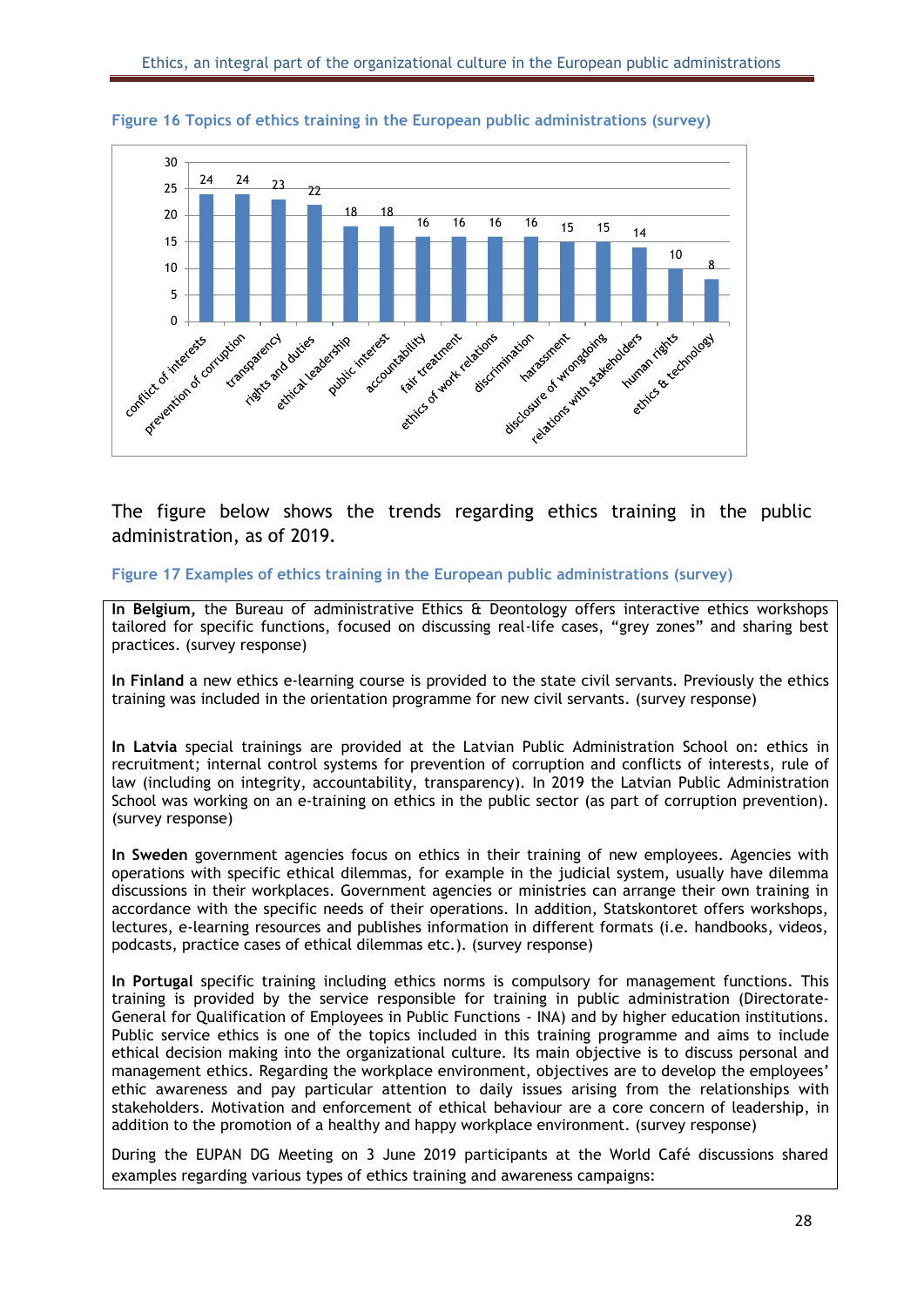

#### <span id="page-28-0"></span>**Figure 16 Topics of ethics training in the European public administrations (survey)**

The figure below shows the trends regarding ethics training in the public administration, as of 2019.

<span id="page-28-1"></span>**Figure 17 Examples of ethics training in the European public administrations (survey)**

**In Belgium,** the Bureau of administrative Ethics & Deontology offers interactive ethics workshops tailored for specific functions, focused on discussing real-life cases, "grey zones" and sharing best practices. (survey response)

**In Finland** a new ethics e-learning course is provided to the state civil servants. Previously the ethics training was included in the orientation programme for new civil servants. (survey response)

**In Latvia** special trainings are provided at the Latvian Public Administration School on: ethics in recruitment; internal control systems for prevention of corruption and conflicts of interests, rule of law (including on integrity, accountability, transparency). In 2019 the Latvian Public Administration School was working on an e-training on ethics in the public sector (as part of corruption prevention). (survey response)

**In Sweden** government agencies focus on ethics in their training of new employees. Agencies with operations with specific ethical dilemmas, for example in the judicial system, usually have dilemma discussions in their workplaces. Government agencies or ministries can arrange their own training in accordance with the specific needs of their operations. In addition, Statskontoret offers workshops, lectures, e-learning resources and publishes information in different formats (i.e. handbooks, videos, podcasts, practice cases of ethical dilemmas etc.). (survey response)

**In Portugal** specific training including ethics norms is compulsory for management functions. This training is provided by the service responsible for training in public administration (Directorate-General for Qualification of Employees in Public Functions - INA) and by higher education institutions. Public service ethics is one of the topics included in this training programme and aims to include ethical decision making into the organizational culture. Its main objective is to discuss personal and management ethics. Regarding the workplace environment, objectives are to develop the employees' ethic awareness and pay particular attention to daily issues arising from the relationships with stakeholders. Motivation and enforcement of ethical behaviour are a core concern of leadership, in addition to the promotion of a healthy and happy workplace environment. (survey response)

During the EUPAN DG Meeting on 3 June 2019 participants at the World Café discussions shared examples regarding various types of ethics training and awareness campaigns: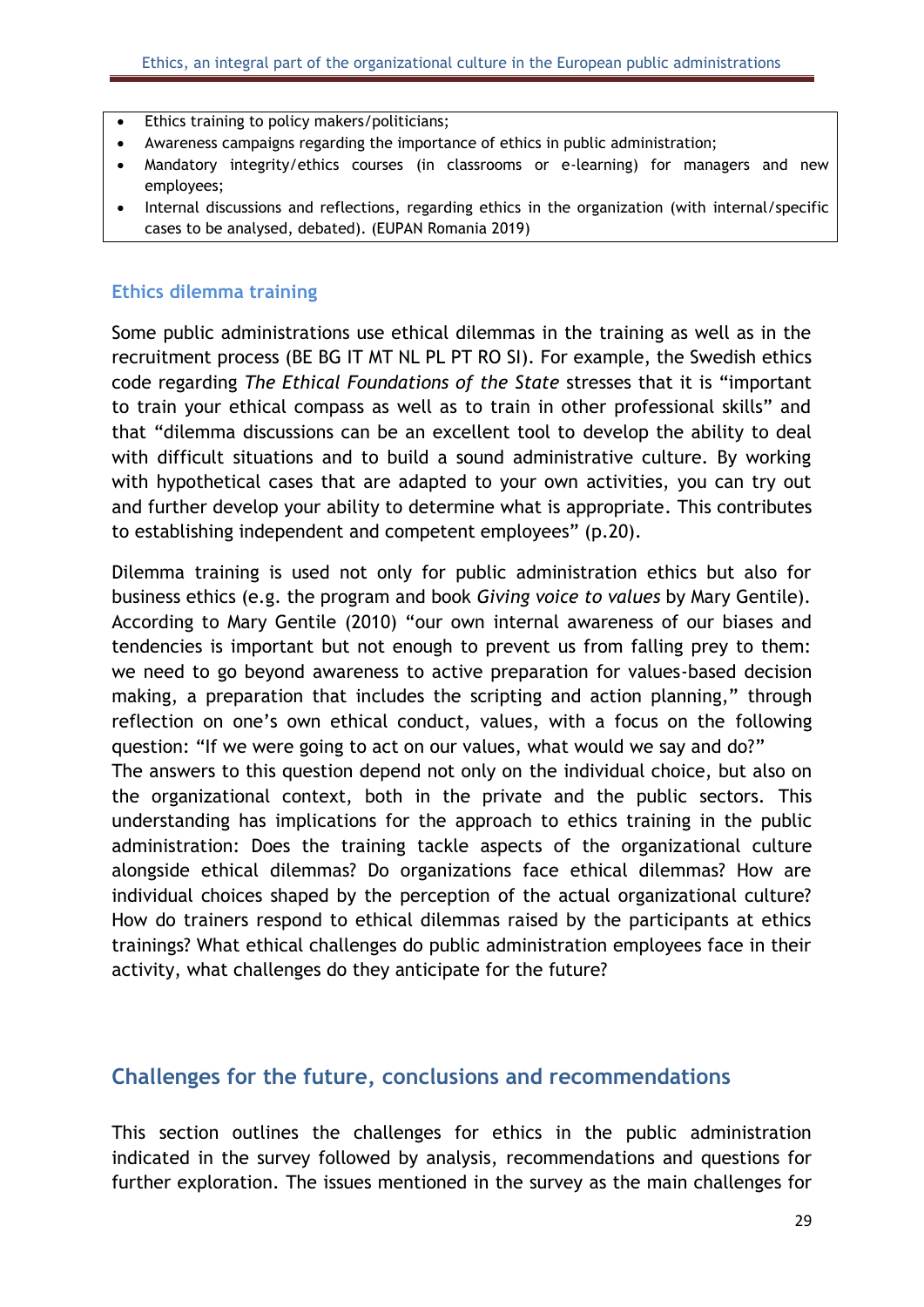- Ethics training to policy makers/politicians;
- Awareness campaigns regarding the importance of ethics in public administration;
- Mandatory integrity/ethics courses (in classrooms or e-learning) for managers and new employees;
- Internal discussions and reflections, regarding ethics in the organization (with internal/specific cases to be analysed, debated). (EUPAN Romania 2019)

#### **Ethics dilemma training**

Some public administrations use ethical dilemmas in the training as well as in the recruitment process (BE BG IT MT NL PL PT RO SI). For example, the Swedish ethics code regarding *The Ethical Foundations of the State* stresses that it is "important to train your ethical compass as well as to train in other professional skills" and that "dilemma discussions can be an excellent tool to develop the ability to deal with difficult situations and to build a sound administrative culture. By working with hypothetical cases that are adapted to your own activities, you can try out and further develop your ability to determine what is appropriate. This contributes to establishing independent and competent employees" (p.20).

Dilemma training is used not only for public administration ethics but also for business ethics (e.g. the program and book *Giving voice to values* by Mary Gentile). According to Mary Gentile (2010) "our own internal awareness of our biases and tendencies is important but not enough to prevent us from falling prey to them: we need to go beyond awareness to active preparation for values-based decision making, a preparation that includes the scripting and action planning," through reflection on one's own ethical conduct, values, with a focus on the following question: "If we were going to act on our values, what would we say and do?"

The answers to this question depend not only on the individual choice, but also on the organizational context, both in the private and the public sectors. This understanding has implications for the approach to ethics training in the public administration: Does the training tackle aspects of the organizational culture alongside ethical dilemmas? Do organizations face ethical dilemmas? How are individual choices shaped by the perception of the actual organizational culture? How do trainers respond to ethical dilemmas raised by the participants at ethics trainings? What ethical challenges do public administration employees face in their activity, what challenges do they anticipate for the future?

### <span id="page-29-0"></span>**Challenges for the future, conclusions and recommendations**

This section outlines the challenges for ethics in the public administration indicated in the survey followed by analysis, recommendations and questions for further exploration. The issues mentioned in the survey as the main challenges for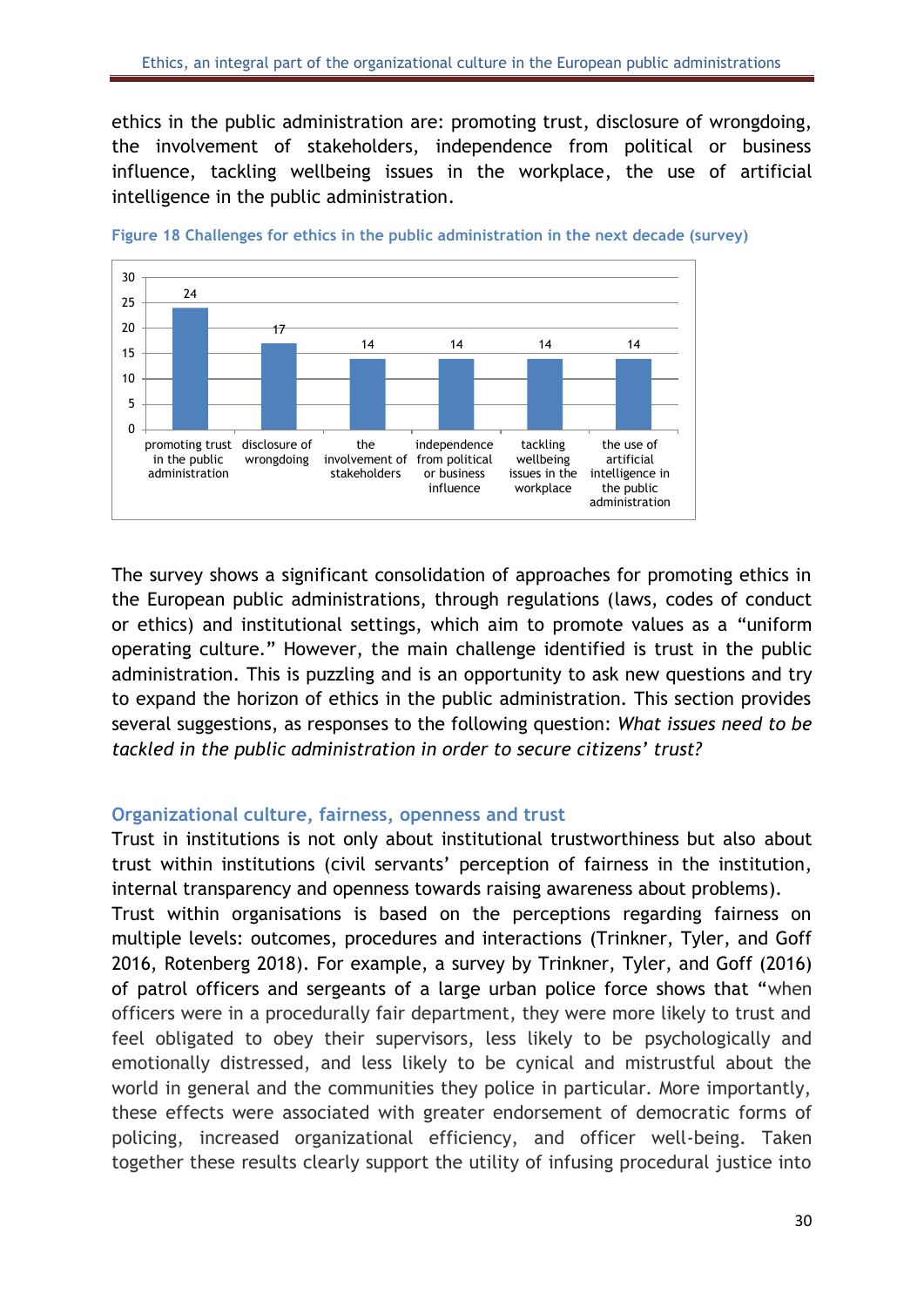ethics in the public administration are: promoting trust, disclosure of wrongdoing, the involvement of stakeholders, independence from political or business influence, tackling wellbeing issues in the workplace, the use of artificial intelligence in the public administration.



<span id="page-30-1"></span>

The survey shows a significant consolidation of approaches for promoting ethics in the European public administrations, through regulations (laws, codes of conduct or ethics) and institutional settings, which aim to promote values as a "uniform operating culture." However, the main challenge identified is trust in the public administration. This is puzzling and is an opportunity to ask new questions and try to expand the horizon of ethics in the public administration. This section provides several suggestions, as responses to the following question: *What issues need to be tackled in the public administration in order to secure citizens' trust?*

#### <span id="page-30-0"></span>**Organizational culture, fairness, openness and trust**

Trust in institutions is not only about institutional trustworthiness but also about trust within institutions (civil servants' perception of fairness in the institution, internal transparency and openness towards raising awareness about problems).

Trust within organisations is based on the perceptions regarding fairness on multiple levels: outcomes, procedures and interactions (Trinkner, Tyler, and Goff 2016, Rotenberg 2018). For example, a survey by Trinkner, Tyler, and Goff (2016) of patrol officers and sergeants of a large urban police force shows that "when officers were in a procedurally fair department, they were more likely to trust and feel obligated to obey their supervisors, less likely to be psychologically and emotionally distressed, and less likely to be cynical and mistrustful about the world in general and the communities they police in particular. More importantly, these effects were associated with greater endorsement of democratic forms of policing, increased organizational efficiency, and officer well-being. Taken together these results clearly support the utility of infusing procedural justice into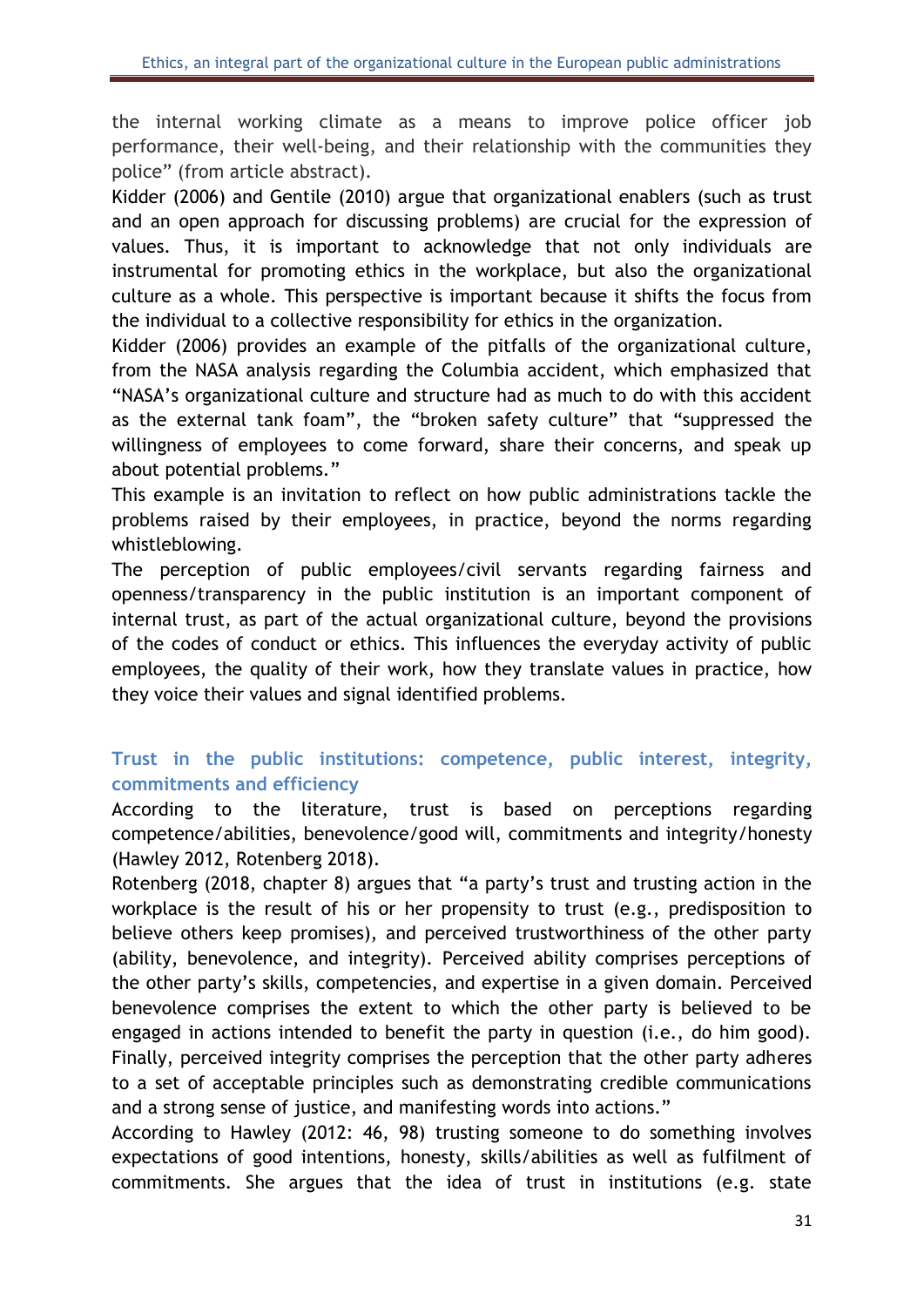the internal working climate as a means to improve police officer job performance, their well-being, and their relationship with the communities they police" (from article abstract).

Kidder (2006) and Gentile (2010) argue that organizational enablers (such as trust and an open approach for discussing problems) are crucial for the expression of values. Thus, it is important to acknowledge that not only individuals are instrumental for promoting ethics in the workplace, but also the organizational culture as a whole. This perspective is important because it shifts the focus from the individual to a collective responsibility for ethics in the organization.

Kidder (2006) provides an example of the pitfalls of the organizational culture, from the NASA analysis regarding the Columbia accident, which emphasized that "NASA's organizational culture and structure had as much to do with this accident as the external tank foam", the "broken safety culture" that "suppressed the willingness of employees to come forward, share their concerns, and speak up about potential problems."

This example is an invitation to reflect on how public administrations tackle the problems raised by their employees, in practice, beyond the norms regarding whistleblowing.

The perception of public employees/civil servants regarding fairness and openness/transparency in the public institution is an important component of internal trust, as part of the actual organizational culture, beyond the provisions of the codes of conduct or ethics. This influences the everyday activity of public employees, the quality of their work, how they translate values in practice, how they voice their values and signal identified problems.

# <span id="page-31-0"></span>**Trust in the public institutions: competence, public interest, integrity, commitments and efficiency**

According to the literature, trust is based on perceptions regarding competence/abilities, benevolence/good will, commitments and integrity/honesty (Hawley 2012, Rotenberg 2018).

Rotenberg (2018, chapter 8) argues that "a party's trust and trusting action in the workplace is the result of his or her propensity to trust (e.g., predisposition to believe others keep promises), and perceived trustworthiness of the other party (ability, benevolence, and integrity). Perceived ability comprises perceptions of the other party's skills, competencies, and expertise in a given domain. Perceived benevolence comprises the extent to which the other party is believed to be engaged in actions intended to benefit the party in question (i.e., do him good). Finally, perceived integrity comprises the perception that the other party adheres to a set of acceptable principles such as demonstrating credible communications and a strong sense of justice, and manifesting words into actions."

According to Hawley (2012: 46, 98) trusting someone to do something involves expectations of good intentions, honesty, skills/abilities as well as fulfilment of commitments. She argues that the idea of trust in institutions (e.g. state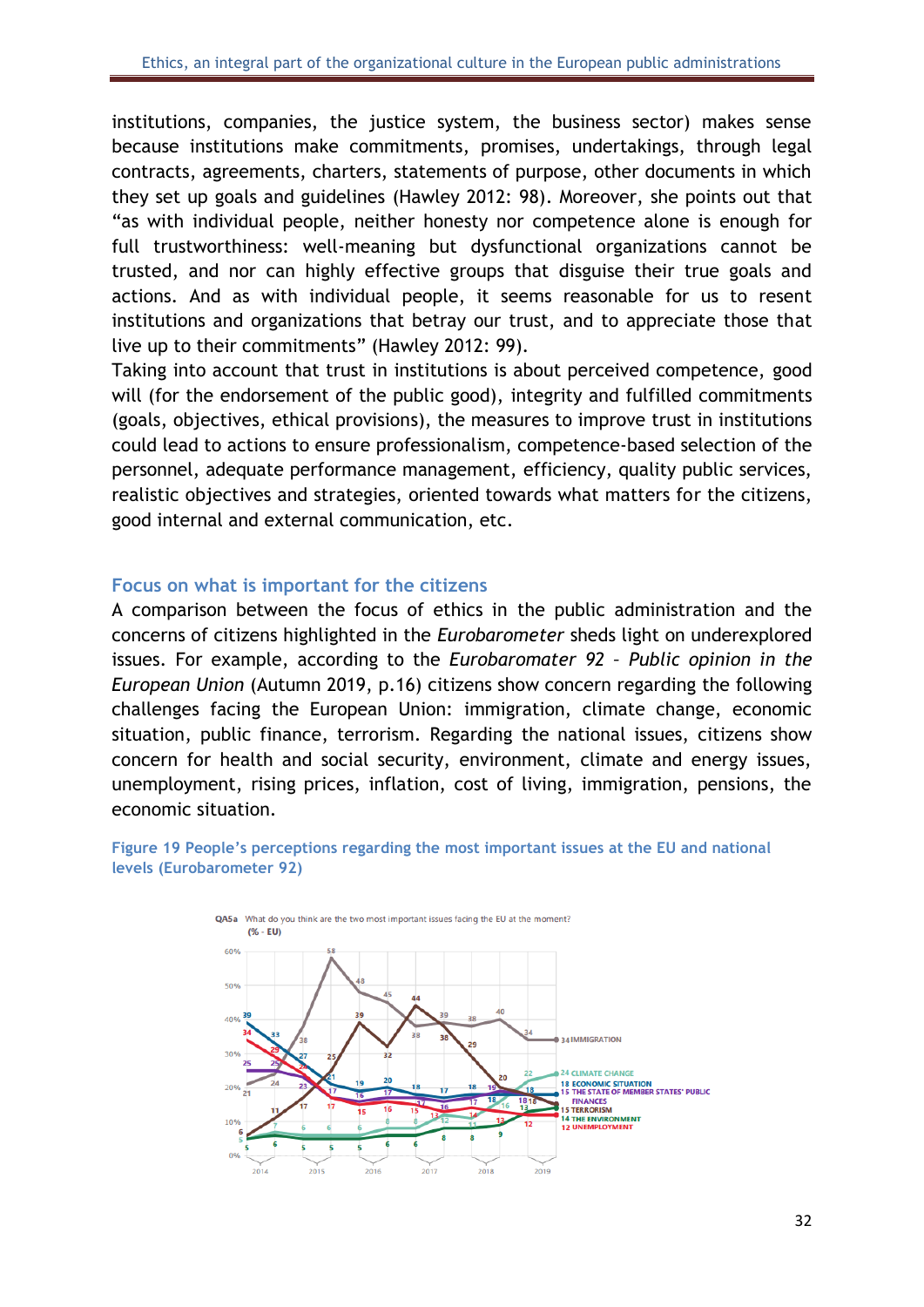institutions, companies, the justice system, the business sector) makes sense because institutions make commitments, promises, undertakings, through legal contracts, agreements, charters, statements of purpose, other documents in which they set up goals and guidelines (Hawley 2012: 98). Moreover, she points out that "as with individual people, neither honesty nor competence alone is enough for full trustworthiness: well-meaning but dysfunctional organizations cannot be trusted, and nor can highly effective groups that disguise their true goals and actions. And as with individual people, it seems reasonable for us to resent institutions and organizations that betray our trust, and to appreciate those that live up to their commitments" (Hawley 2012: 99).

Taking into account that trust in institutions is about perceived competence, good will (for the endorsement of the public good), integrity and fulfilled commitments (goals, objectives, ethical provisions), the measures to improve trust in institutions could lead to actions to ensure professionalism, competence-based selection of the personnel, adequate performance management, efficiency, quality public services, realistic objectives and strategies, oriented towards what matters for the citizens, good internal and external communication, etc.

#### <span id="page-32-0"></span>**Focus on what is important for the citizens**

A comparison between the focus of ethics in the public administration and the concerns of citizens highlighted in the *Eurobarometer* sheds light on underexplored issues. For example, according to the *Eurobaromater 92 – Public opinion in the European Union* (Autumn 2019, p.16) citizens show concern regarding the following challenges facing the European Union: immigration, climate change, economic situation, public finance, terrorism. Regarding the national issues, citizens show concern for health and social security, environment, climate and energy issues, unemployment, rising prices, inflation, cost of living, immigration, pensions, the economic situation.



<span id="page-32-1"></span>**Figure 19 People's perceptions regarding the most important issues at the EU and national levels (Eurobarometer 92)**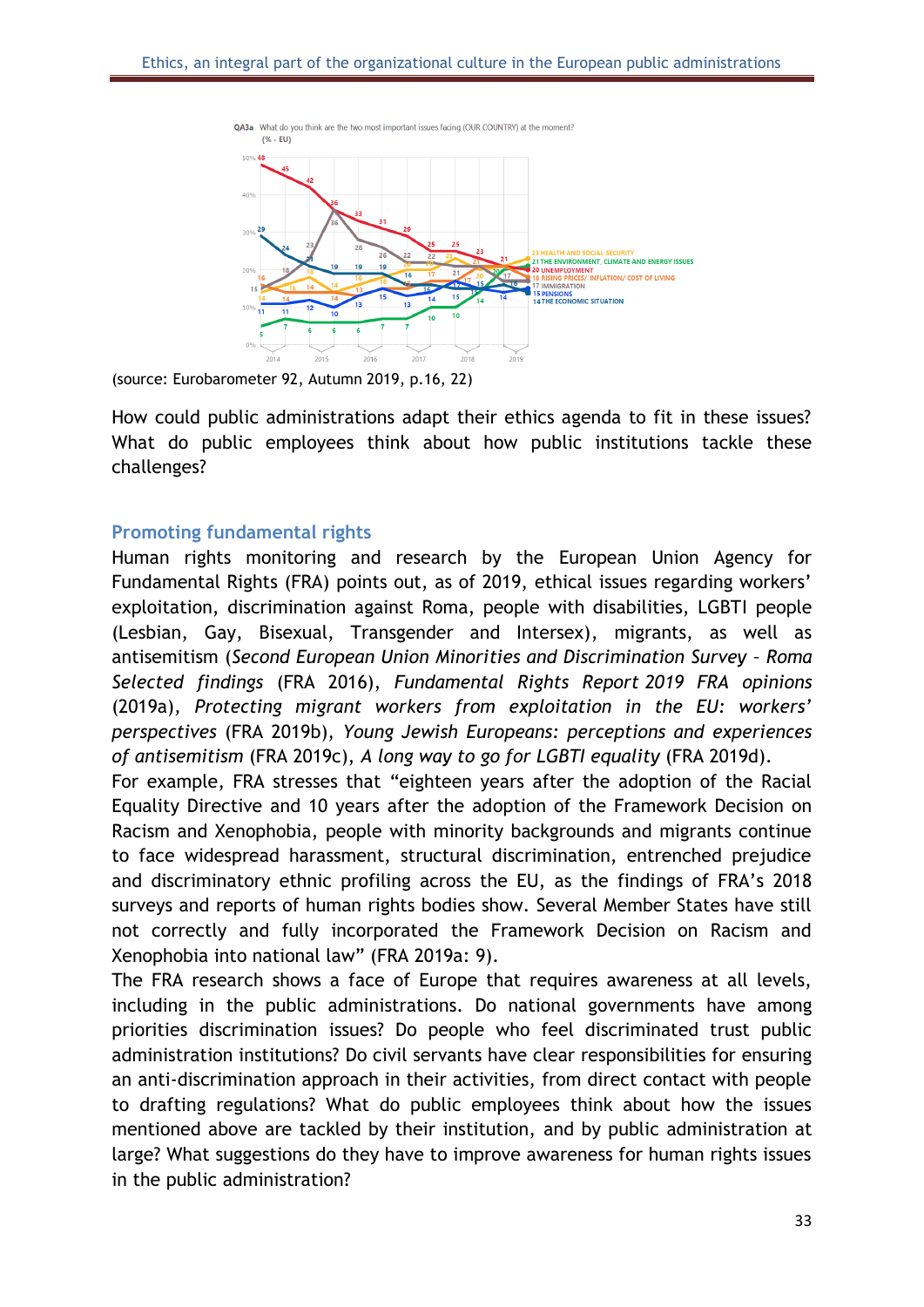

(source: Eurobarometer 92, Autumn 2019, p.16, 22)

How could public administrations adapt their ethics agenda to fit in these issues? What do public employees think about how public institutions tackle these challenges?

#### <span id="page-33-0"></span>**Promoting fundamental rights**

Human rights monitoring and research by the European Union Agency for Fundamental Rights (FRA) points out, as of 2019, ethical issues regarding workers' exploitation, discrimination against Roma, people with disabilities, LGBTI people (Lesbian, Gay, Bisexual, Transgender and Intersex), migrants, as well as antisemitism (*Second European Union Minorities and Discrimination Survey – Roma Selected findings* (FRA 2016), *Fundamental Rights Report 2019 FRA opinions*  (2019a)*, Protecting migrant workers from exploitation in the EU: workers' perspectives* (FRA 2019b), *Young Jewish Europeans: perceptions and experiences of antisemitism* (FRA 2019c), *A long way to go for LGBTI equality* (FRA 2019d).

For example, FRA stresses that "eighteen years after the adoption of the Racial Equality Directive and 10 years after the adoption of the Framework Decision on Racism and Xenophobia, people with minority backgrounds and migrants continue to face widespread harassment, structural discrimination, entrenched prejudice and discriminatory ethnic profiling across the EU, as the findings of FRA's 2018 surveys and reports of human rights bodies show. Several Member States have still not correctly and fully incorporated the Framework Decision on Racism and Xenophobia into national law" (FRA 2019a: 9).

The FRA research shows a face of Europe that requires awareness at all levels, including in the public administrations. Do national governments have among priorities discrimination issues? Do people who feel discriminated trust public administration institutions? Do civil servants have clear responsibilities for ensuring an anti-discrimination approach in their activities, from direct contact with people to drafting regulations? What do public employees think about how the issues mentioned above are tackled by their institution, and by public administration at large? What suggestions do they have to improve awareness for human rights issues in the public administration?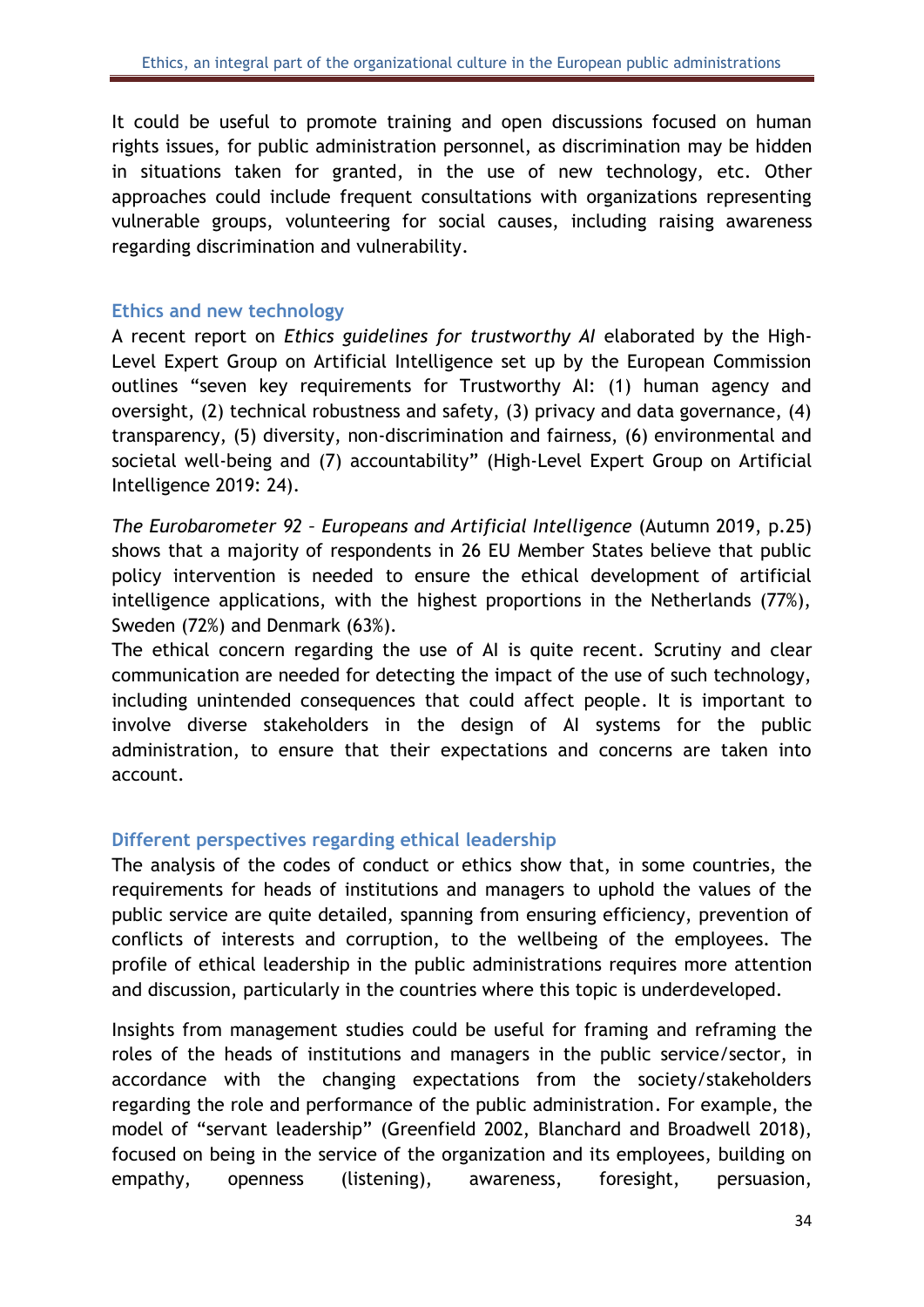It could be useful to promote training and open discussions focused on human rights issues, for public administration personnel, as discrimination may be hidden in situations taken for granted, in the use of new technology, etc. Other approaches could include frequent consultations with organizations representing vulnerable groups, volunteering for social causes, including raising awareness regarding discrimination and vulnerability.

#### <span id="page-34-0"></span>**Ethics and new technology**

A recent report on *Ethics guidelines for trustworthy AI* elaborated by the High-Level Expert Group on Artificial Intelligence set up by the European Commission outlines "seven key requirements for Trustworthy AI: (1) human agency and oversight, (2) technical robustness and safety, (3) privacy and data governance, (4) transparency, (5) diversity, non-discrimination and fairness, (6) environmental and societal well-being and (7) accountability" (High-Level Expert Group on Artificial Intelligence 2019: 24).

*The Eurobarometer 92 – Europeans and Artificial Intelligence* (Autumn 2019, p.25) shows that a majority of respondents in 26 EU Member States believe that public policy intervention is needed to ensure the ethical development of artificial intelligence applications, with the highest proportions in the Netherlands (77%), Sweden (72%) and Denmark (63%).

The ethical concern regarding the use of AI is quite recent. Scrutiny and clear communication are needed for detecting the impact of the use of such technology, including unintended consequences that could affect people. It is important to involve diverse stakeholders in the design of AI systems for the public administration, to ensure that their expectations and concerns are taken into account.

### <span id="page-34-1"></span>**Different perspectives regarding ethical leadership**

The analysis of the codes of conduct or ethics show that, in some countries, the requirements for heads of institutions and managers to uphold the values of the public service are quite detailed, spanning from ensuring efficiency, prevention of conflicts of interests and corruption, to the wellbeing of the employees. The profile of ethical leadership in the public administrations requires more attention and discussion, particularly in the countries where this topic is underdeveloped.

Insights from management studies could be useful for framing and reframing the roles of the heads of institutions and managers in the public service/sector, in accordance with the changing expectations from the society/stakeholders regarding the role and performance of the public administration. For example, the model of "servant leadership" (Greenfield 2002, Blanchard and Broadwell 2018), focused on being in the service of the organization and its employees, building on empathy, openness (listening), awareness, foresight, persuasion,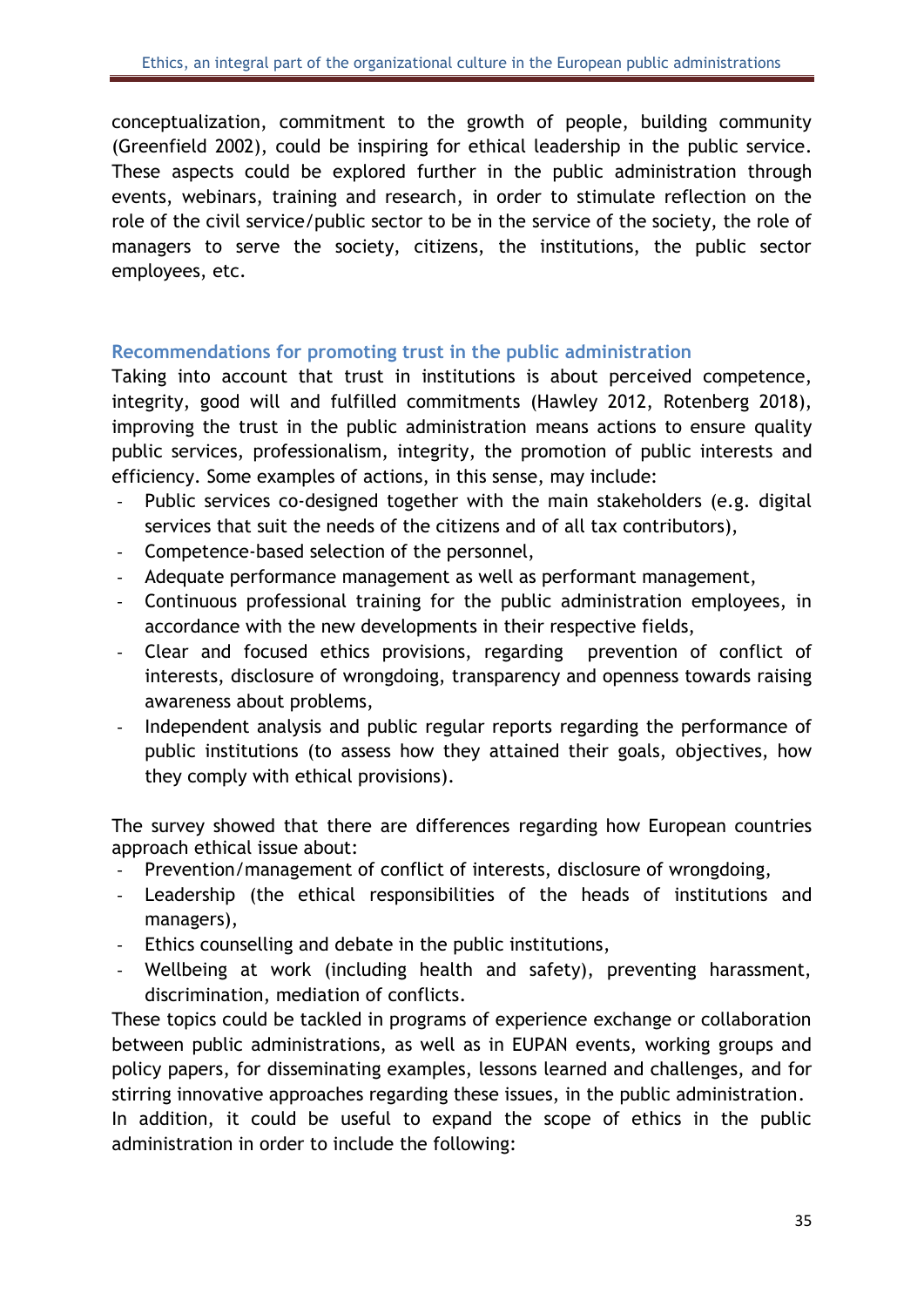conceptualization, commitment to the growth of people, building community (Greenfield 2002), could be inspiring for ethical leadership in the public service. These aspects could be explored further in the public administration through events, webinars, training and research, in order to stimulate reflection on the role of the civil service/public sector to be in the service of the society, the role of managers to serve the society, citizens, the institutions, the public sector employees, etc.

#### <span id="page-35-0"></span>**Recommendations for promoting trust in the public administration**

Taking into account that trust in institutions is about perceived competence, integrity, good will and fulfilled commitments (Hawley 2012, Rotenberg 2018), improving the trust in the public administration means actions to ensure quality public services, professionalism, integrity, the promotion of public interests and efficiency. Some examples of actions, in this sense, may include:

- Public services co-designed together with the main stakeholders (e.g. digital services that suit the needs of the citizens and of all tax contributors),
- Competence-based selection of the personnel,
- Adequate performance management as well as performant management,
- Continuous professional training for the public administration employees, in accordance with the new developments in their respective fields,
- Clear and focused ethics provisions, regarding prevention of conflict of interests, disclosure of wrongdoing, transparency and openness towards raising awareness about problems,
- Independent analysis and public regular reports regarding the performance of public institutions (to assess how they attained their goals, objectives, how they comply with ethical provisions).

The survey showed that there are differences regarding how European countries approach ethical issue about:

- Prevention/management of conflict of interests, disclosure of wrongdoing,
- Leadership (the ethical responsibilities of the heads of institutions and managers),
- Ethics counselling and debate in the public institutions,
- Wellbeing at work (including health and safety), preventing harassment, discrimination, mediation of conflicts.

These topics could be tackled in programs of experience exchange or collaboration between public administrations, as well as in EUPAN events, working groups and policy papers, for disseminating examples, lessons learned and challenges, and for stirring innovative approaches regarding these issues, in the public administration.

In addition, it could be useful to expand the scope of ethics in the public administration in order to include the following: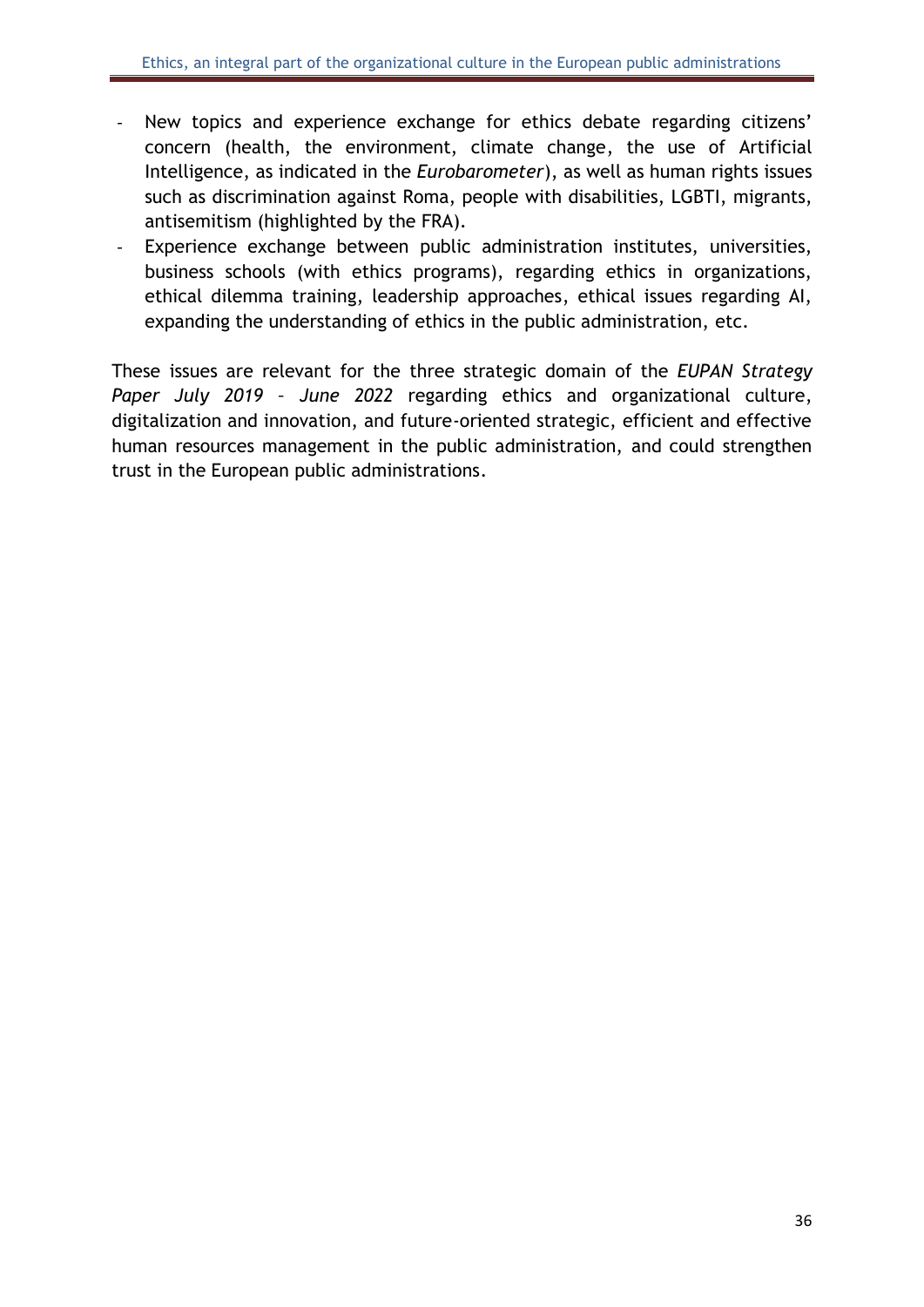- New topics and experience exchange for ethics debate regarding citizens' concern (health, the environment, climate change, the use of Artificial Intelligence, as indicated in the *Eurobarometer*), as well as human rights issues such as discrimination against Roma, people with disabilities, LGBTI, migrants, antisemitism (highlighted by the FRA).
- Experience exchange between public administration institutes, universities, business schools (with ethics programs), regarding ethics in organizations, ethical dilemma training, leadership approaches, ethical issues regarding AI, expanding the understanding of ethics in the public administration, etc.

These issues are relevant for the three strategic domain of the *EUPAN Strategy Paper July 2019 – June 2022* regarding ethics and organizational culture, digitalization and innovation, and future-oriented strategic, efficient and effective human resources management in the public administration, and could strengthen trust in the European public administrations.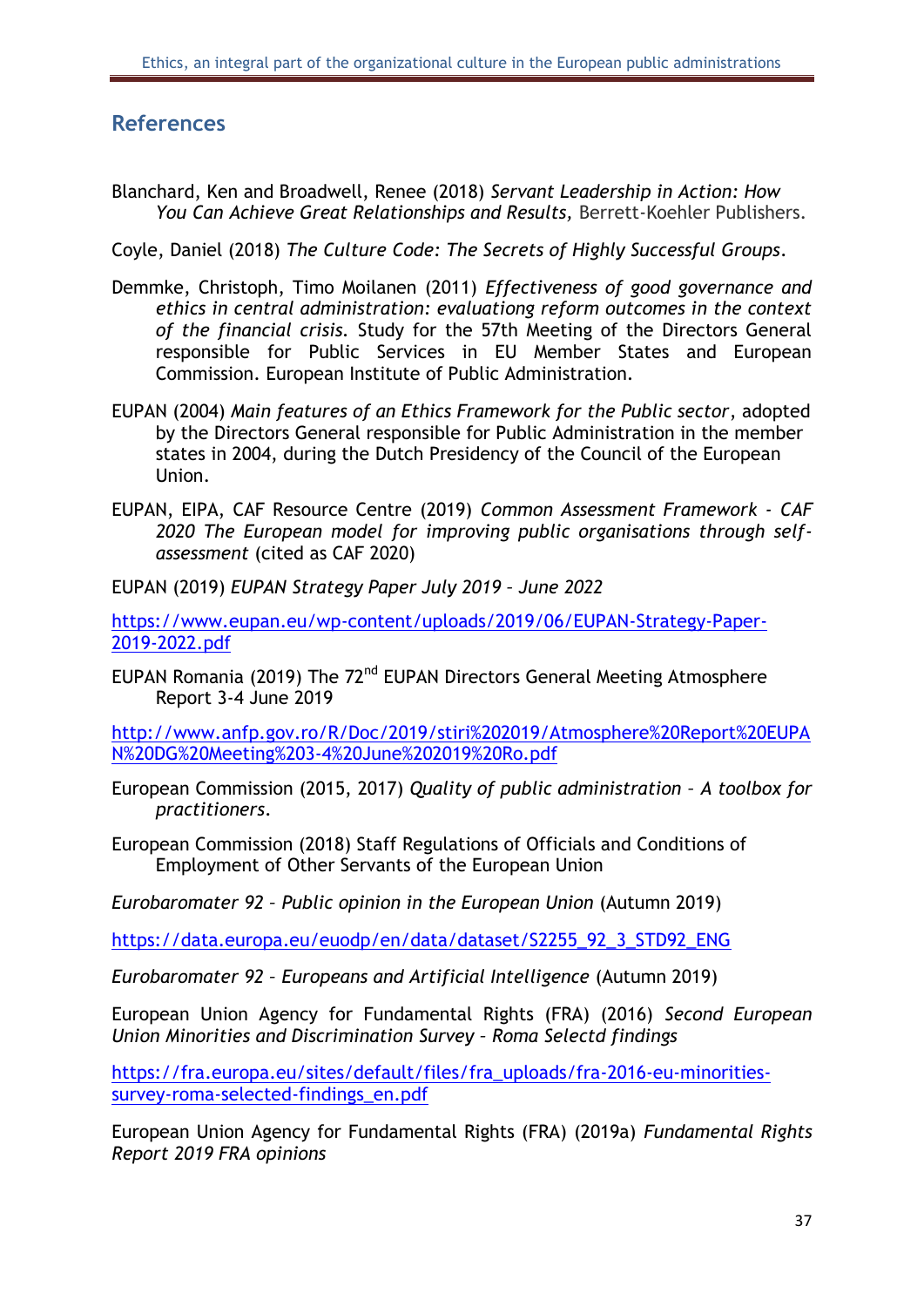# <span id="page-37-0"></span>**References**

Blanchard, Ken and Broadwell, Renee (2018) *Servant Leadership in Action: How You Can Achieve Great Relationships and Results,* Berrett-Koehler Publishers.

Coyle, Daniel (2018) *The Culture Code: The Secrets of Highly Successful Groups*.

- Demmke, Christoph, Timo Moilanen (2011) *Effectiveness of good governance and ethics in central administration: evaluationg reform outcomes in the context of the financial crisis.* Study for the 57th Meeting of the Directors General responsible for Public Services in EU Member States and European Commission. European Institute of Public Administration.
- EUPAN (2004) *Main features of an Ethics Framework for the Public sector*, adopted by the Directors General responsible for Public Administration in the member states in 2004, during the Dutch Presidency of the Council of the European Union.
- EUPAN, EIPA, CAF Resource Centre (2019) *Common Assessment Framework - CAF 2020 The European model for improving public organisations through selfassessment* (cited as CAF 2020)

EUPAN (2019) *EUPAN Strategy Paper July 2019 – June 2022*

[https://www.eupan.eu/wp-content/uploads/2019/06/EUPAN-Strategy-Paper-](https://www.eupan.eu/wp-content/uploads/2019/06/EUPAN-Strategy-Paper-2019-2022.pdf)[2019-2022.pdf](https://www.eupan.eu/wp-content/uploads/2019/06/EUPAN-Strategy-Paper-2019-2022.pdf)

EUPAN Romania (2019) The 72<sup>nd</sup> EUPAN Directors General Meeting Atmosphere Report 3-4 June 2019

[http://www.anfp.gov.ro/R/Doc/2019/stiri%202019/Atmosphere%20Report%20EUPA](http://www.anfp.gov.ro/R/Doc/2019/stiri%202019/Atmosphere%20Report%20EUPAN%20DG%20Meeting%203-4%20June%202019%20Ro.pdf) [N%20DG%20Meeting%203-4%20June%202019%20Ro.pdf](http://www.anfp.gov.ro/R/Doc/2019/stiri%202019/Atmosphere%20Report%20EUPAN%20DG%20Meeting%203-4%20June%202019%20Ro.pdf)

- European Commission (2015, 2017) *Quality of public administration – A toolbox for practitioners*.
- European Commission (2018) Staff Regulations of Officials and Conditions of Employment of Other Servants of the European Union

*Eurobaromater 92 – Public opinion in the European Union* (Autumn 2019)

[https://data.europa.eu/euodp/en/data/dataset/S2255\\_92\\_3\\_STD92\\_ENG](https://data.europa.eu/euodp/en/data/dataset/S2255_92_3_STD92_ENG)

*Eurobaromater 92 – Europeans and Artificial Intelligence* (Autumn 2019)

European Union Agency for Fundamental Rights (FRA) (2016) *Second European Union Minorities and Discrimination Survey – Roma Selectd findings* 

[https://fra.europa.eu/sites/default/files/fra\\_uploads/fra-2016-eu-minorities](https://fra.europa.eu/sites/default/files/fra_uploads/fra-2016-eu-minorities-survey-roma-selected-findings_en.pdf)[survey-roma-selected-findings\\_en.pdf](https://fra.europa.eu/sites/default/files/fra_uploads/fra-2016-eu-minorities-survey-roma-selected-findings_en.pdf)

European Union Agency for Fundamental Rights (FRA) (2019a) *Fundamental Rights Report 2019 FRA opinions*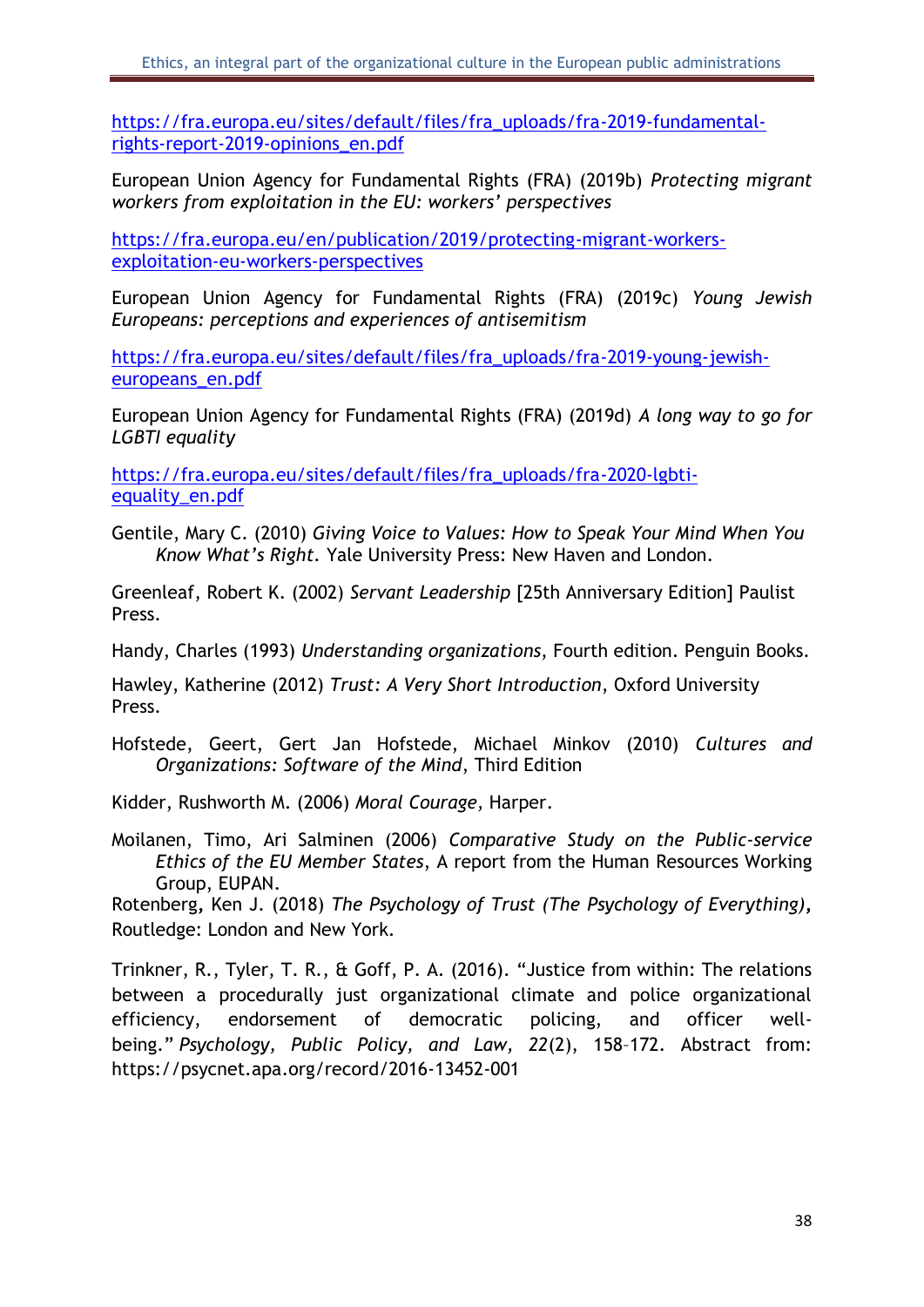[https://fra.europa.eu/sites/default/files/fra\\_uploads/fra-2019-fundamental](https://fra.europa.eu/sites/default/files/fra_uploads/fra-2019-fundamental-rights-report-2019-opinions_en.pdf)[rights-report-2019-opinions\\_en.pdf](https://fra.europa.eu/sites/default/files/fra_uploads/fra-2019-fundamental-rights-report-2019-opinions_en.pdf)

European Union Agency for Fundamental Rights (FRA) (2019b) *Protecting migrant workers from exploitation in the EU: workers' perspectives*

[https://fra.europa.eu/en/publication/2019/protecting-migrant-workers](https://fra.europa.eu/en/publication/2019/protecting-migrant-workers-exploitation-eu-workers-perspectives)[exploitation-eu-workers-perspectives](https://fra.europa.eu/en/publication/2019/protecting-migrant-workers-exploitation-eu-workers-perspectives)

European Union Agency for Fundamental Rights (FRA) (2019c) *Young Jewish Europeans: perceptions and experiences of antisemitism*

[https://fra.europa.eu/sites/default/files/fra\\_uploads/fra-2019-young-jewish](https://fra.europa.eu/sites/default/files/fra_uploads/fra-2019-young-jewish-europeans_en.pdf)[europeans\\_en.pdf](https://fra.europa.eu/sites/default/files/fra_uploads/fra-2019-young-jewish-europeans_en.pdf)

European Union Agency for Fundamental Rights (FRA) (2019d) *A long way to go for LGBTI equality*

[https://fra.europa.eu/sites/default/files/fra\\_uploads/fra-2020-lgbti](https://fra.europa.eu/sites/default/files/fra_uploads/fra-2020-lgbti-equality_en.pdf)[equality\\_en.pdf](https://fra.europa.eu/sites/default/files/fra_uploads/fra-2020-lgbti-equality_en.pdf)

Gentile, Mary C. (2010) *Giving Voice to Values: How to Speak Your Mind When You Know What's Right.* Yale University Press: New Haven and London.

Greenleaf, Robert K. (2002) *Servant Leadership* [25th Anniversary Edition] Paulist Press.

Handy, Charles (1993) *Understanding organizations*, Fourth edition. Penguin Books.

Hawley, Katherine (2012) *Trust: A Very Short Introduction*, Oxford University Press.

Hofstede, Geert, Gert Jan Hofstede, Michael Minkov (2010) *Cultures and Organizations: Software of the Mind*, Third Edition

Kidder, Rushworth M. (2006) *Moral Courage,* Harper.

Moilanen, Timo, Ari Salminen (2006) *Comparative Study on the Public-service Ethics of the EU Member States*, A report from the Human Resources Working Group, EUPAN.

Rotenberg**,** Ken J. (2018) *The Psychology of Trust (The Psychology of Everything)***,**  Routledge: London and New York.

Trinkner, R., Tyler, T. R., & Goff, P. A. (2016). "Justice from within: The relations between a procedurally just organizational climate and police organizational efficiency, endorsement of democratic policing, and officer wellbeing." *Psychology, Public Policy, and Law, 22*(2), 158–172. Abstract from: https://psycnet.apa.org/record/2016-13452-001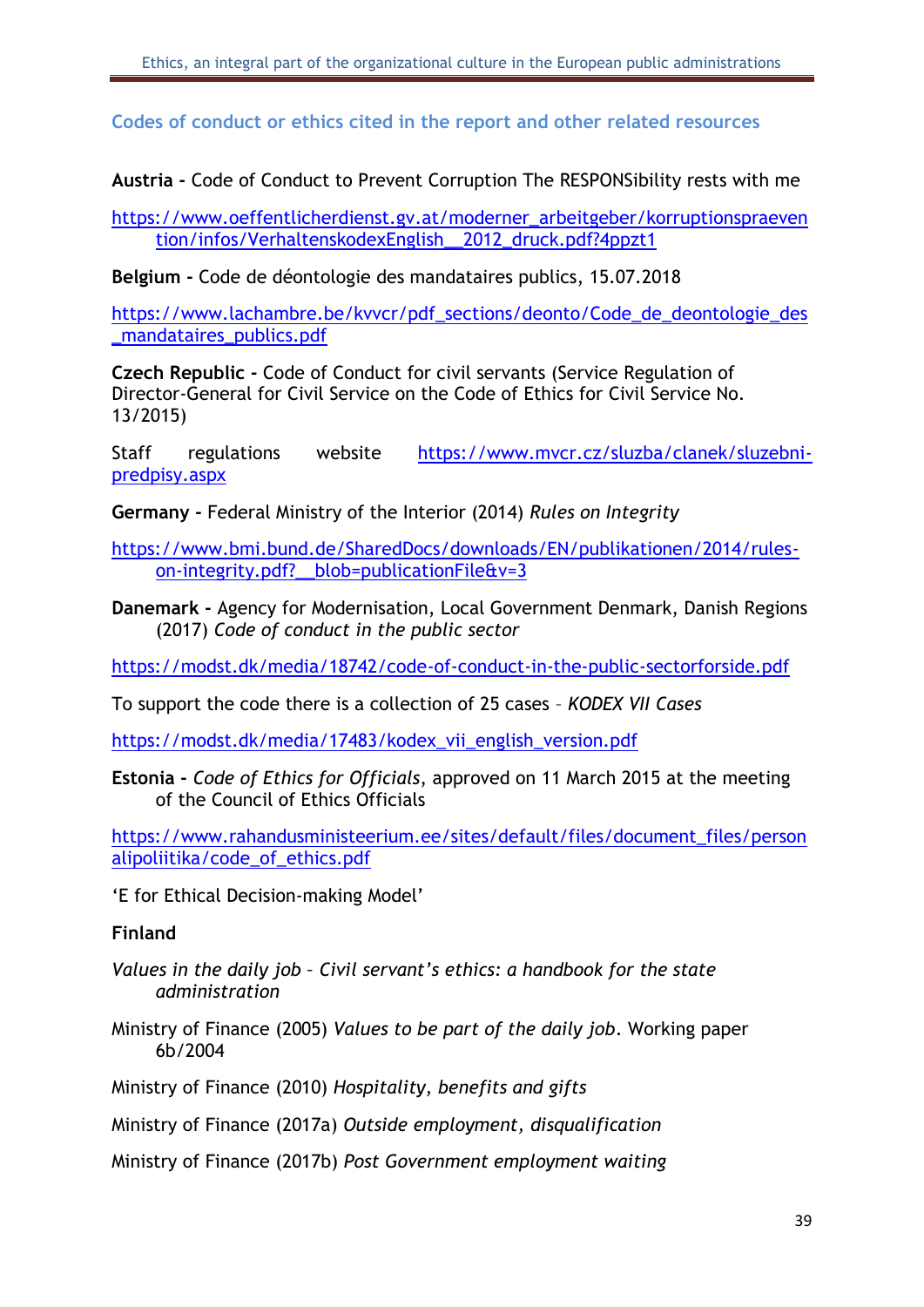<span id="page-39-0"></span>**Codes of conduct or ethics cited in the report and other related resources**

**Austria -** Code of Conduct to Prevent Corruption The RESPONSibility rests with me

[https://www.oeffentlicherdienst.gv.at/moderner\\_arbeitgeber/korruptionspraeven](https://www.oeffentlicherdienst.gv.at/moderner_arbeitgeber/korruptionspraevention/infos/VerhaltenskodexEnglish__2012_druck.pdf?4ppzt1) [tion/infos/VerhaltenskodexEnglish\\_\\_2012\\_druck.pdf?4ppzt1](https://www.oeffentlicherdienst.gv.at/moderner_arbeitgeber/korruptionspraevention/infos/VerhaltenskodexEnglish__2012_druck.pdf?4ppzt1)

**Belgium -** Code de déontologie des mandataires publics, 15.07.2018

[https://www.lachambre.be/kvvcr/pdf\\_sections/deonto/Code\\_de\\_deontologie\\_des](https://www.lachambre.be/kvvcr/pdf_sections/deonto/Code_de_deontologie_des_mandataires_publics.pdf) [\\_mandataires\\_publics.pdf](https://www.lachambre.be/kvvcr/pdf_sections/deonto/Code_de_deontologie_des_mandataires_publics.pdf)

**Czech Republic -** Code of Conduct for civil servants (Service Regulation of Director-General for Civil Service on the Code of Ethics for Civil Service No. 13/2015)

Staff regulations website [https://www.mvcr.cz/sluzba/clanek/sluzebni](https://www.mvcr.cz/sluzba/clanek/sluzebni-predpisy.aspx)[predpisy.aspx](https://www.mvcr.cz/sluzba/clanek/sluzebni-predpisy.aspx)

**Germany -** Federal Ministry of the Interior (2014) *Rules on Integrity*

[https://www.bmi.bund.de/SharedDocs/downloads/EN/publikationen/2014/rules](https://www.bmi.bund.de/SharedDocs/downloads/EN/publikationen/2014/rules-on-integrity.pdf?__blob=publicationFile&v=3)on-integrity.pdf? blob=publicationFile&v=3

**Danemark -** Agency for Modernisation, Local Government Denmark, Danish Regions (2017) *Code of conduct in the public sector*

<https://modst.dk/media/18742/code-of-conduct-in-the-public-sectorforside.pdf>

To support the code there is a collection of 25 cases – *KODEX VII Cases*

[https://modst.dk/media/17483/kodex\\_vii\\_english\\_version.pdf](https://modst.dk/media/17483/kodex_vii_english_version.pdf)

**Estonia -** *Code of Ethics for Officials*, approved on 11 March 2015 at the meeting of the Council of Ethics Officials

[https://www.rahandusministeerium.ee/sites/default/files/document\\_files/person](https://www.rahandusministeerium.ee/sites/default/files/document_files/personalipoliitika/code_of_ethics.pdf) [alipoliitika/code\\_of\\_ethics.pdf](https://www.rahandusministeerium.ee/sites/default/files/document_files/personalipoliitika/code_of_ethics.pdf)

'E for Ethical Decision-making Model'

**Finland**

- *Values in the daily job – Civil servant's ethics: a handbook for the state administration*
- Ministry of Finance (2005) *Values to be part of the daily job*. Working paper 6b/2004

Ministry of Finance (2010) *Hospitality, benefits and gifts*

Ministry of Finance (2017a) *Outside employment, disqualification*

Ministry of Finance (2017b) *Post Government employment waiting*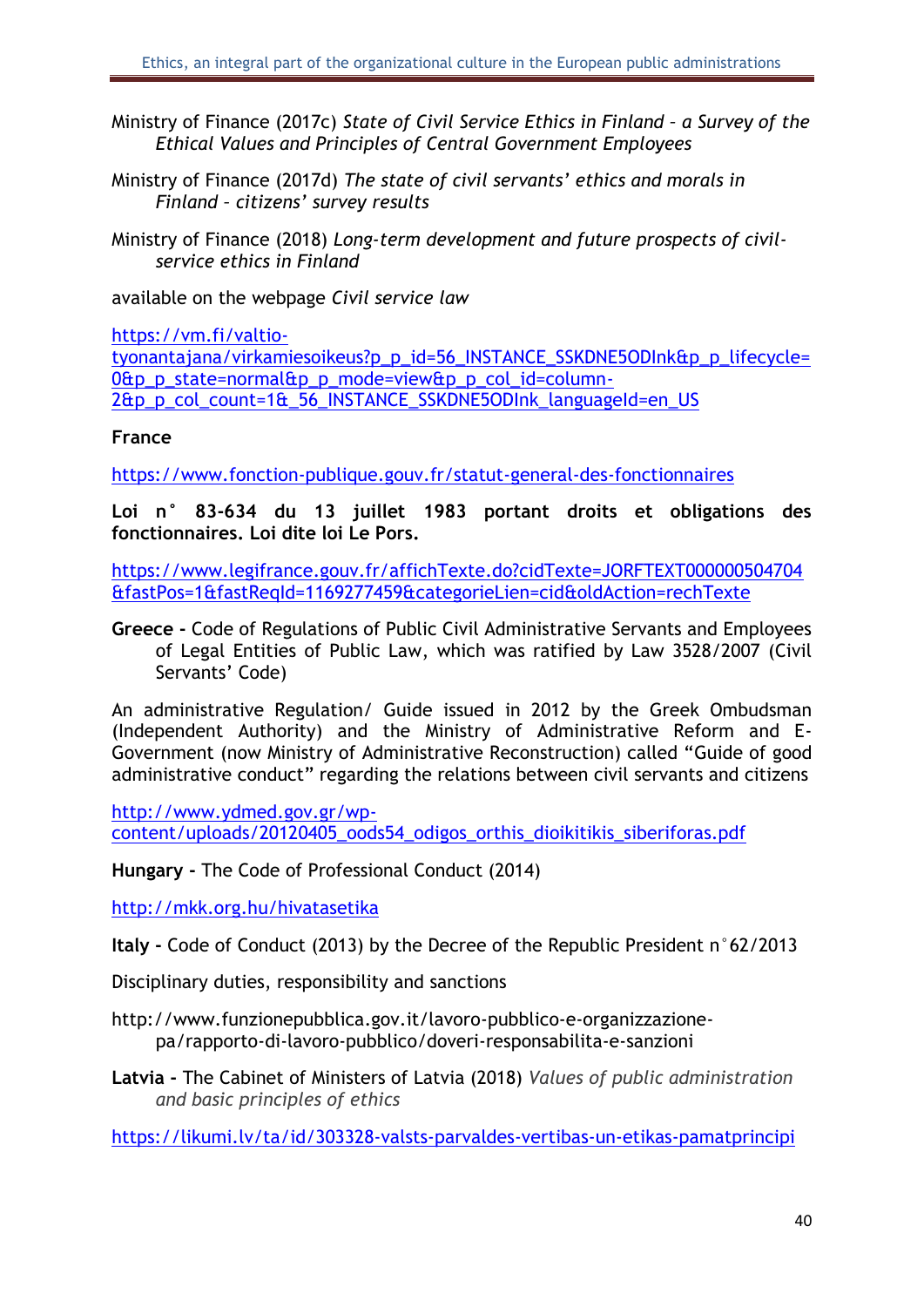- Ministry of Finance (2017c) *State of Civil Service Ethics in Finland – a Survey of the Ethical Values and Principles of Central Government Employees*
- Ministry of Finance (2017d) *The state of civil servants' ethics and morals in Finland – citizens' survey results*
- Ministry of Finance (2018) *Long-term development and future prospects of civilservice ethics in Finland*

available on the webpage *Civil service law*

[https://vm.fi/valtio-](https://vm.fi/valtio-tyonantajana/virkamiesoikeus?p_p_id=56_INSTANCE_SSKDNE5ODInk&p_p_lifecycle=0&p_p_state=normal&p_p_mode=view&p_p_col_id=column-2&p_p_col_count=1&_56_INSTANCE_SSKDNE5ODInk_languageId=en_US)

[tyonantajana/virkamiesoikeus?p\\_p\\_id=56\\_INSTANCE\\_SSKDNE5ODInk&p\\_p\\_lifecycle=](https://vm.fi/valtio-tyonantajana/virkamiesoikeus?p_p_id=56_INSTANCE_SSKDNE5ODInk&p_p_lifecycle=0&p_p_state=normal&p_p_mode=view&p_p_col_id=column-2&p_p_col_count=1&_56_INSTANCE_SSKDNE5ODInk_languageId=en_US)  $0$ &p p state=normal&p p mode=view&p p col id=column-[2&p\\_p\\_col\\_count=1&\\_56\\_INSTANCE\\_SSKDNE5ODInk\\_languageId=en\\_US](https://vm.fi/valtio-tyonantajana/virkamiesoikeus?p_p_id=56_INSTANCE_SSKDNE5ODInk&p_p_lifecycle=0&p_p_state=normal&p_p_mode=view&p_p_col_id=column-2&p_p_col_count=1&_56_INSTANCE_SSKDNE5ODInk_languageId=en_US)

#### **France**

<https://www.fonction-publique.gouv.fr/statut-general-des-fonctionnaires>

**Loi n° 83-634 du 13 juillet 1983 portant droits et obligations des fonctionnaires. Loi dite loi Le Pors.**

[https://www.legifrance.gouv.fr/affichTexte.do?cidTexte=JORFTEXT000000504704](https://www.legifrance.gouv.fr/affichTexte.do?cidTexte=JORFTEXT000000504704&fastPos=1&fastReqId=1169277459&categorieLien=cid&oldAction=rechTexte) [&fastPos=1&fastReqId=1169277459&categorieLien=cid&oldAction=rechTexte](https://www.legifrance.gouv.fr/affichTexte.do?cidTexte=JORFTEXT000000504704&fastPos=1&fastReqId=1169277459&categorieLien=cid&oldAction=rechTexte)

**Greece -** Code of Regulations of Public Civil Administrative Servants and Employees of Legal Entities of Public Law, which was ratified by Law 3528/2007 (Civil Servants' Code)

An administrative Regulation/ Guide issued in 2012 by the Greek Ombudsman (Independent Authority) and the Ministry of Administrative Reform and E-Government (now Ministry of Administrative Reconstruction) called "Guide of good administrative conduct" regarding the relations between civil servants and citizens

[http://www.ydmed.gov.gr/wp](http://www.ydmed.gov.gr/wp-content/uploads/20120405_oods54_odigos_orthis_dioikitikis_siberiforas.pdf)[content/uploads/20120405\\_oods54\\_odigos\\_orthis\\_dioikitikis\\_siberiforas.pdf](http://www.ydmed.gov.gr/wp-content/uploads/20120405_oods54_odigos_orthis_dioikitikis_siberiforas.pdf)

**Hungary -** The Code of Professional Conduct (2014)

<http://mkk.org.hu/hivatasetika>

**Italy -** Code of Conduct (2013) by the Decree of the Republic President n°62/2013

Disciplinary duties, responsibility and sanctions

[http://www.funzionepubblica.gov.it/lavoro-pubblico-e-organizzazione](http://www.funzionepubblica.gov.it/lavoro-pubblico-e-organizzazione-pa/rapporto-di-lavoro-pubblico/doveri-responsabilita-e-sanzioni)[pa/rapporto-di-lavoro-pubblico/doveri-responsabilita-e-sanzioni](http://www.funzionepubblica.gov.it/lavoro-pubblico-e-organizzazione-pa/rapporto-di-lavoro-pubblico/doveri-responsabilita-e-sanzioni)

**Latvia -** The Cabinet of Ministers of Latvia (2018) *Values of public administration and basic principles of ethics*

<https://likumi.lv/ta/id/303328-valsts-parvaldes-vertibas-un-etikas-pamatprincipi>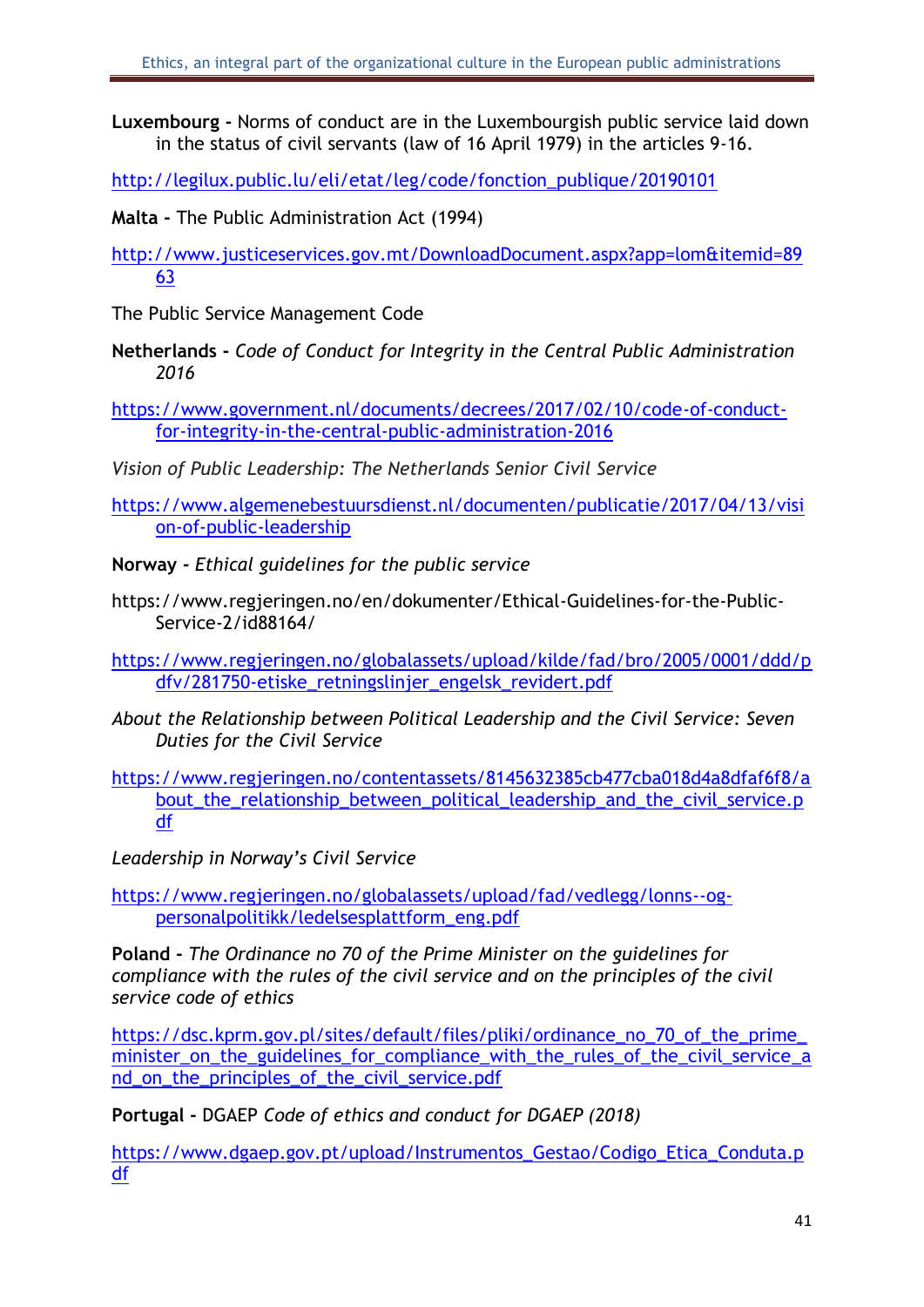**Luxembourg -** Norms of conduct are in the Luxembourgish public service laid down in the status of civil servants (law of 16 April 1979) in the articles 9-16.

[http://legilux.public.lu/eli/etat/leg/code/fonction\\_publique/20190101](http://legilux.public.lu/eli/etat/leg/code/fonction_publique/20190101)

**Malta -** The Public Administration Act (1994)

[http://www.justiceservices.gov.mt/DownloadDocument.aspx?app=lom&itemid=89](http://www.justiceservices.gov.mt/DownloadDocument.aspx?app=lom&itemid=8963) [63](http://www.justiceservices.gov.mt/DownloadDocument.aspx?app=lom&itemid=8963)

The Public Service Management Code

**Netherlands -** *Code of Conduct for Integrity in the Central Public Administration 2016*

[https://www.government.nl/documents/decrees/2017/02/10/code-of-conduct](https://www.government.nl/documents/decrees/2017/02/10/code-of-conduct-for-integrity-in-the-central-public-administration-2016)[for-integrity-in-the-central-public-administration-2016](https://www.government.nl/documents/decrees/2017/02/10/code-of-conduct-for-integrity-in-the-central-public-administration-2016)

*Vision of Public Leadership: The Netherlands Senior Civil Service*

[https://www.algemenebestuursdienst.nl/documenten/publicatie/2017/04/13/visi](https://www.algemenebestuursdienst.nl/documenten/publicatie/2017/04/13/vision-of-public-leadership) [on-of-public-leadership](https://www.algemenebestuursdienst.nl/documenten/publicatie/2017/04/13/vision-of-public-leadership)

**Norway -** *Ethical guidelines for the public service* 

https://www.regjeringen.no/en/dokumenter/Ethical-Guidelines-for-the-Public-Service-2/id88164/

[https://www.regjeringen.no/globalassets/upload/kilde/fad/bro/2005/0001/ddd/p](https://www.regjeringen.no/globalassets/upload/kilde/fad/bro/2005/0001/ddd/pdfv/281750-etiske_retningslinjer_engelsk_revidert.pdf) [dfv/281750-etiske\\_retningslinjer\\_engelsk\\_revidert.pdf](https://www.regjeringen.no/globalassets/upload/kilde/fad/bro/2005/0001/ddd/pdfv/281750-etiske_retningslinjer_engelsk_revidert.pdf)

*About the Relationship between Political Leadership and the Civil Service: Seven Duties for the Civil Service*

[https://www.regjeringen.no/contentassets/8145632385cb477cba018d4a8dfaf6f8/a](https://www.regjeringen.no/contentassets/8145632385cb477cba018d4a8dfaf6f8/about_the_relationship_between_political_leadership_and_the_civil_service.pdf) [bout\\_the\\_relationship\\_between\\_political\\_leadership\\_and\\_the\\_civil\\_service.p](https://www.regjeringen.no/contentassets/8145632385cb477cba018d4a8dfaf6f8/about_the_relationship_between_political_leadership_and_the_civil_service.pdf) [df](https://www.regjeringen.no/contentassets/8145632385cb477cba018d4a8dfaf6f8/about_the_relationship_between_political_leadership_and_the_civil_service.pdf)

*Leadership in Norway's Civil Service*

[https://www.regjeringen.no/globalassets/upload/fad/vedlegg/lonns--og](https://www.regjeringen.no/globalassets/upload/fad/vedlegg/lonns--og-personalpolitikk/ledelsesplattform_eng.pdf)[personalpolitikk/ledelsesplattform\\_eng.pdf](https://www.regjeringen.no/globalassets/upload/fad/vedlegg/lonns--og-personalpolitikk/ledelsesplattform_eng.pdf)

**Poland -** *The Ordinance no 70 of the Prime Minister on the guidelines for compliance with the rules of the civil service and on the principles of the civil service code of ethics*

[https://dsc.kprm.gov.pl/sites/default/files/pliki/ordinance\\_no\\_70\\_of\\_the\\_prime\\_](https://dsc.kprm.gov.pl/sites/default/files/pliki/ordinance_no_70_of_the_prime_minister_on_the_guidelines_for_compliance_with_the_rules_of_the_civil_service_and_on_the_principles_of_the_civil_service.pdf) minister on the guidelines for compliance with the rules of the civil service a nd on the principles of the civil service.pdf

**Portugal -** DGAEP *Code of ethics and conduct for DGAEP (2018)*

[https://www.dgaep.gov.pt/upload/Instrumentos\\_Gestao/Codigo\\_Etica\\_Conduta.p](https://www.dgaep.gov.pt/upload/Instrumentos_Gestao/Codigo_Etica_Conduta.pdf) [df](https://www.dgaep.gov.pt/upload/Instrumentos_Gestao/Codigo_Etica_Conduta.pdf)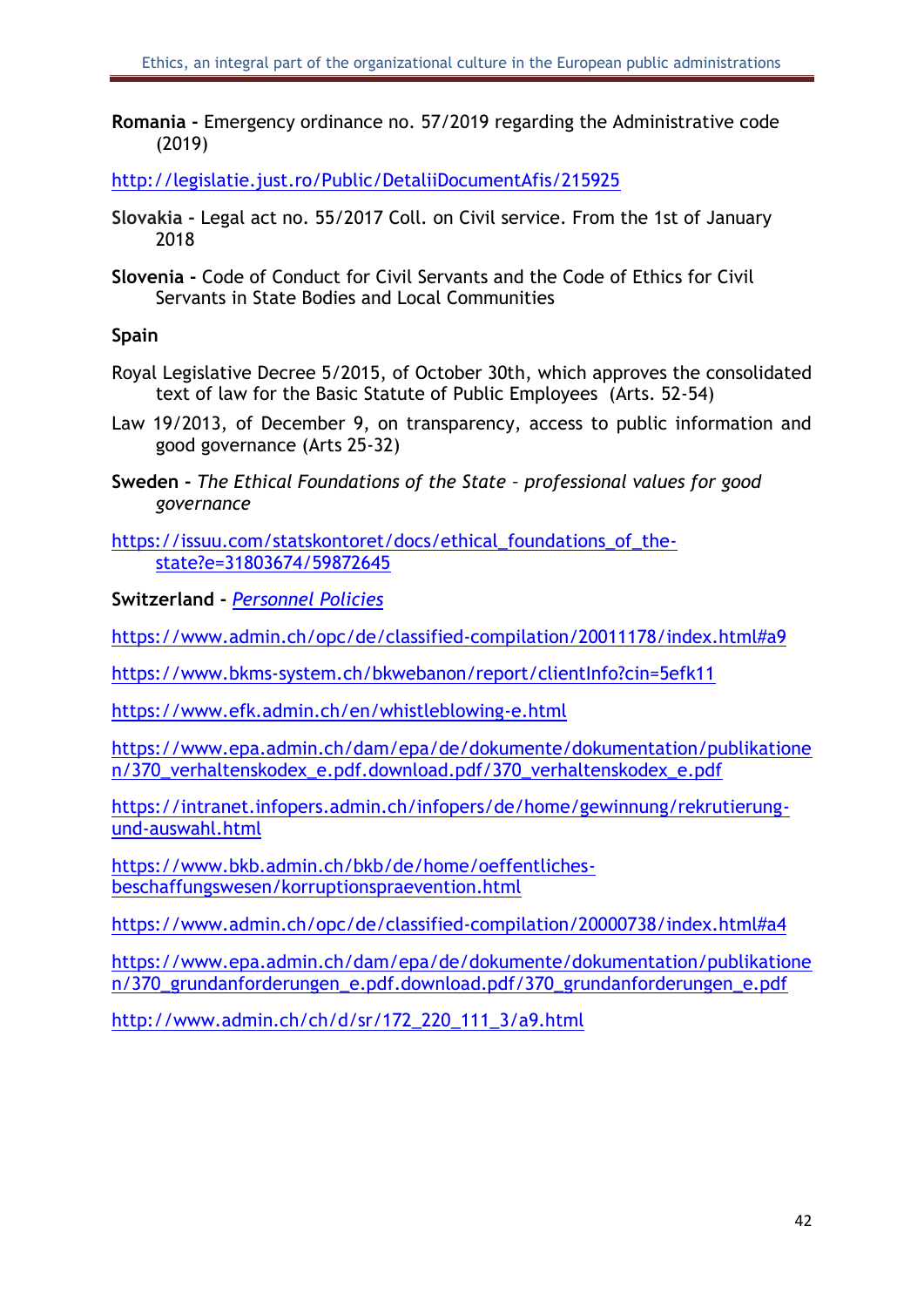**Romania -** Emergency ordinance no. 57/2019 regarding the Administrative code (2019)

<http://legislatie.just.ro/Public/DetaliiDocumentAfis/215925>

- **Slovakia -** Legal act no. 55/2017 Coll. on Civil service. From the 1st of January 2018
- **Slovenia -** Code of Conduct for Civil Servants and the Code of Ethics for Civil Servants in State Bodies and Local Communities

#### **Spain**

- Royal Legislative Decree 5/2015, of October 30th, which approves the consolidated text of law for the Basic Statute of Public Employees (Arts. 52-54)
- Law 19/2013, of December 9, on transparency, access to public information and good governance (Arts 25-32)
- **Sweden -** *The Ethical Foundations of the State – professional values for good governance*
- [https://issuu.com/statskontoret/docs/ethical\\_foundations\\_of\\_the](https://issuu.com/statskontoret/docs/ethical_foundations_of_the-state?e=31803674/59872645)[state?e=31803674/59872645](https://issuu.com/statskontoret/docs/ethical_foundations_of_the-state?e=31803674/59872645)

**Switzerland -** *Personnel Policies*

https://www.admin.ch/opc/de/classified-compilation/20011178/index.html#a9

<https://www.bkms-system.ch/bkwebanon/report/clientInfo?cin=5efk11>

<https://www.efk.admin.ch/en/whistleblowing-e.html>

[https://www.epa.admin.ch/dam/epa/de/dokumente/dokumentation/publikatione](https://www.epa.admin.ch/dam/epa/de/dokumente/dokumentation/publikationen/370_verhaltenskodex_e.pdf.download.pdf/370_verhaltenskodex_e.pdf) [n/370\\_verhaltenskodex\\_e.pdf.download.pdf/370\\_verhaltenskodex\\_e.pdf](https://www.epa.admin.ch/dam/epa/de/dokumente/dokumentation/publikationen/370_verhaltenskodex_e.pdf.download.pdf/370_verhaltenskodex_e.pdf)

[https://intranet.infopers.admin.ch/infopers/de/home/gewinnung/rekrutierung](https://intranet.infopers.admin.ch/infopers/de/home/gewinnung/rekrutierung-und-auswahl.html)[und-auswahl.html](https://intranet.infopers.admin.ch/infopers/de/home/gewinnung/rekrutierung-und-auswahl.html)

[https://www.bkb.admin.ch/bkb/de/home/oeffentliches](https://www.bkb.admin.ch/bkb/de/home/oeffentliches-beschaffungswesen/korruptionspraevention.html)[beschaffungswesen/korruptionspraevention.html](https://www.bkb.admin.ch/bkb/de/home/oeffentliches-beschaffungswesen/korruptionspraevention.html)

<https://www.admin.ch/opc/de/classified-compilation/20000738/index.html#a4>

[https://www.epa.admin.ch/dam/epa/de/dokumente/dokumentation/publikatione](https://www.epa.admin.ch/dam/epa/de/dokumente/dokumentation/publikationen/370_grundanforderungen_e.pdf.download.pdf/370_grundanforderungen_e.pdf) [n/370\\_grundanforderungen\\_e.pdf.download.pdf/370\\_grundanforderungen\\_e.pdf](https://www.epa.admin.ch/dam/epa/de/dokumente/dokumentation/publikationen/370_grundanforderungen_e.pdf.download.pdf/370_grundanforderungen_e.pdf)

[http://www.admin.ch/ch/d/sr/172\\_220\\_111\\_3/a9.html](http://www.admin.ch/ch/d/sr/172_220_111_3/a9.html)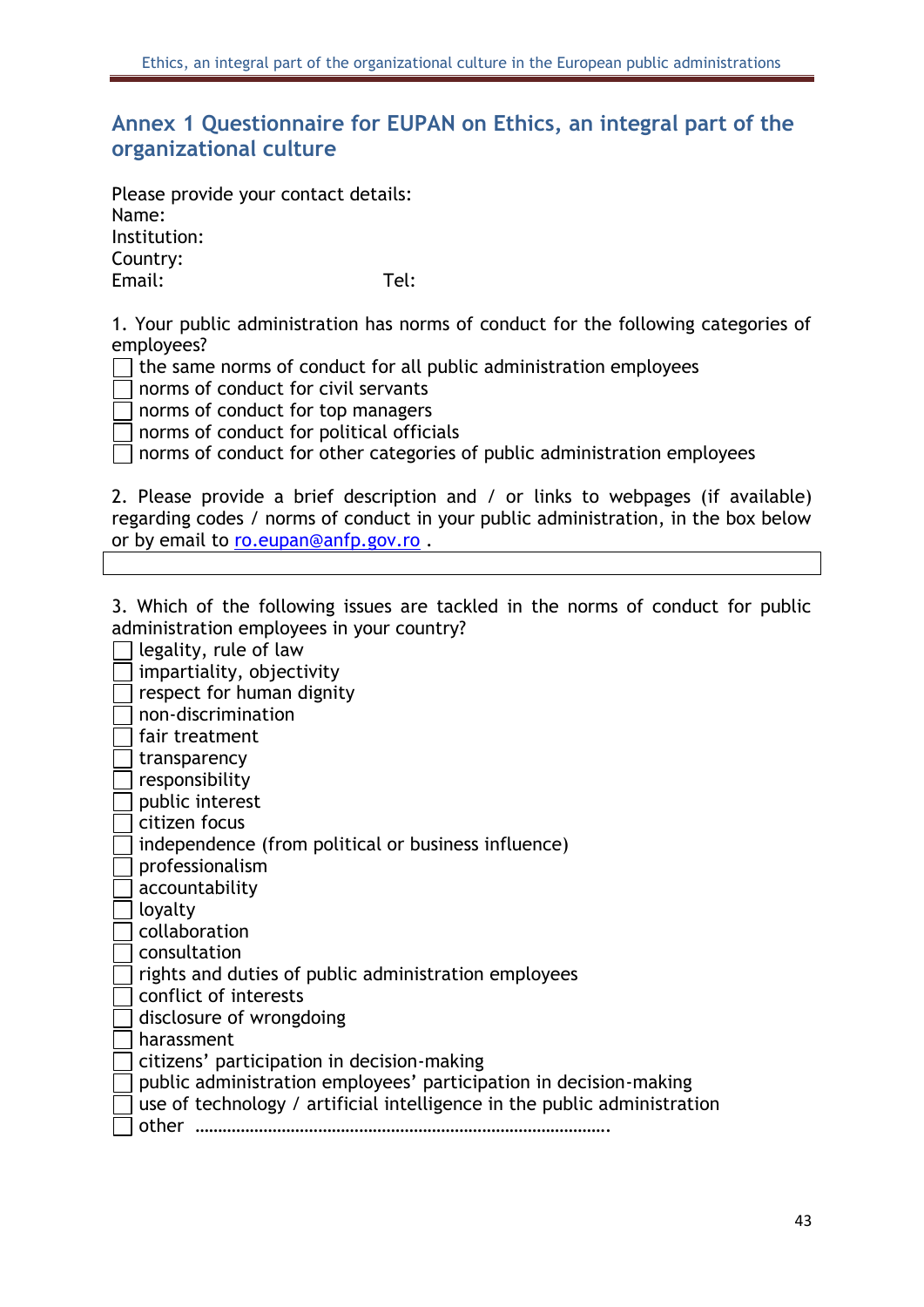# <span id="page-43-0"></span>**Annex 1 Questionnaire for EUPAN on Ethics, an integral part of the organizational culture**

Please provide your contact details: Name: Institution: Country: Email: Tel:

1. Your public administration has norms of conduct for the following categories of employees?

the same norms of conduct for all public administration employees

norms of conduct for civil servants

norms of conduct for top managers

norms of conduct for political officials

norms of conduct for other categories of public administration employees

2. Please provide a brief description and / or links to webpages (if available) regarding codes / norms of conduct in your public administration, in the box below or by email to [ro.eupan@anfp.gov.ro](mailto:ro.eupan@anfp.gov.ro) .

3. Which of the following issues are tackled in the norms of conduct for public administration employees in your country?

legality, rule of law impartiality, objectivity respect for human dignity non-discrimination l fair treatment transparency responsibility public interest citizen focus I independence (from political or business influence) professionalism accountability loyalty collaboration consultation rights and duties of public administration employees conflict of interests disclosure of wrongdoing harassment citizens' participation in decision-making public administration employees' participation in decision-making use of technology / artificial intelligence in the public administration other ……………………………………………………………………………….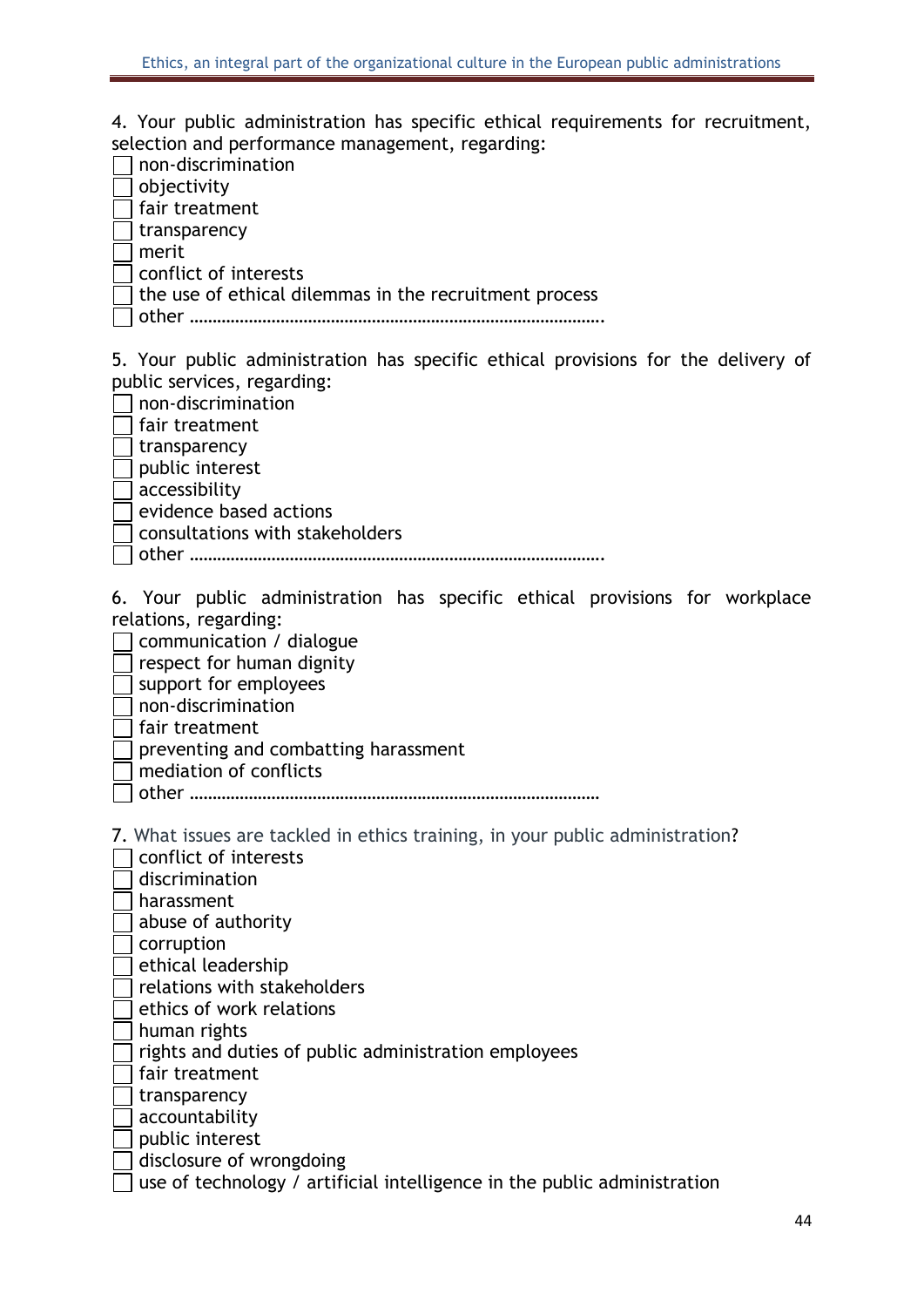4. Your public administration has specific ethical requirements for recruitment, selection and performance management, regarding:

|                                      | non-discrimination                                                                |
|--------------------------------------|-----------------------------------------------------------------------------------|
|                                      | objectivity                                                                       |
|                                      | fair treatment                                                                    |
|                                      | transparency                                                                      |
|                                      | merit                                                                             |
|                                      | conflict of interests                                                             |
|                                      | the use of ethical dilemmas in the recruitment process                            |
|                                      |                                                                                   |
|                                      |                                                                                   |
|                                      | 5. Your public administration has specific ethical provisions for the delivery of |
|                                      | public services, regarding:                                                       |
|                                      | non-discrimination                                                                |
|                                      | fair treatment                                                                    |
| $\mathbb{R}^n$                       | transparency                                                                      |
|                                      | public interest                                                                   |
|                                      | accessibility                                                                     |
| $\Box$<br>$\mathcal{L}^{\text{eff}}$ | evidence based actions                                                            |
|                                      |                                                                                   |
|                                      | consultations with stakeholders                                                   |
|                                      |                                                                                   |
|                                      | 6. Your public administration has specific ethical provisions for workplace       |
|                                      | relations, regarding:                                                             |
|                                      | communication / dialogue                                                          |
| $\mathbb{R}^n$                       | respect for human dignity                                                         |
|                                      | support for employees                                                             |
|                                      | non-discrimination                                                                |
|                                      | fair treatment                                                                    |
|                                      | preventing and combatting harassment                                              |
|                                      | mediation of conflicts                                                            |
|                                      |                                                                                   |
|                                      |                                                                                   |
|                                      | 7. What issues are tackled in ethics training, in your public administration?     |
|                                      |                                                                                   |
|                                      | conflict of interests                                                             |
|                                      | discrimination                                                                    |
|                                      | harassment                                                                        |
|                                      | abuse of authority                                                                |
|                                      | corruption                                                                        |
|                                      | ethical leadership                                                                |
|                                      | relations with stakeholders                                                       |
|                                      | ethics of work relations                                                          |
|                                      | human rights                                                                      |
|                                      | rights and duties of public administration employees                              |
|                                      | fair treatment                                                                    |
|                                      | transparency                                                                      |
|                                      | accountability                                                                    |
|                                      | public interest                                                                   |
|                                      | disclosure of wrongdoing                                                          |
|                                      | use of technology / artificial intelligence in the public administration          |